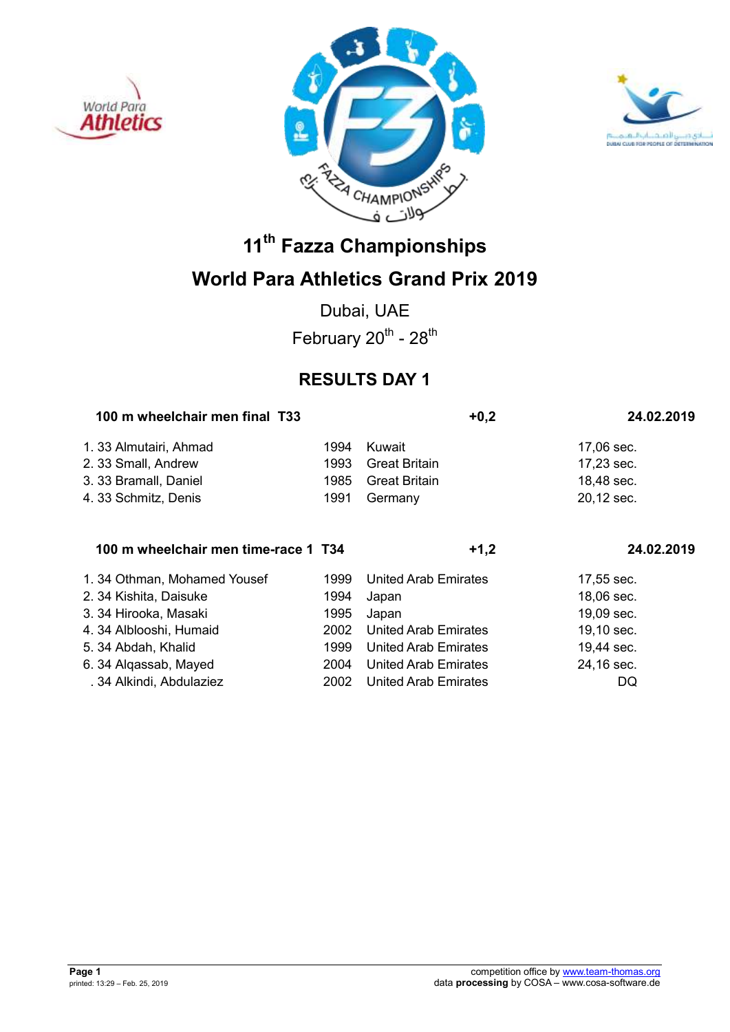





## **World Para Athletics Grand Prix 2019**

Dubai, UAE February  $20^{th}$  -  $28^{th}$ 

## **RESULTS DAY 1**

| 100 m wheelchair men final T33       |      | $+0,2$                      | 24.02.2019 |
|--------------------------------------|------|-----------------------------|------------|
| 1. 33 Almutairi, Ahmad               | 1994 | Kuwait                      | 17,06 sec. |
| 2. 33 Small, Andrew                  | 1993 | <b>Great Britain</b>        | 17,23 sec. |
| 3. 33 Bramall, Daniel                | 1985 | <b>Great Britain</b>        | 18,48 sec. |
| 4.33 Schmitz, Denis                  | 1991 | Germany                     | 20,12 sec. |
| 100 m wheelchair men time-race 1 T34 |      | $+1,2$                      | 24.02.2019 |
| 1.34 Othman, Mohamed Yousef          | 1999 | United Arab Emirates        | 17,55 sec. |
| 2. 34 Kishita, Daisuke               | 1994 | Japan                       | 18,06 sec. |
| 3. 34 Hirooka, Masaki                | 1995 | Japan                       | 19,09 sec. |
| 4.34 Alblooshi, Humaid               | 2002 | United Arab Emirates        | 19,10 sec. |
| 5. 34 Abdah, Khalid                  | 1999 | United Arab Emirates        | 19,44 sec. |
| 6.34 Algassab, Mayed                 | 2004 | <b>United Arab Emirates</b> | 24,16 sec. |
| . 34 Alkindi, Abdulaziez             | 2002 | United Arab Emirates        | DQ         |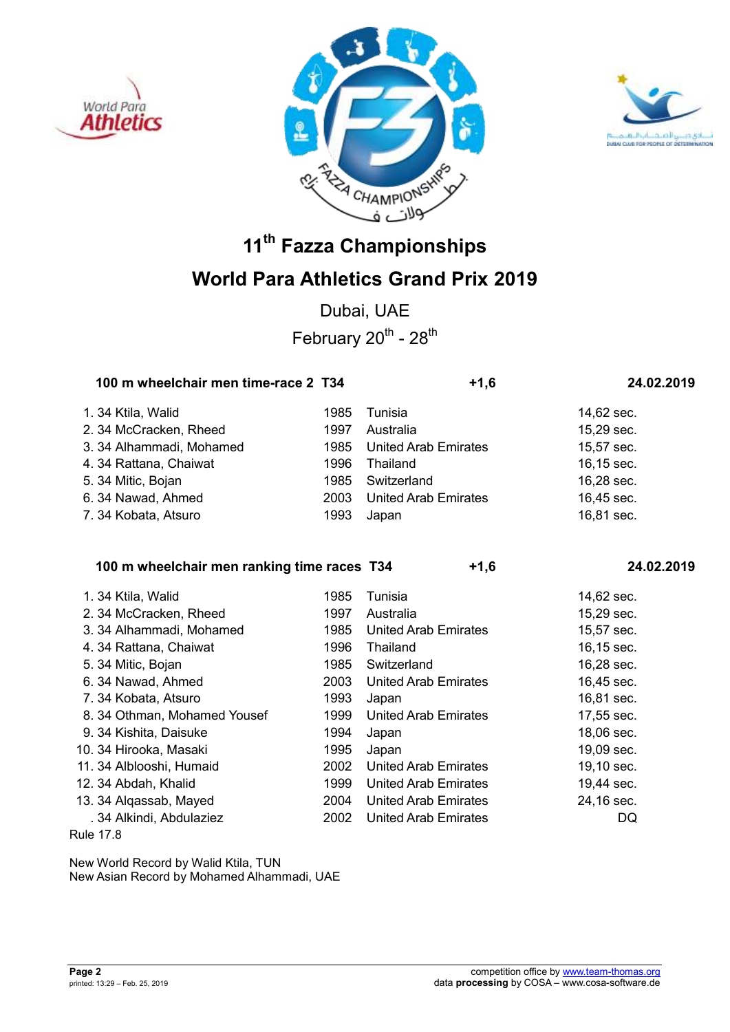





Dubai, UAE February  $20^{th}$  -  $28^{th}$ 

|  |                                                                                                                                                                   | $+1,6$                               | 24.02.2019                                                 |  |
|--|-------------------------------------------------------------------------------------------------------------------------------------------------------------------|--------------------------------------|------------------------------------------------------------|--|
|  | 1985                                                                                                                                                              | Tunisia                              | 14,62 sec.                                                 |  |
|  | 1997                                                                                                                                                              | Australia                            | 15,29 sec.                                                 |  |
|  | 1985                                                                                                                                                              |                                      | 15,57 sec.                                                 |  |
|  | 1996                                                                                                                                                              | Thailand                             | 16,15 sec.                                                 |  |
|  | 1985                                                                                                                                                              | Switzerland                          | 16,28 sec.                                                 |  |
|  | 2003                                                                                                                                                              |                                      | 16,45 sec.                                                 |  |
|  | 1993                                                                                                                                                              | Japan                                | 16,81 sec.                                                 |  |
|  | 1.34 Ktila, Walid<br>2.34 McCracken, Rheed<br>3. 34 Alhammadi, Mohamed<br>4.34 Rattana, Chaiwat<br>5. 34 Mitic, Bojan<br>6.34 Nawad, Ahmed<br>7.34 Kobata, Atsuro | 100 m wheelchair men time-race 2 T34 | <b>United Arab Emirates</b><br><b>United Arab Emirates</b> |  |

**100 m wheelchair men ranking time races T34 +1,6 24.02.2019** 

| 1.34 Ktila, Walid            | 1985 | Tunisia                     | 14,62 sec. |
|------------------------------|------|-----------------------------|------------|
| 2. 34 McCracken, Rheed       | 1997 | Australia                   | 15,29 sec. |
| 3. 34 Alhammadi, Mohamed     | 1985 | <b>United Arab Emirates</b> | 15,57 sec. |
| 4.34 Rattana, Chaiwat        | 1996 | Thailand                    | 16,15 sec. |
| 5. 34 Mitic, Bojan           | 1985 | Switzerland                 | 16,28 sec. |
| 6.34 Nawad, Ahmed            | 2003 | <b>United Arab Emirates</b> | 16,45 sec. |
| 7.34 Kobata, Atsuro          | 1993 | Japan                       | 16,81 sec. |
| 8. 34 Othman, Mohamed Yousef | 1999 | <b>United Arab Emirates</b> | 17,55 sec. |
| 9. 34 Kishita, Daisuke       | 1994 | Japan                       | 18,06 sec. |
| 10. 34 Hirooka, Masaki       | 1995 | Japan                       | 19,09 sec. |
| 11. 34 Alblooshi, Humaid     | 2002 | <b>United Arab Emirates</b> | 19,10 sec. |
| 12. 34 Abdah, Khalid         | 1999 | United Arab Emirates        | 19,44 sec. |
| 13. 34 Algassab, Mayed       | 2004 | <b>United Arab Emirates</b> | 24,16 sec. |
| . 34 Alkindi, Abdulaziez     | 2002 | <b>United Arab Emirates</b> | DQ         |
|                              |      |                             |            |

Rule 17.8

New World Record by Walid Ktila, TUN New Asian Record by Mohamed Alhammadi, UAE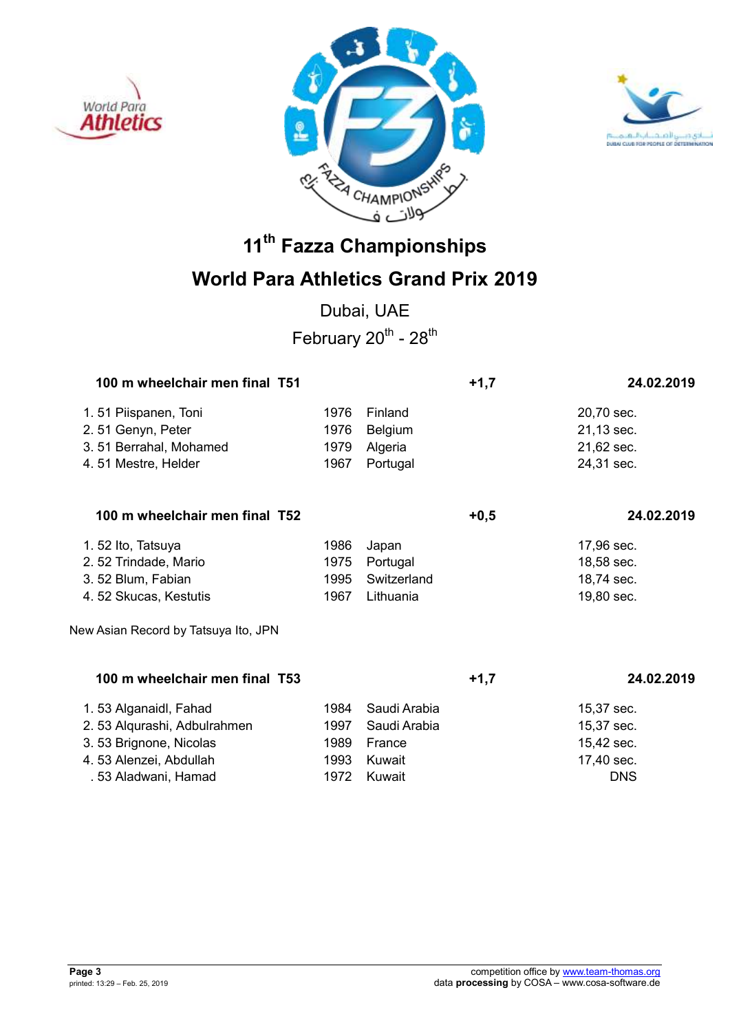





## **World Para Athletics Grand Prix 2019**

Dubai, UAE February  $20^{th}$  -  $28^{th}$ 

| 100 m wheelchair men final T51       |      | $+1,7$         | 24.02.2019 |            |
|--------------------------------------|------|----------------|------------|------------|
| 1.51 Piispanen, Toni                 | 1976 | Finland        |            | 20,70 sec. |
| 2.51 Genyn, Peter                    | 1976 | <b>Belgium</b> |            | 21,13 sec. |
| 3.51 Berrahal, Mohamed               | 1979 | Algeria        |            | 21,62 sec. |
| 4.51 Mestre, Helder                  | 1967 | Portugal       |            | 24,31 sec. |
| 100 m wheelchair men final T52       |      |                | $+0,5$     | 24.02.2019 |
| 1.52 Ito, Tatsuya                    | 1986 | Japan          |            | 17,96 sec. |
| 2.52 Trindade, Mario                 | 1975 | Portugal       |            | 18,58 sec. |
| 3.52 Blum, Fabian                    | 1995 | Switzerland    |            | 18,74 sec. |
| 4.52 Skucas, Kestutis                | 1967 | Lithuania      |            | 19,80 sec. |
| New Asian Record by Tatsuya Ito, JPN |      |                |            |            |
| 100 m wheelchair men final T53       |      |                | $+1,7$     | 24.02.2019 |
| 1.53 Alganaidl, Fahad                | 1984 | Saudi Arabia   |            | 15,37 sec. |
| 2.53 Alqurashi, Adbulrahmen          | 1997 | Saudi Arabia   |            | 15,37 sec. |
| 3.53 Brignone, Nicolas               | 1989 | France         |            | 15,42 sec. |
| 4.53 Alenzei, Abdullah               | 1993 | Kuwait         |            | 17,40 sec. |
| . 53 Aladwani, Hamad                 | 1972 | Kuwait         |            | <b>DNS</b> |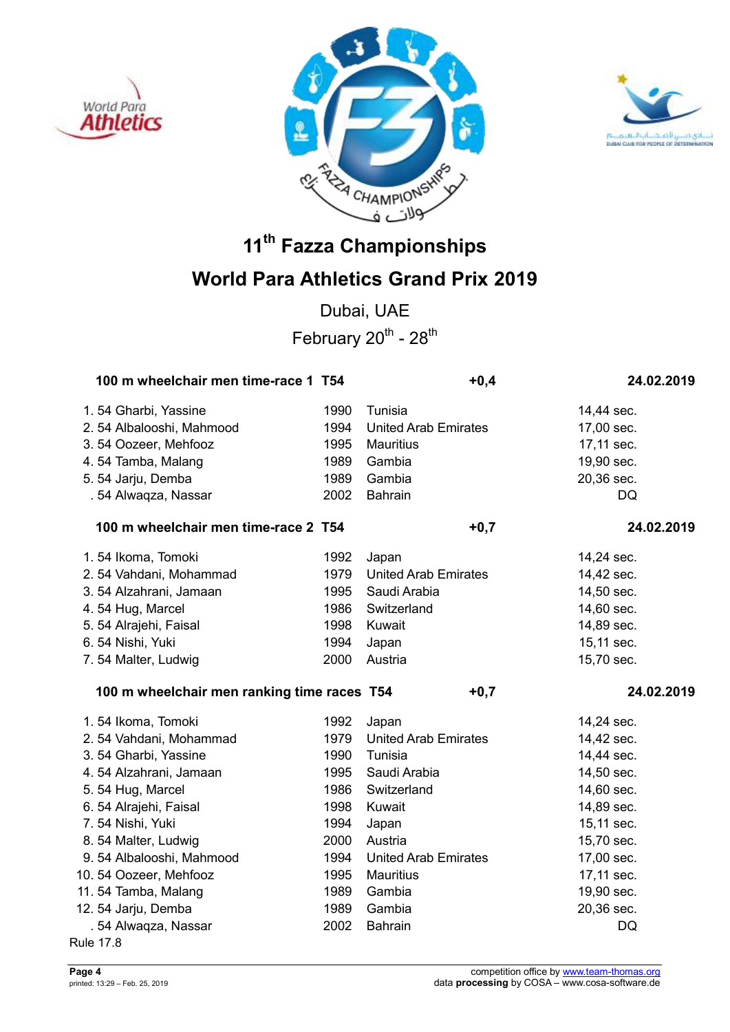





## **World Para Athletics Grand Prix 2019**

Dubai, UAE February  $20^{th}$  -  $28^{th}$ 

| 100 m wheelchair men time-race 1 T54        |      | $+0,4$                      | 24.02.2019 |
|---------------------------------------------|------|-----------------------------|------------|
| 1.54 Gharbi, Yassine                        | 1990 | Tunisia                     | 14,44 sec. |
| 2.54 Albalooshi, Mahmood                    | 1994 | <b>United Arab Emirates</b> | 17,00 sec. |
| 3.54 Oozeer, Mehfooz                        | 1995 | <b>Mauritius</b>            | 17,11 sec. |
| 4.54 Tamba, Malang                          | 1989 | Gambia                      | 19,90 sec. |
| 5.54 Jarju, Demba                           | 1989 | Gambia                      | 20,36 sec. |
| . 54 Alwaqza, Nassar                        | 2002 | <b>Bahrain</b>              | <b>DQ</b>  |
| 100 m wheelchair men time-race 2 T54        |      | $+0,7$                      | 24.02.2019 |
| 1.54 Ikoma, Tomoki                          | 1992 | Japan                       | 14,24 sec. |
| 2.54 Vahdani, Mohammad                      | 1979 | <b>United Arab Emirates</b> | 14,42 sec. |
| 3.54 Alzahrani, Jamaan                      | 1995 | Saudi Arabia                | 14,50 sec. |
| 4.54 Hug, Marcel                            | 1986 | Switzerland                 | 14,60 sec. |
| 5. 54 Alrajehi, Faisal                      | 1998 | Kuwait                      | 14,89 sec. |
| 6.54 Nishi, Yuki                            | 1994 | Japan                       | 15,11 sec. |
| 7.54 Malter, Ludwig                         | 2000 | Austria                     | 15,70 sec. |
|                                             |      |                             |            |
| 100 m wheelchair men ranking time races T54 |      | $+0,7$                      | 24.02.2019 |
| 1.54 Ikoma, Tomoki                          | 1992 | Japan                       | 14,24 sec. |
| 2.54 Vahdani, Mohammad                      | 1979 | <b>United Arab Emirates</b> | 14,42 sec. |
| 3.54 Gharbi, Yassine                        | 1990 | Tunisia                     | 14,44 sec. |
| 4.54 Alzahrani, Jamaan                      | 1995 | Saudi Arabia                | 14,50 sec. |
| 5.54 Hug, Marcel                            | 1986 | Switzerland                 | 14,60 sec. |
| 6.54 Alrajehi, Faisal                       | 1998 | Kuwait                      | 14,89 sec. |
| 7.54 Nishi, Yuki                            | 1994 | Japan                       | 15,11 sec. |
| 8.54 Malter, Ludwig                         | 2000 | Austria                     | 15,70 sec. |
| 9.54 Albalooshi, Mahmood                    | 1994 | <b>United Arab Emirates</b> | 17,00 sec. |
| 10.54 Oozeer, Mehfooz                       | 1995 | <b>Mauritius</b>            | 17,11 sec. |
| 11.54 Tamba, Malang                         | 1989 | Gambia                      | 19,90 sec. |
| 12. 54 Jarju, Demba                         | 1989 | Gambia                      | 20,36 sec. |
| . 54 Alwaqza, Nassar                        | 2002 | <b>Bahrain</b>              | DQ         |

Rule 17.8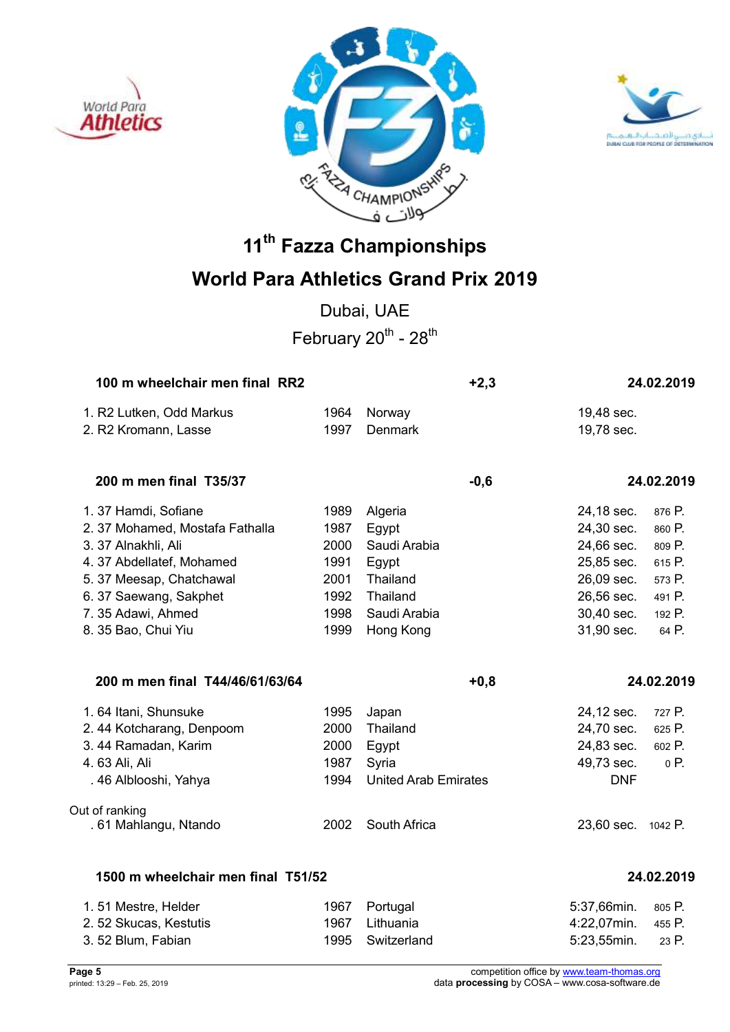





## **World Para Athletics Grand Prix 2019**

Dubai, UAE February  $20^{th}$  -  $28^{th}$ 

| 100 m wheelchair men final RR2     |      | $+2,3$                      |                    | 24.02.2019 |
|------------------------------------|------|-----------------------------|--------------------|------------|
| 1. R2 Lutken, Odd Markus           | 1964 | Norway                      | 19,48 sec.         |            |
| 2. R2 Kromann, Lasse               | 1997 | Denmark                     | 19,78 sec.         |            |
| 200 m men final T35/37             |      | $-0,6$                      |                    | 24.02.2019 |
| 1.37 Hamdi, Sofiane                | 1989 | Algeria                     | 24,18 sec.         | 876 P.     |
| 2.37 Mohamed, Mostafa Fathalla     | 1987 | Egypt                       | 24,30 sec.         | 860 P.     |
| 3. 37 Alnakhli, Ali                | 2000 | Saudi Arabia                | 24,66 sec.         | 809 P.     |
| 4.37 Abdellatef, Mohamed           | 1991 | Egypt                       | 25,85 sec.         | 615 P.     |
| 5. 37 Meesap, Chatchawal           | 2001 | Thailand                    | 26,09 sec.         | 573 P.     |
| 6.37 Saewang, Sakphet              | 1992 | Thailand                    | 26,56 sec.         | 491 P.     |
| 7.35 Adawi, Ahmed                  | 1998 | Saudi Arabia                | 30,40 sec.         | 192 P.     |
| 8. 35 Bao, Chui Yiu                | 1999 | Hong Kong                   | 31,90 sec.         | 64 P.      |
| 200 m men final T44/46/61/63/64    |      | $+0,8$                      |                    | 24.02.2019 |
| 1.64 Itani, Shunsuke               | 1995 | Japan                       | 24,12 sec.         | 727 P.     |
| 2.44 Kotcharang, Denpoom           | 2000 | Thailand                    | 24,70 sec.         | 625 P.     |
| 3.44 Ramadan, Karim                | 2000 | Egypt                       | 24,83 sec.         | 602 P.     |
| 4.63 Ali, Ali                      | 1987 | Syria                       | 49,73 sec.         | 0 P.       |
| . 46 Alblooshi, Yahya              | 1994 | <b>United Arab Emirates</b> | <b>DNF</b>         |            |
| Out of ranking                     |      |                             |                    |            |
| . 61 Mahlangu, Ntando              | 2002 | South Africa                | 23,60 sec. 1042 P. |            |
| 1500 m wheelchair men final T51/52 |      |                             |                    | 24.02.2019 |

| 1.51 Mestre, Helder    | 1967 Portugal    | 5:37,66min. 805 P. |  |
|------------------------|------------------|--------------------|--|
| 2. 52 Skucas, Kestutis | 1967 Lithuania   | 4:22.07min. 455 P. |  |
| 3.52 Blum, Fabian      | 1995 Switzerland | 5:23.55min. 23 P.  |  |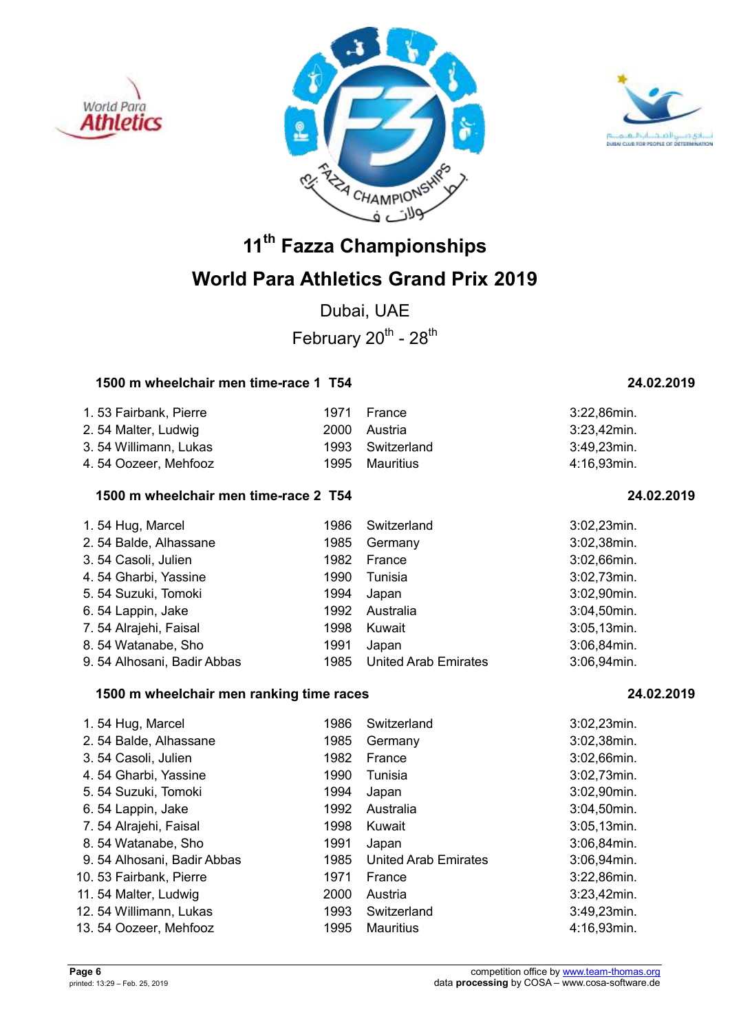





## **World Para Athletics Grand Prix 2019**

Dubai, UAE February  $20^{th}$  -  $28^{th}$ 

### **1500 m wheelchair men time-race 1 T54 24.02.2019**

| 1.53 Fairbank, Pierre | 1971 | France           | 3:22,86min. |
|-----------------------|------|------------------|-------------|
| 2.54 Malter, Ludwig   |      | 2000 Austria     | 3:23,42min. |
| 3.54 Willimann, Lukas |      | 1993 Switzerland | 3:49,23min. |
| 4.54 Oozeer, Mehfooz  |      | 1995 Mauritius   | 4:16.93min. |

### **1500 m wheelchair men time-race 2 T54 24.02.2019**

| 1.54 Hug, Marcel           | 1986 | Switzerland                 | 3:02,23min. |
|----------------------------|------|-----------------------------|-------------|
|                            |      |                             |             |
| 2.54 Balde, Alhassane      | 1985 | Germany                     | 3:02,38min. |
| 3.54 Casoli, Julien        | 1982 | France                      | 3:02,66min. |
| 4.54 Gharbi, Yassine       | 1990 | Tunisia                     | 3:02,73min. |
| 5. 54 Suzuki, Tomoki       | 1994 | Japan                       | 3:02,90min. |
| 6.54 Lappin, Jake          | 1992 | Australia                   | 3:04,50min. |
| 7.54 Alrajehi, Faisal      | 1998 | Kuwait                      | 3:05,13min. |
| 8.54 Watanabe, Sho         | 1991 | Japan                       | 3:06,84min. |
| 9.54 Alhosani, Badir Abbas | 1985 | <b>United Arab Emirates</b> | 3:06,94min. |

### **1500 m wheelchair men ranking time races 24.02.2019**

| 1.54 Hug, Marcel           | 1986 | Switzerland                 | 3:02,23min.    |
|----------------------------|------|-----------------------------|----------------|
| 2.54 Balde, Alhassane      | 1985 | Germany                     | 3:02,38min.    |
| 3.54 Casoli, Julien        | 1982 | France                      | $3:02,66$ min. |
| 4.54 Gharbi, Yassine       | 1990 | Tunisia                     | 3:02,73min.    |
| 5. 54 Suzuki, Tomoki       | 1994 | Japan                       | 3:02,90min.    |
| 6.54 Lappin, Jake          | 1992 | Australia                   | 3:04,50min.    |
| 7.54 Alrajehi, Faisal      | 1998 | Kuwait                      | $3:05,13$ min. |
| 8.54 Watanabe, Sho         | 1991 | Japan                       | 3:06,84min.    |
| 9.54 Alhosani, Badir Abbas | 1985 | <b>United Arab Emirates</b> | 3:06,94min.    |
| 10. 53 Fairbank, Pierre    | 1971 | France                      | 3:22,86min.    |
| 11.54 Malter, Ludwig       | 2000 | Austria                     | $3:23,42$ min. |
| 12. 54 Willimann, Lukas    | 1993 | Switzerland                 | 3:49,23min.    |
| 13.54 Oozeer, Mehfooz      | 1995 | Mauritius                   | 4:16.93min.    |
|                            |      |                             |                |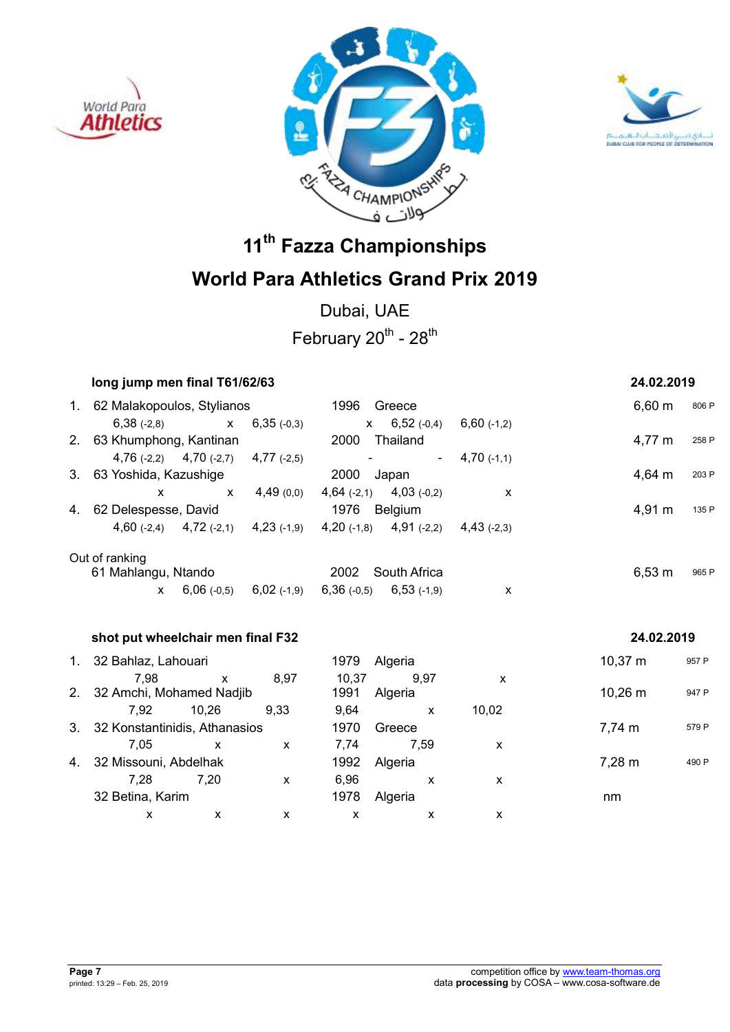





Dubai, UAE February  $20^{th}$  -  $28^{th}$ 

| long jump men final T61/62/63       |                                           |                                 |                |                                                                         |               | 24.02.2019         |       |
|-------------------------------------|-------------------------------------------|---------------------------------|----------------|-------------------------------------------------------------------------|---------------|--------------------|-------|
| 1. 62 Malakopoulos, Stylianos       |                                           |                                 |                | 1996 Greece                                                             |               | $6,60 \; m$        | 806 P |
|                                     |                                           | $6,38$ (-2,8) $x$ $6,35$ (-0,3) |                | $x$ 6,52 (-0,4) 6,60 (-1,2)                                             |               |                    |       |
| 2. 63 Khumphong, Kantinan           |                                           |                                 |                | 2000 Thailand                                                           |               | 4,77 m             | 258 P |
|                                     | 4,76 $(-2,2)$ 4,70 $(-2,7)$ 4,77 $(-2,5)$ |                                 | $\blacksquare$ | $\sim$ $^{-1}$                                                          | $4,70$ (-1,1) |                    |       |
| 3. 63 Yoshida, Kazushige            |                                           |                                 | 2000 Japan     |                                                                         |               | $4,64 \, m$        | 203 P |
| $\mathsf{x}$                        | $\mathsf{X}$                              |                                 |                | $4,49(0,0)$ $4,64(-2,1)$ $4,03(-0,2)$                                   | $\mathsf{x}$  |                    |       |
| 4. 62 Delespesse, David             |                                           |                                 |                | 1976 Belgium                                                            |               | $4,91 \; m$        | 135 P |
|                                     |                                           |                                 |                | 4,60 (-2,4) 4,72 (-2,1) 4,23 (-1,9) 4,20 (-1,8) 4,91 (-2,2) 4,43 (-2,3) |               |                    |       |
| Out of ranking                      |                                           |                                 |                |                                                                         |               |                    |       |
| 61 Mahlangu, Ntando                 |                                           |                                 |                | 2002 South Africa                                                       |               | $6,53 \; m$        | 965 P |
| $\mathbf{x}$                        |                                           |                                 |                | $6,06$ (-0,5) $6,02$ (-1,9) $6,36$ (-0,5) $6,53$ (-1,9)                 | X             |                    |       |
| shot put wheelchair men final F32   |                                           |                                 |                |                                                                         |               | 24.02.2019         |       |
| 1. 32 Bahlaz, Lahouari              |                                           |                                 |                | 1979 Algeria                                                            |               | $10,37 \; m$       | 957 P |
| 7,98<br>2. 32 Amchi, Mohamed Nadjib | $\mathsf{x}$                              | 8,97                            | 10,37<br>1991  | 9,97<br>Algeria                                                         | X             | $10,26 \; m$       | 947 P |
| 7,92                                | 10,26                                     | 9,33                            | 9,64           | $\mathsf{X}$                                                            | 10,02         |                    |       |
| 3. 32 Konstantinidis, Athanasios    |                                           |                                 | 1970           | Greece                                                                  |               | 7,74 m             | 579 P |
| 7,05                                | $\mathsf{x}$                              | $\mathsf{x}$                    | 7,74           | 7,59                                                                    | X             |                    |       |
| 4. 32 Missouni, Abdelhak            |                                           |                                 | 1992           | Algeria                                                                 |               | $7,28 \; \text{m}$ | 490 P |
| 7,28                                | 7,20                                      | $\mathsf{x}$                    | 6,96           | $\mathsf{x}$                                                            | X             |                    |       |
| 32 Betina, Karim                    |                                           |                                 | 1978           | Algeria                                                                 |               | nm                 |       |
| $\mathsf{x}$                        | $\mathsf{x}$                              | $\mathsf{x}$                    | $\mathsf{x}$   | $\mathsf{x}$                                                            | X             |                    |       |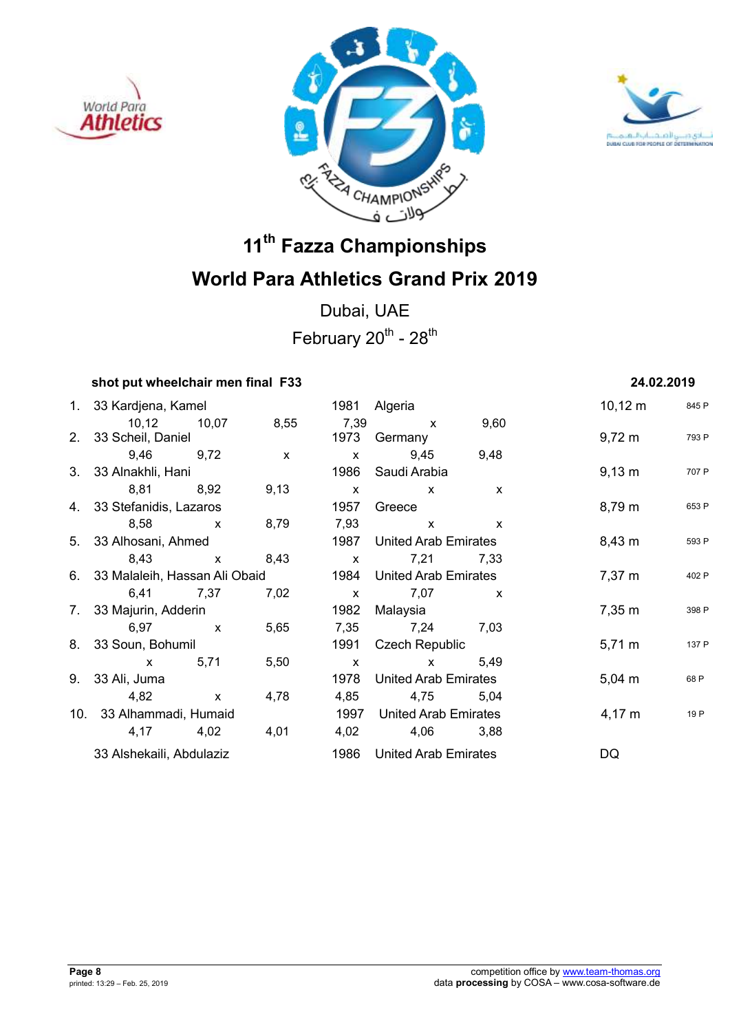





Dubai, UAE February  $20^{th}$  -  $28^{th}$ 

### **shot put wheelchair men final F33 24.02.2019**

| 1. 33 Kardjena, Kamel            |              |              |              | 1981 Algeria                |              | $10,12 \; m$        | 845 F |
|----------------------------------|--------------|--------------|--------------|-----------------------------|--------------|---------------------|-------|
| 10,12 10,07                      |              | 8,55         | 7,39         | $\mathsf{x}$                | 9,60         |                     |       |
| 2. 33 Scheil, Daniel             |              |              |              | 1973 Germany                |              | $9,72 \; m$         | 793 F |
| 9,46 9,72                        |              | $\mathsf{x}$ | $\mathsf{x}$ | 9,45                        | 9,48         |                     |       |
| 3. 33 Alnakhli, Hani             |              |              | 1986         | Saudi Arabia                |              | $9,13 \; m$         | 707 F |
| 8,81 8,92                        |              | 9,13         | $\mathsf{x}$ | $\mathsf{X}$                | $\mathsf{x}$ |                     |       |
| 4. 33 Stefanidis, Lazaros        |              |              | 1957         | Greece                      |              | 8,79 m              | 653 F |
| 8,58                             | $\mathsf{x}$ | 8,79         | 7,93         | $\mathsf{X}$                | $\mathsf{X}$ |                     |       |
| 5. 33 Alhosani, Ahmed            |              |              | 1987         | <b>United Arab Emirates</b> |              | $8,43 \; m$         | 593 F |
| 8,43 x                           |              | 8,43         | $\mathbf{x}$ | 7,21                        | 7,33         |                     |       |
| 6. 33 Malaleih, Hassan Ali Obaid |              |              |              | 1984 United Arab Emirates   |              | 7,37 m              | 402 F |
| 6,41 7,37                        |              | 7,02         | $\mathbf{x}$ | 7,07                        | $\mathsf{x}$ |                     |       |
| 7. 33 Majurin, Adderin           |              |              | 1982         | Malaysia                    |              | $7,35 \; \text{m}$  | 398 F |
| 6,97 x                           |              | 5,65         |              | 7,35 7,24                   | 7,03         |                     |       |
| 8. 33 Soun, Bohumil              |              |              | 1991         | Czech Republic              |              | $5,71 \,\mathrm{m}$ | 137 F |
| x 5,71                           |              | 5,50         | $\mathsf{X}$ | $\mathsf{X}$                | 5,49         |                     |       |
| 9. 33 Ali, Juma                  |              |              | 1978         | United Arab Emirates        |              | $5,04 \; m$         | 68 P  |
| 4,82                             | $\mathsf{X}$ | 4,78         | 4,85         | 4,75                        | 5,04         |                     |       |
| 10. 33 Alhammadi, Humaid         |              |              | 1997         | <b>United Arab Emirates</b> |              | 4,17 m              | 19 P  |
| 4,17 4,02                        |              | 4,01         | 4,02         | 4,06                        | 3,88         |                     |       |
| 33 Alshekaili, Abdulaziz         |              |              | 1986         | United Arab Emirates        |              | DQ                  |       |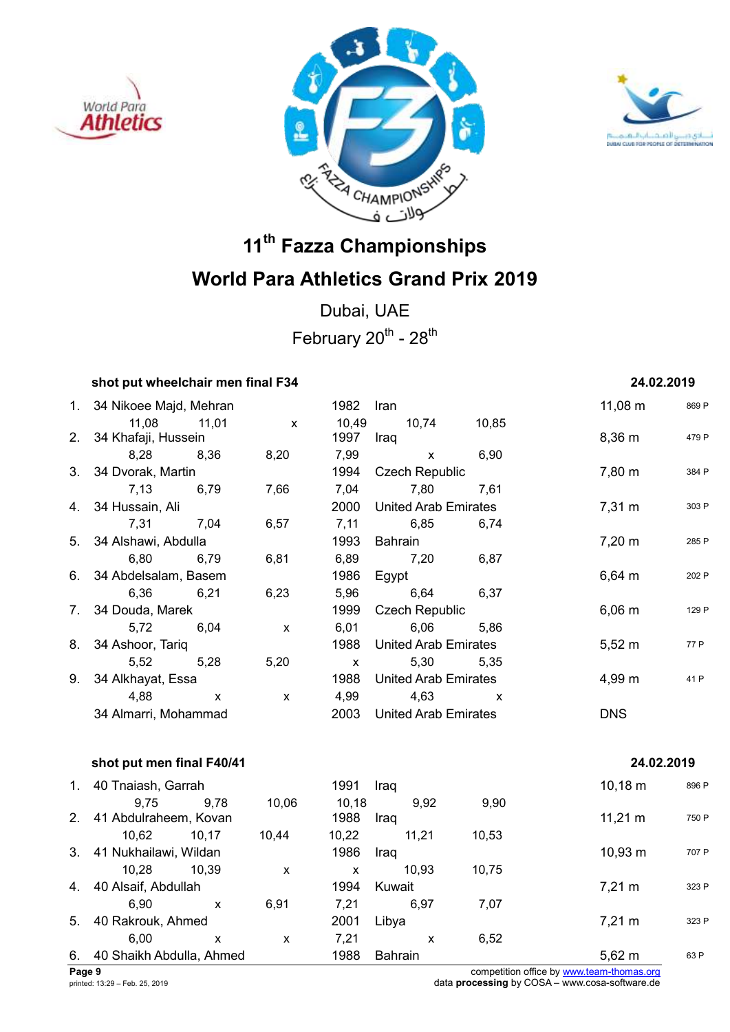





Dubai, UAE February  $20^{th}$  -  $28^{th}$ 

## **shot put wheelchair men final F34** 24.02.2019

|    | 1. 34 Nikoee Majd, Mehran         |                    | 1982         | Iran                        |       | $11,08 \; m$      | 869 P |
|----|-----------------------------------|--------------------|--------------|-----------------------------|-------|-------------------|-------|
|    | 11,08<br>11,01                    | $\mathsf{x}$       | 10,49        | 10,74                       | 10,85 |                   |       |
|    | 2. 34 Khafaji, Hussein            |                    | 1997         | Iraq                        |       | 8,36 m            | 479 P |
|    | 8,28<br>8,36                      | 8,20               | 7,99         | $\mathsf{x}$                | 6,90  |                   |       |
|    | 3. 34 Dvorak, Martin              |                    | 1994         | <b>Czech Republic</b>       |       | 7,80 m            | 384 P |
|    | 7,13<br>6,79                      | 7,66               | 7,04         | 7,80                        | 7,61  |                   |       |
|    | 4. 34 Hussain, Ali                |                    | 2000         | <b>United Arab Emirates</b> |       | $7,31 \text{ m}$  | 303 P |
|    | 7,31<br>7,04                      | 6,57               | 7,11         | 6,85                        | 6,74  |                   |       |
|    | 5. 34 Alshawi, Abdulla            |                    | 1993         | Bahrain                     |       | $7,20 \; m$       | 285 P |
|    | 6,80<br>6,79                      | 6,81               | 6,89         | 7,20                        | 6,87  |                   |       |
|    | 6. 34 Abdelsalam, Basem           |                    | 1986         | Egypt                       |       | $6,64 \, m$       | 202 P |
|    | 6,36<br>6,21                      | 6,23               | 5,96         | 6,64                        | 6,37  |                   |       |
|    | 7. 34 Douda, Marek                |                    |              | <b>Czech Republic</b>       |       | $6,06 \, m$       | 129 P |
|    | 5,72<br>6,04                      | $\mathsf{x}$       | 6,01         | 6,06                        | 5,86  |                   |       |
|    | 8. 34 Ashoor, Tariq               |                    | 1988         | <b>United Arab Emirates</b> |       | $5,52 \; m$       | 77 P  |
|    | 5,52<br>5,28                      | 5,20               | $\mathsf{X}$ | 5,30                        | 5,35  |                   |       |
| 9. | 34 Alkhayat, Essa                 |                    | 1988         | United Arab Emirates        |       | 4,99 m            | 41 P  |
|    | 4,88<br>$\mathsf{x}$              | $\pmb{\mathsf{X}}$ | 4,99         | 4,63                        | X     |                   |       |
|    | 34 Almarri, Mohammad              |                    | 2003         | <b>United Arab Emirates</b> |       | <b>DNS</b>        |       |
|    | shot put men final F40/41         |                    |              |                             |       | 24.02.2019        |       |
|    |                                   |                    |              |                             |       |                   |       |
|    | 1. 40 Tnaiash, Garrah             |                    | 1991         | Iraq                        |       | $10,18 \; m$      | 896 P |
|    | 9,75<br>9,78                      | 10,06              | 10,18        | 9,92                        | 9,90  |                   |       |
|    | 2. 41 Abdulraheem, Kovan          |                    | 1988         | Iraq                        |       | $11,21 \text{ m}$ | 750 P |
|    | 10,62 10,17                       | 10,44              | 10,22        | 11,21                       | 10,53 |                   |       |
|    | 3. 41 Nukhailawi, Wildan          |                    | 1986         | Iraq                        |       | $10,93 \; m$      | 707 P |
|    | 10,28 10,39                       | $\mathsf{X}$       | $\mathbf{X}$ | 10,93                       | 10,75 |                   |       |
|    | 4. 40 Alsaif, Abdullah            |                    | 1994         | Kuwait                      |       | $7,21 \text{ m}$  | 323 P |
|    | 6,90<br>$\boldsymbol{\mathsf{X}}$ | 6,91               | 7,21         | 6,97                        | 7,07  |                   |       |
|    | 5. 40 Rakrouk, Ahmed              |                    | 2001         | Libya                       |       | 7,21 m            | 323 P |

6. 40 Shaikh Abdulla, Ahmed 1988 Bahrain 1988 and 5,62 m 63 P

6,00 x x 7,21 x 6,52

**Page 9** competition office by www.team-thomas.org printed: 13:29 – Feb. 25, 2019 data **processing** by COSA – www.cosa-software.de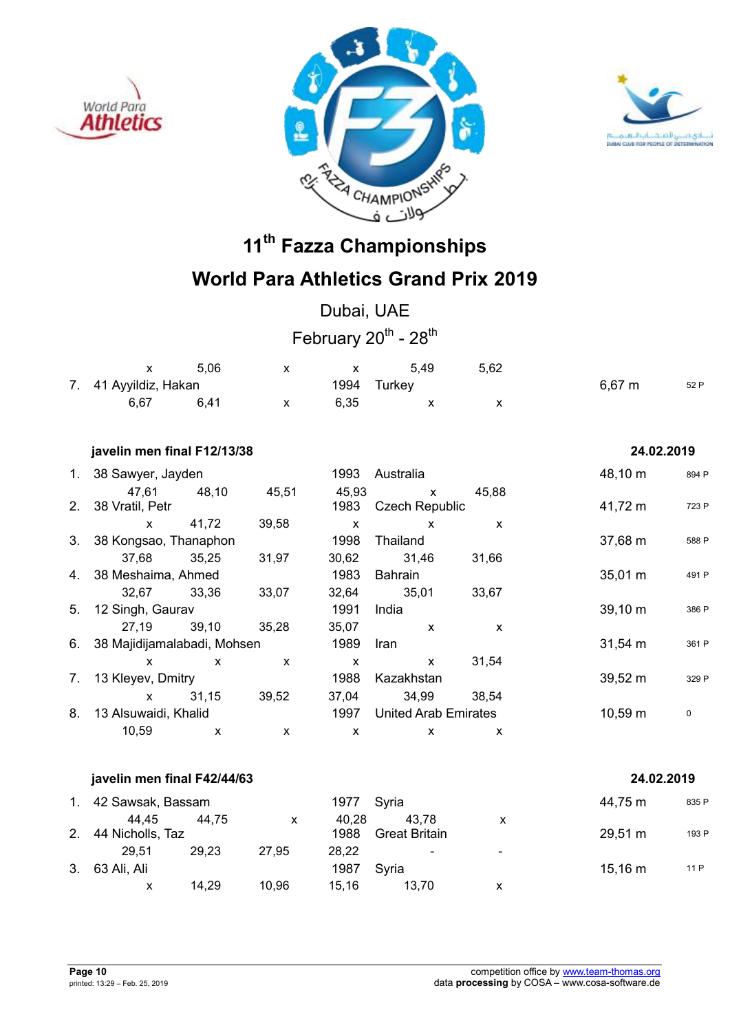





## **World Para Athletics Grand Prix 2019**

Dubai, UAE February  $20^{th}$  -  $28^{th}$ 

|                       | 5.06 |      | 5.49        | 5.62 |             |      |
|-----------------------|------|------|-------------|------|-------------|------|
| 7. 41 Ayyildiz, Hakan |      |      | 1994 Turkey |      | $6,67 \; m$ | 52 P |
| 6.67                  | 6.41 | 6.35 |             |      |             |      |

### **javelin men final F12/13/38 24.02.2019**

| $1_{\cdot}$    | 38 Sawyer, Jayden              |              |       | 1993                        | Australia             |                   | 48,10 m           | 894 P |
|----------------|--------------------------------|--------------|-------|-----------------------------|-----------------------|-------------------|-------------------|-------|
|                | 47,61                          | 48,10        | 45,51 | 45,93                       | $\mathsf{x}$          | 45,88             |                   |       |
| 2 <sub>1</sub> | 38 Vratil, Petr                |              |       | 1983                        | <b>Czech Republic</b> |                   | 41,72 m           | 723 P |
|                | $\mathsf{x}$                   | 41,72        | 39,58 | X                           | $\mathsf{x}$          | X                 |                   |       |
|                | 3. 38 Kongsao, Thanaphon       |              |       | 1998                        | Thailand              |                   | 37,68 m           | 588 P |
|                | 37,68                          | 35,25        | 31,97 | 30,62                       | 31,46                 | 31,66             |                   |       |
|                | 4. 38 Meshaima, Ahmed          |              |       | 1983                        | Bahrain               |                   | 35,01 m           | 491 P |
|                | 32,67                          | 33,36        | 33,07 | 32,64                       | 35,01                 | 33,67             |                   |       |
| 5.             | 12 Singh, Gaurav               |              |       | 1991                        | India                 |                   | 39,10 m           | 386 P |
|                | 27,19                          | 39,10        | 35,28 | 35,07                       | X                     | X                 |                   |       |
|                | 6. 38 Majidijamalabadi, Mohsen |              |       | 1989                        | Iran                  |                   | $31,54 \text{ m}$ | 361 P |
|                | x                              | $\mathsf{x}$ | X     | X                           | $\mathsf{x}$          | 31,54             |                   |       |
| 7.             | 13 Kleyev, Dmitry              |              |       | 1988                        | Kazakhstan            |                   | $39,52 \text{ m}$ | 329 P |
|                | $\mathsf{x}$                   | 31,15        | 39,52 | 37,04                       | 34,99                 | 38.54             |                   |       |
| 8.             | 13 Alsuwaidi, Khalid           |              | 1997  | <b>United Arab Emirates</b> |                       | $10,59 \text{ m}$ | $\mathbf 0$       |       |
|                | 10,59                          | X            | X     | X                           | X                     | x                 |                   |       |
|                |                                |              |       |                             |                       |                   |                   |       |

### **javelin men final F42/44/63 24.02.2019**

|    | 1. 42 Sawsak, Bassam |       |       | 1977 Syria |               |                          | 44,75 m           | 835 P |
|----|----------------------|-------|-------|------------|---------------|--------------------------|-------------------|-------|
|    | 44.45                | 44.75 | x     | 40.28      | 43.78         | x                        |                   |       |
|    | 2. 44 Nicholls, Taz  |       |       | 1988       | Great Britain |                          | $29,51 \text{ m}$ | 193 P |
|    | 29.51                | 29.23 | 27.95 | 28.22      | ۰.            | $\overline{\phantom{0}}$ |                   |       |
| 3. | 63 Ali, Ali          |       |       | 1987       | Svria         |                          | $15,16 \; m$      | 11 P  |
|    | х                    | 14.29 | 10.96 | 15.16      | 13.70         | х                        |                   |       |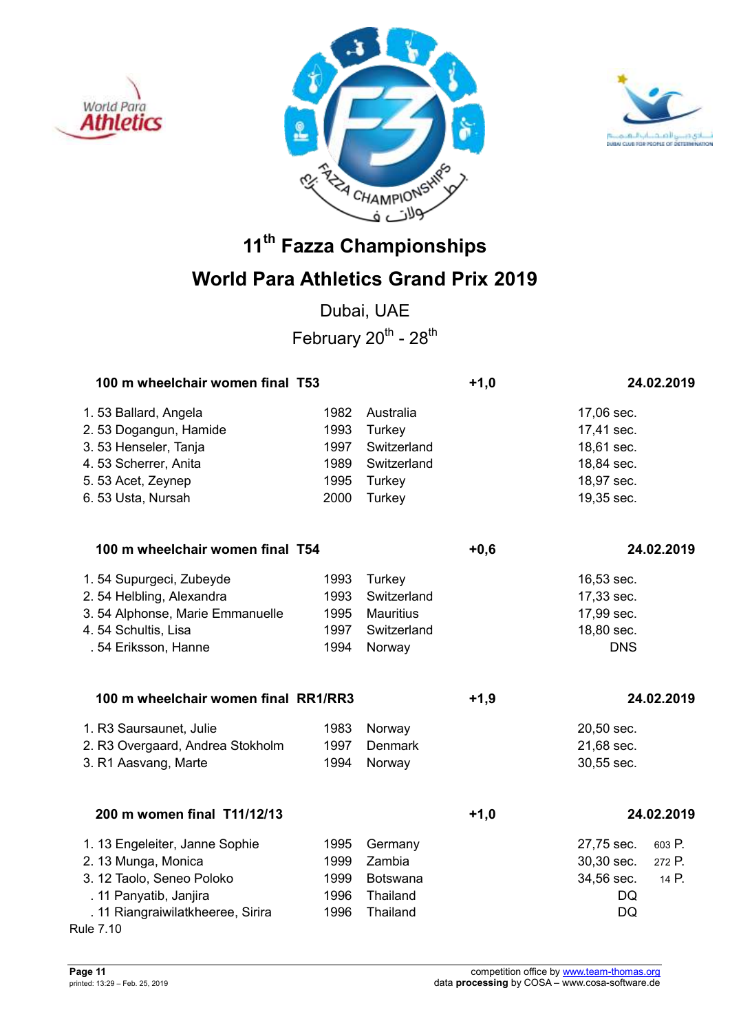





## **World Para Athletics Grand Prix 2019**

Dubai, UAE February  $20^{th}$  -  $28^{th}$ 

| 100 m wheelchair women final T53     |      |                  | $+1,0$ |            | 24.02.2019 |
|--------------------------------------|------|------------------|--------|------------|------------|
| 1.53 Ballard, Angela                 | 1982 | Australia        |        | 17,06 sec. |            |
| 2.53 Dogangun, Hamide                | 1993 | Turkey           |        | 17,41 sec. |            |
| 3.53 Henseler, Tanja                 | 1997 | Switzerland      |        | 18,61 sec. |            |
| 4.53 Scherrer, Anita                 | 1989 | Switzerland      |        | 18,84 sec. |            |
| 5.53 Acet, Zeynep                    | 1995 | Turkey           |        | 18,97 sec. |            |
| 6.53 Usta, Nursah                    | 2000 | <b>Turkey</b>    |        | 19,35 sec. |            |
| 100 m wheelchair women final T54     |      |                  | $+0,6$ |            | 24.02.2019 |
| 1.54 Supurgeci, Zubeyde              | 1993 | Turkey           |        | 16,53 sec. |            |
| 2.54 Helbling, Alexandra             | 1993 | Switzerland      |        | 17,33 sec. |            |
| 3.54 Alphonse, Marie Emmanuelle      | 1995 | <b>Mauritius</b> |        | 17,99 sec. |            |
| 4.54 Schultis, Lisa                  | 1997 | Switzerland      |        | 18,80 sec. |            |
| . 54 Eriksson, Hanne                 | 1994 | Norway           |        | <b>DNS</b> |            |
| 100 m wheelchair women final RR1/RR3 |      |                  | $+1,9$ |            | 24.02.2019 |
| 1. R3 Saursaunet, Julie              | 1983 | Norway           |        | 20,50 sec. |            |
| 2. R3 Overgaard, Andrea Stokholm     | 1997 | <b>Denmark</b>   |        | 21,68 sec. |            |
| 3. R1 Aasvang, Marte                 | 1994 | Norway           |        | 30,55 sec. |            |
| 200 m women final T11/12/13          |      |                  | $+1,0$ |            | 24.02.2019 |
| 1. 13 Engeleiter, Janne Sophie       | 1995 | Germany          |        | 27,75 sec. | 603 P.     |
| 2. 13 Munga, Monica                  | 1999 | Zambia           |        | 30,30 sec. | 272 P.     |
| 3. 12 Taolo, Seneo Poloko            | 1999 | Botswana         |        | 34,56 sec. | 14 P.      |
| . 11 Panyatib, Janjira               | 1996 | Thailand         |        | DQ         |            |
| . 11 Riangraiwilatkheeree, Sirira    | 1996 | Thailand         |        | DQ         |            |
| <b>Rule 7.10</b>                     |      |                  |        |            |            |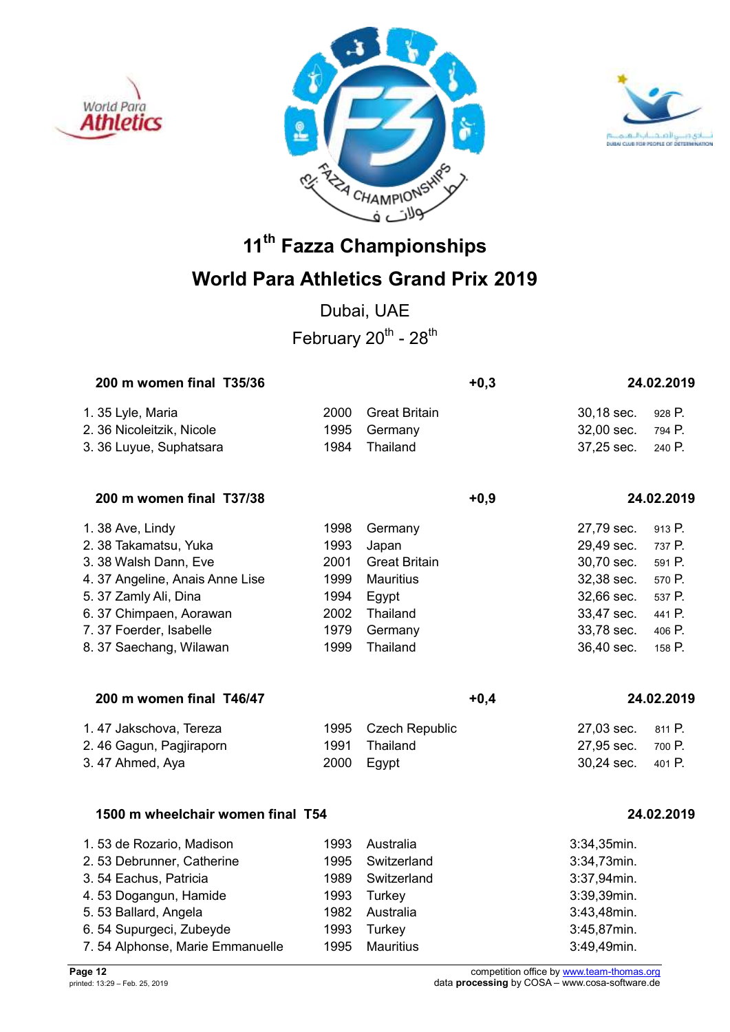





## **World Para Athletics Grand Prix 2019**

Dubai, UAE February  $20^{th}$  -  $28^{th}$ 

| 200 m women final T35/36        |      |                      | $+0,3$ |            | 24.02.2019 |
|---------------------------------|------|----------------------|--------|------------|------------|
| 1. 35 Lyle, Maria               | 2000 | <b>Great Britain</b> |        | 30,18 sec. | 928 P.     |
| 2. 36 Nicoleitzik, Nicole       | 1995 | Germany              |        | 32,00 sec. | 794 P.     |
| 3. 36 Luyue, Suphatsara         | 1984 | Thailand             |        | 37,25 sec. | 240 P.     |
| 200 m women final T37/38        |      |                      | $+0,9$ |            | 24.02.2019 |
| 1.38 Ave, Lindy                 | 1998 | Germany              |        | 27,79 sec. | 913 P.     |
| 2. 38 Takamatsu, Yuka           | 1993 | Japan                |        | 29,49 sec. | 737 P.     |
| 3. 38 Walsh Dann, Eve           | 2001 | <b>Great Britain</b> |        | 30,70 sec. | 591 P.     |
| 4. 37 Angeline, Anais Anne Lise | 1999 | <b>Mauritius</b>     |        | 32,38 sec. | 570 P.     |
| 5. 37 Zamly Ali, Dina           | 1994 | Egypt                |        | 32,66 sec. | 537 P.     |
| 6. 37 Chimpaen, Aorawan         | 2002 | Thailand             |        | 33,47 sec. | 441 P.     |
| 7.37 Foerder, Isabelle          | 1979 | Germany              |        | 33,78 sec. | 406 P.     |
| 8. 37 Saechang, Wilawan         | 1999 | Thailand             |        | 36,40 sec. | 158 P.     |
|                                 |      |                      |        |            |            |
|                                 |      |                      |        |            |            |

| 1.47 Jakschova, Tereza  | 1995 Czech Republic | 27,03 sec. 811 P. |  |
|-------------------------|---------------------|-------------------|--|
| 2.46 Gagun, Pagjiraporn | 1991 Thailand       | 27,95 sec. 700 P. |  |
| 3.47 Ahmed, Aya         | 2000 Egypt          | 30.24 sec. 401 P. |  |

**200 m women final T46/47 +0,4 24.02.2019** 

### **1500 m wheelchair women final T54 24.02.2019**

| 1.53 de Rozario, Madison        | 1993 | Australia   | $3:34,35$ min. |
|---------------------------------|------|-------------|----------------|
| 2.53 Debrunner, Catherine       | 1995 | Switzerland | 3:34,73min.    |
| 3.54 Eachus, Patricia           | 1989 | Switzerland | 3:37,94min.    |
| 4.53 Dogangun, Hamide           | 1993 | Turkey      | 3:39,39min.    |
| 5.53 Ballard, Angela            | 1982 | Australia   | 3:43,48min.    |
| 6.54 Supurgeci, Zubeyde         | 1993 | Turkey      | 3:45,87min.    |
| 7.54 Alphonse, Marie Emmanuelle | 1995 | Mauritius   | 3:49,49min.    |

**Page 12** competition office by www.team-thomas.org printed: 13:29 – Feb. 25, 2019 data **processing** by COSA – www.cosa-software.de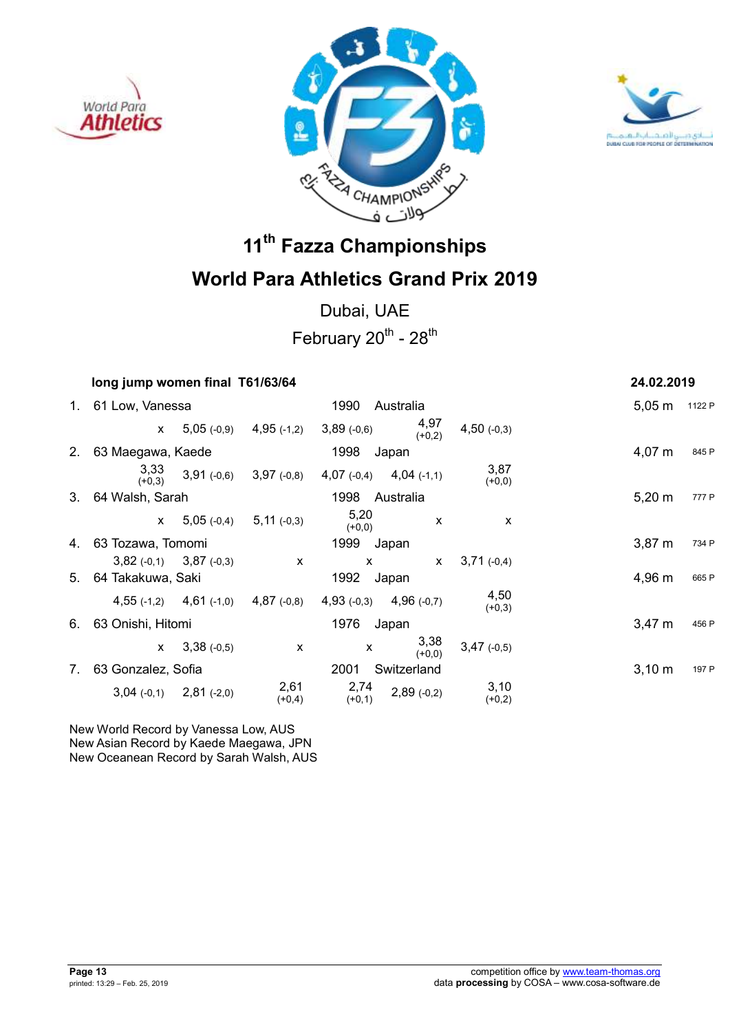





Dubai, UAE

February  $20^{th}$  -  $28^{th}$ 

| long jump women final T61/63/64 |                  |                                                                       |                             |                  |                           |                    | 24.02.2019    |
|---------------------------------|------------------|-----------------------------------------------------------------------|-----------------------------|------------------|---------------------------|--------------------|---------------|
| 1. 61 Low, Vanessa              |                  |                                                                       | 1990                        | Australia        |                           |                    | 5,05 m 1122 P |
| $\mathsf{x}$                    |                  | $5,05(-0,9)$ $4,95(-1,2)$                                             | $3,89$ (-0,6)               | 4,97<br>$(+0,2)$ | $4,50$ (-0,3)             |                    |               |
| 2. 63 Maegawa, Kaede            |                  |                                                                       | 1998                        | Japan            |                           | $4,07 \; m$        | 845 P         |
| 3,33<br>$(+0.3)$                |                  | $3,91(-0,6)$ $3,97(-0,8)$                                             | 4,07 $(-0,4)$ 4,04 $(-1,1)$ |                  | 3,87<br>$(+0,0)$          |                    |               |
| 3. 64 Walsh, Sarah              |                  |                                                                       | 1998                        | Australia        |                           | $5,20 \; m$        | 777 P         |
|                                 |                  | $x$ 5,05 (-0,4) 5,11 (-0,3)                                           | 5,20<br>$(+0,0)$            | X                | $\boldsymbol{\mathsf{x}}$ |                    |               |
| 4. 63 Tozawa, Tomomi            |                  |                                                                       | 1999 Japan                  |                  |                           | 3.87 <sub>m</sub>  | 734 P         |
| $3,82$ (-0,1) $3,87$ (-0,3)     |                  | $\mathsf{X}$                                                          | $\mathsf{x}$                | $\mathsf{x}$     | $3,71(-0,4)$              |                    |               |
| 5. 64 Takakuwa, Saki            |                  |                                                                       | 1992 Japan                  |                  |                           | 4,96 m             | 665 P         |
|                                 |                  | 4,55 $(-1,2)$ 4,61 $(-1,0)$ 4,87 $(-0,8)$ 4,93 $(-0,3)$ 4,96 $(-0,7)$ |                             |                  | 4.50<br>$(+0,3)$          |                    |               |
| 6. 63 Onishi, Hitomi            |                  |                                                                       | 1976                        | Japan            |                           | $3,47 \; m$        | 456 P         |
|                                 | $x = 3,38(-0,5)$ | X                                                                     | X                           | 3,38<br>$(+0.0)$ | $3,47$ (-0,5)             |                    |               |
| 7. 63 Gonzalez, Sofia           |                  |                                                                       | 2001                        | Switzerland      |                           | $3,10 \; \text{m}$ | 197 P         |
| $3,04$ (-0,1) $2,81$ (-2,0)     |                  | 2,61<br>$(+0,4)$                                                      | 2,74<br>$(+0,1)$            | $2,89(-0,2)$     | 3,10<br>$(+0,2)$          |                    |               |
|                                 |                  |                                                                       |                             |                  |                           |                    |               |

New World Record by Vanessa Low, AUS New Asian Record by Kaede Maegawa, JPN New Oceanean Record by Sarah Walsh, AUS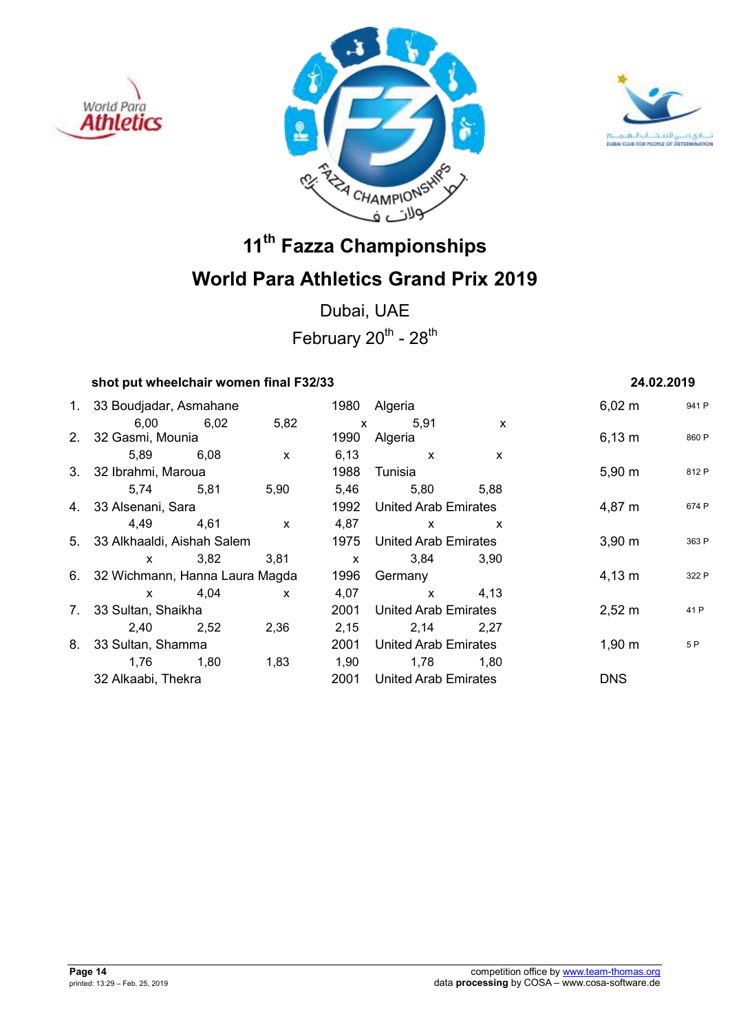





Dubai, UAE February  $20^{th}$  -  $28^{th}$ 

### **shot put wheelchair women final F32/33 24.02.2019**

1. 33 Boudiadar, Asmahane 1980 Algeria 1980 Algeria 1980 Boudianus 1941 P 6,00 6,02 5,82 x 5,91 x 2. 32 Gasmi, Mounia 1990 Algeria 6,13 m <sup>860</sup> <sup>P</sup> 5,89 6,08 x 6,13 x x 3. 32 Ibrahmi, Maroua 1988 Tunisia 1988 Tunisia 5,90 m 812 P 5,74 5,81 5,90 5,46 5,80 5,88 4. 33 Alsenani, Sara 1992 United Arab Emirates 4,87 m <sup>674</sup> <sup>P</sup> 4,49 4,61 x 4,87 x x 5. 33 Alkhaaldi, Aishah Salem 1975 United Arab Emirates 3,90 m 363 P x 3,82 3,81 x 3,84 3,90 6. 32 Wichmann, Hanna Laura Magda 1996 Germany 1998 1998 1998 1998 1908 1914 1922 P x 4,04 x 4,07 x 4,13 7. 33 Sultan, Shaikha 2001 United Arab Emirates 2,52 m <sup>41</sup> <sup>P</sup> 2,40 2,52 2,36 2,15 2,14 2,27 8. 33 Sultan, Shamma 2001 United Arab Emirates 1,90 m <sup>5</sup> <sup>P</sup> 1,76 1,80 1,83 1,90 1,78 1,80 32 Alkaabi, Thekra 2001 United Arab Emirates DNS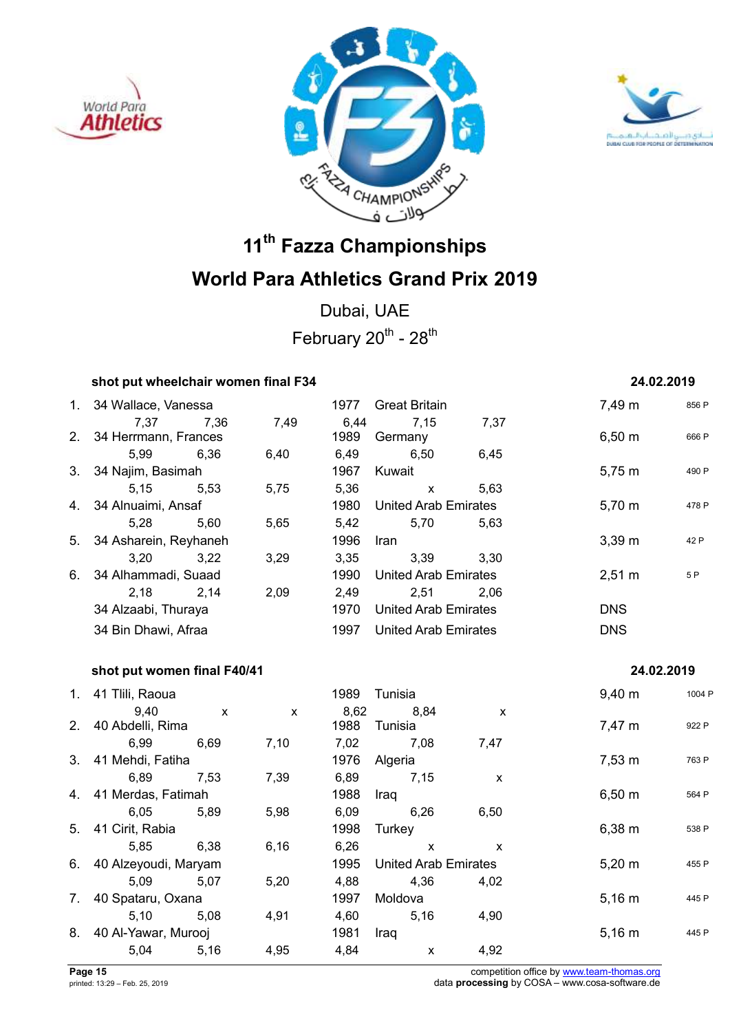





Dubai, UAE February  $20^{th}$  -  $28^{th}$ 

### **shot put wheelchair women final F34** 24.02.2019

## 1. 34 Wallace, Vanessa 1977 Great Britain 7,49 m <sup>856</sup> <sup>P</sup> 7,37 7,36 7,49 6,44 7,15 7,37 2. 34 Herrmann, Frances 1989 Germany 6,50 m 666 P 5,99 6,36 6,40 6,49 6,50 6,45 3. 34 Najim, Basimah 1967 Kuwait 5,75 m <sup>490</sup> <sup>P</sup> 5,15 5,53 5,75 5,36 x 5,63 4. 34 Alnuaimi, Ansaf 1980 United Arab Emirates 5,70 m <sup>478</sup> <sup>P</sup> 5,28 5,60 5,65 5,42 5,70 5,63 5. 34 Asharein, Reyhaneh 1996 Iran 3,39 m  $^{42}$  P 3,20 3,22 3,29 3,35 3,39 3,30 6. 34 Alhammadi, Suaad 1990 United Arab Emirates 1950 1990 1990 United Arab Emirates 1990 1990 1991 1990 1991 2,18 2,14 2,09 2,49 2,51 2,06 34 Alzaabi, Thuraya 1970 United Arab Emirates DNS 34 Bin Dhawi, Afraa 1997 United Arab Emirates DNS

### **shot put women final F40/41 24.02.2019**

### 1. 41 Tilli, Raoua 1989 - 1989 Tunisia 1989 - 1989 - 1998 Punisia 1998 - 1998 - 1998 Punisia 1998 Punisia 199 9,40 x x 8,62 8,84 x 2. 40 Abdelli, Rima 1988 Tunisia 7,47 m <sup>922</sup> <sup>P</sup> 6,99 6,69 7,10 7,02 7,08 7,47 3. 41 Mehdi, Fatiha 1976 Algeria 1976 Algeria 1976 Prosent 1976 at 1976 Prosent 1976 at 1976 Prosent 1976 Pros 6,89 7,53 7,39 6,89 7,15 x 4. 41 Merdas, Fatimah 1988 Iraq 1989 Iraq 6,50 m 564 P 6,05 5,89 5,98 6,09 6,26 6,50 5. 41 Cirit, Rabia 1998 Turkey 6,38 m <sup>538</sup> <sup>P</sup> 5,85 6,38 6,16 6,26 x x 6. 40 Alzeyoudi, Maryam 1995 United Arab Emirates 5,20 m 455 P 5,09 5,07 5,20 4,88 4,36 4,02 7. 40 Spataru, Oxana 1997 Moldova 5,16 m <sup>445</sup> <sup>P</sup> 5,10 5,08 4,91 4,60 5,16 4,90 8. 40 Al-Yawar, Murooj 1981 Iraq 5,16 m <sup>445</sup> <sup>P</sup> 5,04 5,16 4,95 4,84 x 4,92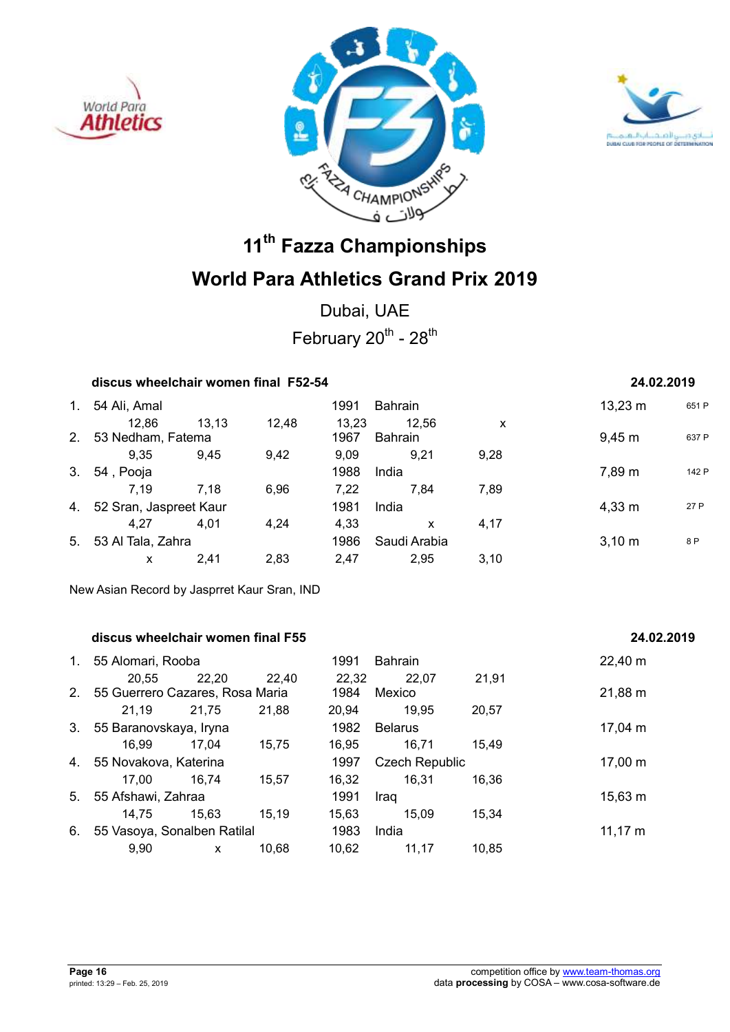





Dubai, UAE February  $20^{th}$  -  $28^{th}$ 

| discus wheelchair women final F52-54 | 24.02.2019 |
|--------------------------------------|------------|
|                                      |            |

| 1. | 54 Ali, Amal              |       |       | 1991  | <b>Bahrain</b> |      | $13,23 \; m$ | 651 F |
|----|---------------------------|-------|-------|-------|----------------|------|--------------|-------|
|    | 12,86                     | 13,13 | 12,48 | 13,23 | 12,56          | X    |              |       |
|    | 2. 53 Nedham, Fatema      |       |       | 1967  | Bahrain        |      | $9,45 \; m$  | 637 F |
|    | 9.35                      | 9.45  | 9,42  | 9.09  | 9.21           | 9,28 |              |       |
| 3. | 54, Pooja                 |       |       | 1988  | India          |      | 7,89 m       | 142 F |
|    | 7.19                      | 7.18  | 6.96  | 7.22  | 7.84           | 7,89 |              |       |
|    | 4. 52 Sran, Jaspreet Kaur |       |       | 1981  | India          |      | $4,33 \; m$  | 27 P  |
|    | 4.27                      | 4.01  | 4.24  | 4.33  | x              | 4.17 |              |       |
|    | 5. 53 Al Tala, Zahra      |       |       | 1986  | Saudi Arabia   |      | $3,10 \; m$  | 8 P   |
|    | x                         | 2.41  | 2.83  | 2.47  | 2,95           | 3,10 |              |       |

New Asian Record by Jasprret Kaur Sran, IND

### **discus wheelchair women final F55 24.02.2019**

| 1.                                | 55 Alomari, Rooba               |       |       | 1991           | <b>Bahrain</b>        |              | 22,40 m      |
|-----------------------------------|---------------------------------|-------|-------|----------------|-----------------------|--------------|--------------|
|                                   | 20,55                           | 22,20 | 22,40 | 22,32          | 22,07                 | 21,91        |              |
| 2.                                | 55 Guerrero Cazares, Rosa Maria |       |       | 1984           | Mexico                |              | 21,88 m      |
|                                   | 21,19                           | 21,75 | 21,88 | 20.94          | 19,95                 | 20,57        |              |
| 3.<br>55 Baranovskaya, Iryna      |                                 |       | 1982  | <b>Belarus</b> |                       | $17,04 \; m$ |              |
|                                   | 16.99                           | 17.04 | 15.75 | 16.95          | 16,71                 | 15.49        |              |
| 4.                                | 55 Novakova, Katerina           |       |       | 1997           | <b>Czech Republic</b> | $17,00 \; m$ |              |
|                                   | 17.00                           | 16,74 | 15.57 | 16,32          | 16,31                 | 16.36        |              |
| 5.                                | 55 Afshawi, Zahraa              |       |       | 1991           | Iraq                  |              | $15,63 \; m$ |
|                                   | 14.75                           | 15.63 | 15.19 | 15.63          | 15.09                 | 15.34        |              |
| 55 Vasoya, Sonalben Ratilal<br>6. |                                 |       |       | 1983           | India                 |              | $11,17 \; m$ |
|                                   | 9.90                            | X     | 10.68 | 10.62          | 11,17                 | 10,85        |              |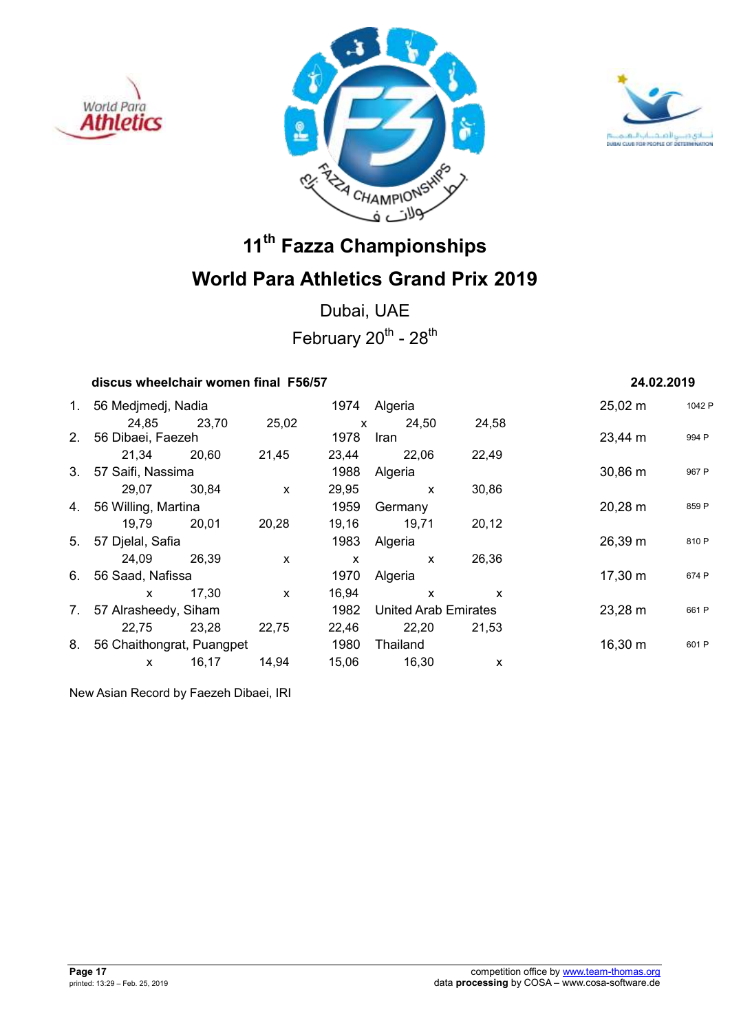





Dubai, UAE February  $20^{th}$  -  $28^{th}$ 

## **discus wheelchair women final F56/57 24.02.2019**

| 1. | 56 Medjmedj, Nadia        |       |                           | 1974         | Algeria                     |       | $25,02 \; m$ | 1042 F |
|----|---------------------------|-------|---------------------------|--------------|-----------------------------|-------|--------------|--------|
|    | 24,85                     | 23,70 | 25,02                     | $\mathsf{x}$ | 24,50                       | 24,58 |              |        |
|    | 2. 56 Dibaei, Faezeh      |       |                           | 1978         | <b>Iran</b>                 |       | 23,44 m      | 994 P  |
|    | 21.34                     | 20.60 | 21,45                     | 23,44        | 22,06                       | 22,49 |              |        |
|    | 3. 57 Saifi, Nassima      |       |                           | 1988         | Algeria                     |       | $30,86 \; m$ | 967 P  |
|    | 29,07                     | 30,84 | $\boldsymbol{\mathsf{x}}$ | 29,95        | $\mathsf{x}$                | 30,86 |              |        |
|    | 4. 56 Willing, Martina    |       |                           | 1959         | Germany                     |       | $20,28 \; m$ | 859 P  |
|    | 19,79                     | 20.01 | 20,28                     | 19,16        | 19,71                       | 20,12 |              |        |
| 5. | 57 Djelal, Safia          |       |                           | 1983         | Algeria                     |       | 26,39 m      | 810 P  |
|    | 24.09                     | 26.39 | X                         | X            | $\mathsf{x}$                | 26,36 |              |        |
| 6. | 56 Saad, Nafissa          |       |                           | 1970         | Algeria                     |       | 17,30 m      | 674 P  |
|    | X                         | 17,30 | $\mathsf{x}$              | 16,94        | $\mathsf{x}$                | X     |              |        |
| 7. | 57 Alrasheedy, Siham      |       |                           | 1982         | <b>United Arab Emirates</b> |       | 23,28 m      | 661 P  |
|    | 22,75                     | 23,28 | 22,75                     | 22,46        | 22,20                       | 21,53 |              |        |
| 8. | 56 Chaithongrat, Puangpet |       |                           | 1980         | Thailand                    |       | $16,30 \; m$ | 601 P  |
|    | X                         | 16,17 | 14,94                     | 15,06        | 16,30                       | X     |              |        |

New Asian Record by Faezeh Dibaei, IRI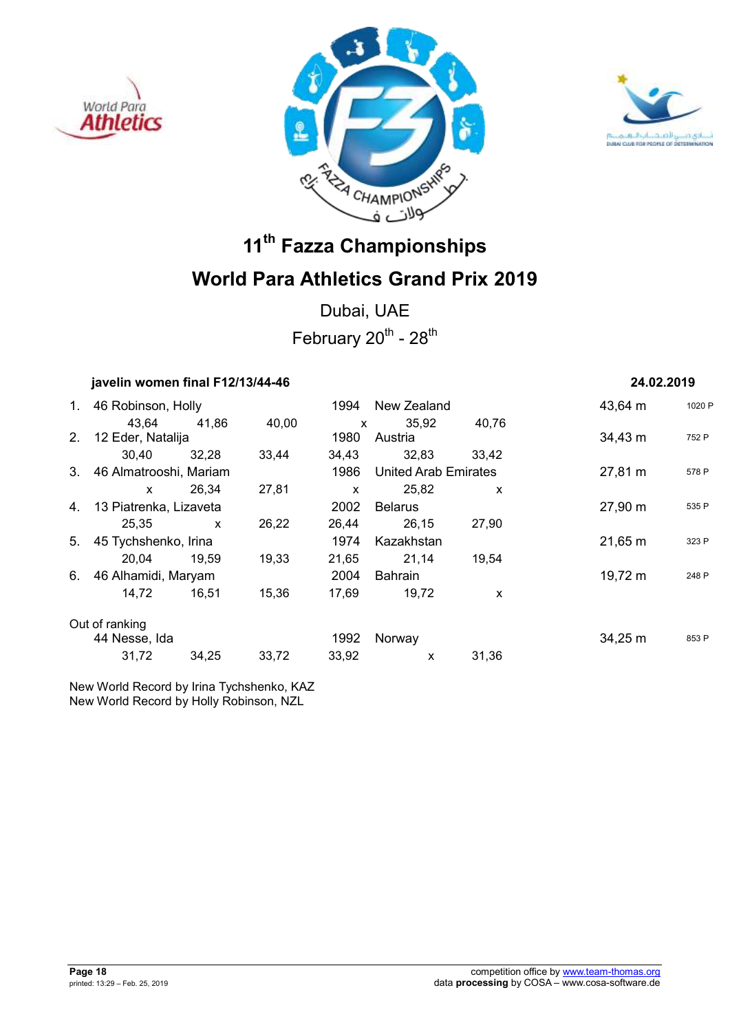





Dubai, UAE February  $20^{th}$  -  $28^{th}$ 

|    | javelin women final F12/13/44-46 | 24.02.2019   |       |              |                             |              |              |        |
|----|----------------------------------|--------------|-------|--------------|-----------------------------|--------------|--------------|--------|
| 1. | 46 Robinson, Holly               |              |       | 1994         | New Zealand                 |              | 43,64 m      | 1020 F |
|    | 43.64                            | 41.86        | 40,00 | $\mathsf{x}$ | 35,92                       | 40,76        |              |        |
|    | 2. 12 Eder, Natalija             |              |       | 1980         | Austria                     |              | 34,43 m      | 752 P  |
|    | 30,40                            | 32,28        | 33,44 | 34,43        | 32,83                       | 33.42        |              |        |
|    | 3. 46 Almatrooshi, Mariam        |              |       | 1986         | <b>United Arab Emirates</b> |              | 27,81 m      | 578 P  |
|    | $\mathsf{x}$                     | 26,34        | 27,81 | X            | 25,82                       | $\mathsf{x}$ |              |        |
| 4. | 13 Piatrenka, Lizaveta           |              |       | 2002         | <b>Belarus</b>              |              | 27,90 m      | 535 P  |
|    | 25,35                            | $\mathsf{x}$ | 26,22 | 26,44        | 26,15                       | 27,90        |              |        |
| 5. | 45 Tychshenko, Irina             |              |       | 1974         | Kazakhstan                  |              | $21,65 \, m$ | 323 P  |
|    | 20,04                            | 19,59        | 19,33 | 21,65        | 21,14                       | 19,54        |              |        |
| 6. | 46 Alhamidi, Maryam              |              |       | 2004         | Bahrain                     |              | 19,72 m      | 248 P  |
|    | 14,72                            | 16,51        | 15,36 | 17,69        | 19,72                       | X            |              |        |
|    | Out of ranking                   |              |       |              |                             |              |              |        |
|    | 44 Nesse, Ida                    |              |       | 1992         | Norway                      |              | $34,25 \; m$ | 853 P  |
|    | 31,72                            | 34,25        | 33,72 | 33,92        | X                           | 31,36        |              |        |
|    |                                  |              |       |              |                             |              |              |        |

New World Record by Irina Tychshenko, KAZ New World Record by Holly Robinson, NZL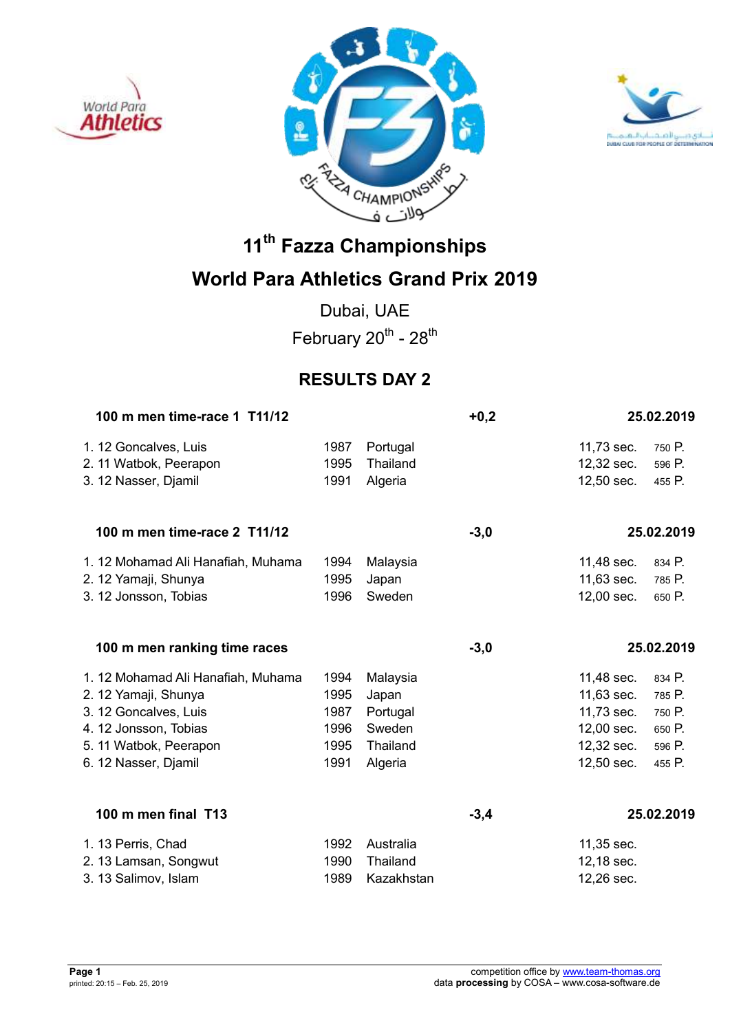





## **World Para Athletics Grand Prix 2019**

Dubai, UAE February  $20^{th}$  -  $28^{th}$ 

## **RESULTS DAY 2**

| 100 m men time-race 1 T11/12       |      |            | $+0,2$ |            | 25.02.2019 |
|------------------------------------|------|------------|--------|------------|------------|
| 1. 12 Goncalves, Luis              | 1987 | Portugal   |        | 11,73 sec. | 750 P.     |
| 2. 11 Watbok, Peerapon             | 1995 | Thailand   |        | 12,32 sec. | 596 P.     |
| 3. 12 Nasser, Djamil               | 1991 | Algeria    |        | 12,50 sec. | 455 P.     |
| 100 m men time-race 2 T11/12       |      |            | $-3,0$ |            | 25.02.2019 |
| 1. 12 Mohamad Ali Hanafiah, Muhama | 1994 | Malaysia   |        | 11,48 sec. | 834 P.     |
| 2. 12 Yamaji, Shunya               | 1995 | Japan      |        | 11,63 sec. | 785 P.     |
| 3. 12 Jonsson, Tobias              | 1996 | Sweden     |        | 12,00 sec. | 650 P.     |
| 100 m men ranking time races       |      |            | $-3,0$ |            | 25.02.2019 |
| 1. 12 Mohamad Ali Hanafiah, Muhama | 1994 | Malaysia   |        | 11,48 sec. | 834 P.     |
| 2. 12 Yamaji, Shunya               | 1995 | Japan      |        | 11,63 sec. | 785 P.     |
| 3. 12 Goncalves, Luis              | 1987 | Portugal   |        | 11,73 sec. | 750 P.     |
| 4. 12 Jonsson, Tobias              | 1996 | Sweden     |        | 12,00 sec. | 650 P.     |
| 5. 11 Watbok, Peerapon             | 1995 | Thailand   |        | 12,32 sec. | 596 P.     |
| 6. 12 Nasser, Djamil               | 1991 | Algeria    |        | 12,50 sec. | 455 P.     |
| 100 m men final T13                |      |            | $-3,4$ |            | 25.02.2019 |
| 1. 13 Perris, Chad                 | 1992 | Australia  |        | 11,35 sec. |            |
| 2. 13 Lamsan, Songwut              | 1990 | Thailand   |        | 12,18 sec. |            |
| 3. 13 Salimov, Islam               | 1989 | Kazakhstan |        | 12,26 sec. |            |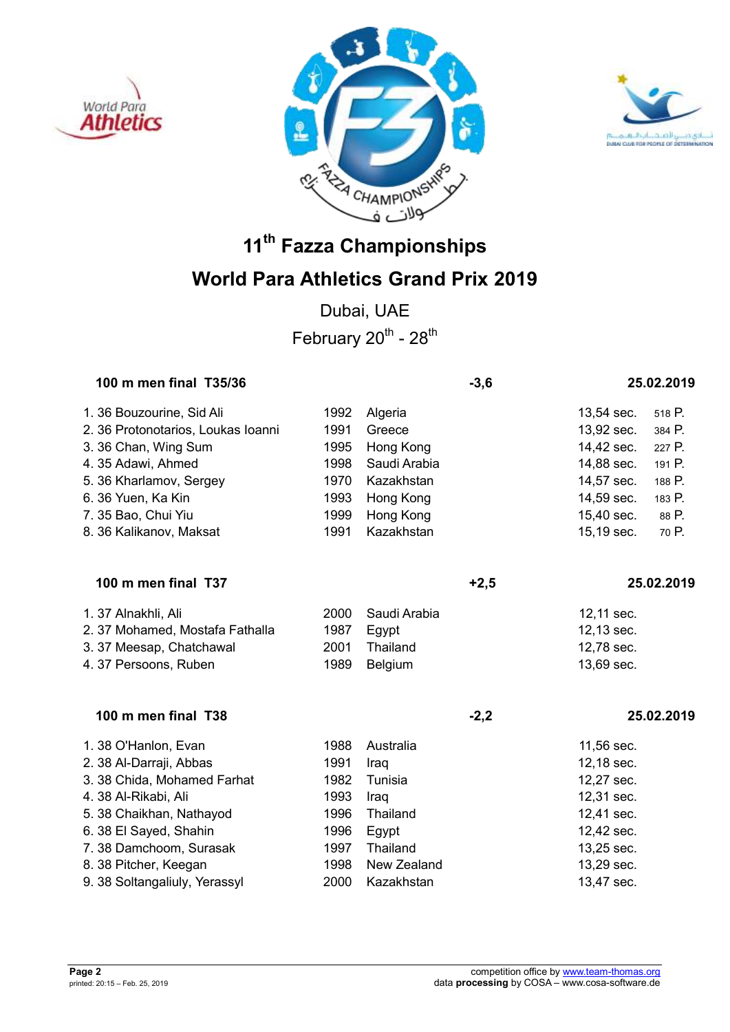





## **World Para Athletics Grand Prix 2019**

Dubai, UAE February  $20^{th}$  -  $28^{th}$ 

| 100 m men final T35/36             |              |              | $-3,6$ |            | 25.02.2019 |
|------------------------------------|--------------|--------------|--------|------------|------------|
| 1. 36 Bouzourine, Sid Ali          | 1992         | Algeria      |        | 13,54 sec. | 518 P.     |
| 2. 36 Protonotarios, Loukas Ioanni | 1991         | Greece       |        | 13,92 sec. | 384 P.     |
| 3. 36 Chan, Wing Sum               | 1995         | Hong Kong    |        | 14,42 sec. | 227 P.     |
| 4.35 Adawi, Ahmed                  | 1998         | Saudi Arabia |        | 14,88 sec. | 191 P.     |
| 5. 36 Kharlamov, Sergey            | 1970         | Kazakhstan   |        | 14,57 sec. | 188 P.     |
| 6. 36 Yuen, Ka Kin                 | 1993         | Hong Kong    |        | 14,59 sec. | 183 P.     |
| 7. 35 Bao, Chui Yiu                | 1999         | Hong Kong    |        | 15,40 sec. | 88 P.      |
| 8. 36 Kalikanov, Maksat            | 1991         | Kazakhstan   |        | 15,19 sec. | 70 P.      |
| 100 m men final T37                |              |              | $+2,5$ |            | 25.02.2019 |
|                                    |              |              |        |            |            |
| 1. 37 Alnakhli, Ali                | 2000         | Saudi Arabia |        | 12,11 sec. |            |
| 2.37 Mohamed, Mostafa Fathalla     | 1987         | Egypt        |        | 12,13 sec. |            |
| 3.37 Meesap, Chatchawal            | 2001<br>1989 | Thailand     |        | 12,78 sec. |            |
| 4.37 Persoons, Ruben               |              | Belgium      |        | 13,69 sec. |            |
| 100 m men final T38                |              |              | $-2,2$ |            | 25.02.2019 |
| 1.38 O'Hanlon, Evan                | 1988         | Australia    |        | 11,56 sec. |            |
| 2. 38 Al-Darraji, Abbas            | 1991         | Iraq         |        | 12,18 sec. |            |
| 3. 38 Chida, Mohamed Farhat        | 1982         | Tunisia      |        | 12,27 sec. |            |
| 4. 38 Al-Rikabi, Ali               | 1993         | Iraq         |        | 12,31 sec. |            |
| 5. 38 Chaikhan, Nathayod           | 1996         | Thailand     |        | 12,41 sec. |            |
| 6. 38 El Sayed, Shahin             | 1996         | Egypt        |        | 12,42 sec. |            |
| 7.38 Damchoom, Surasak             | 1997         | Thailand     |        | 13,25 sec. |            |
| 8. 38 Pitcher, Keegan              | 1998         | New Zealand  |        | 13,29 sec. |            |
| 9. 38 Soltangaliuly, Yerassyl      | 2000         | Kazakhstan   |        | 13,47 sec. |            |
|                                    |              |              |        |            |            |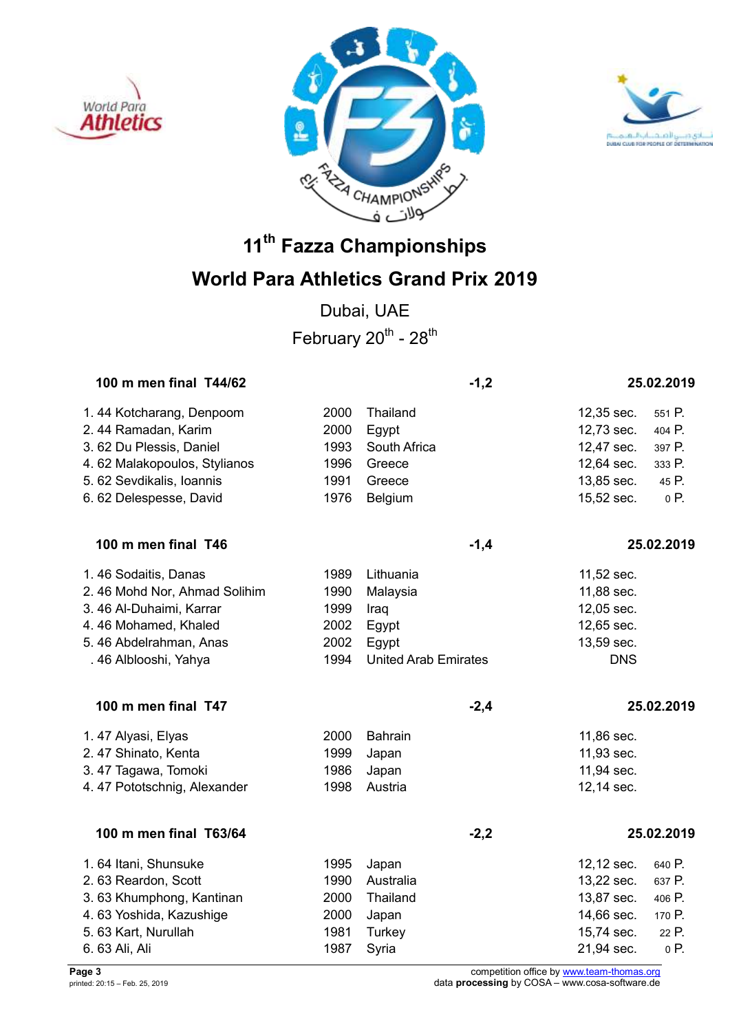





Dubai, UAE February  $20^{th}$  -  $28^{th}$ 

| 100 m men final T44/62       |      |                             | $-1,2$ |            | 25.02.2019 |
|------------------------------|------|-----------------------------|--------|------------|------------|
| 1.44 Kotcharang, Denpoom     | 2000 | Thailand                    |        | 12,35 sec. | 551 P.     |
| 2.44 Ramadan, Karim          | 2000 | Egypt                       |        | 12,73 sec. | 404 P.     |
| 3.62 Du Plessis, Daniel      | 1993 | South Africa                |        | 12,47 sec. | 397 P.     |
| 4.62 Malakopoulos, Stylianos | 1996 | Greece                      |        | 12,64 sec. | 333 P.     |
| 5. 62 Sevdikalis, Ioannis    | 1991 | Greece                      |        | 13,85 sec. | 45 P.      |
| 6.62 Delespesse, David       | 1976 | Belgium                     |        | 15,52 sec. | 0 P.       |
| 100 m men final T46          |      |                             | $-1,4$ |            | 25.02.2019 |
| 1.46 Sodaitis, Danas         | 1989 | Lithuania                   |        | 11,52 sec. |            |
| 2.46 Mohd Nor, Ahmad Solihim | 1990 | Malaysia                    |        | 11,88 sec. |            |
| 3.46 Al-Duhaimi, Karrar      | 1999 | Iraq                        |        | 12,05 sec. |            |
| 4.46 Mohamed, Khaled         | 2002 | Egypt                       |        | 12,65 sec. |            |
| 5.46 Abdelrahman, Anas       | 2002 | Egypt                       |        | 13,59 sec. |            |
| . 46 Alblooshi, Yahya        | 1994 | <b>United Arab Emirates</b> |        | <b>DNS</b> |            |
| 100 m men final T47          |      |                             | $-2,4$ |            | 25.02.2019 |
| 1.47 Alyasi, Elyas           | 2000 | <b>Bahrain</b>              |        | 11,86 sec. |            |
| 2.47 Shinato, Kenta          | 1999 | Japan                       |        | 11,93 sec. |            |
| 3.47 Tagawa, Tomoki          | 1986 | Japan                       |        | 11,94 sec. |            |
| 4.47 Pototschnig, Alexander  | 1998 | Austria                     |        | 12,14 sec. |            |
| 100 m men final T63/64       |      |                             | $-2,2$ |            | 25.02.2019 |
| 1.64 Itani, Shunsuke         | 1995 | Japan                       |        | 12,12 sec. | 640 P.     |
| 2.63 Reardon, Scott          | 1990 | Australia                   |        | 13,22 sec. | 637 P.     |
| 3.63 Khumphong, Kantinan     | 2000 | Thailand                    |        | 13,87 sec. | 406 P.     |
| 4.63 Yoshida, Kazushige      | 2000 | Japan                       |        | 14,66 sec. | 170 P.     |
| 5. 63 Kart, Nurullah         | 1981 | Turkey                      |        | 15,74 sec. | 22 P.      |
| 6.63 Ali, Ali                | 1987 | Syria                       |        | 21,94 sec. | 0 P.       |

**Page 3** competition office by www.team-thomas.org printed: 20:15 – Feb. 25, 2019 data **processing** by COSA – www.cosa-software.de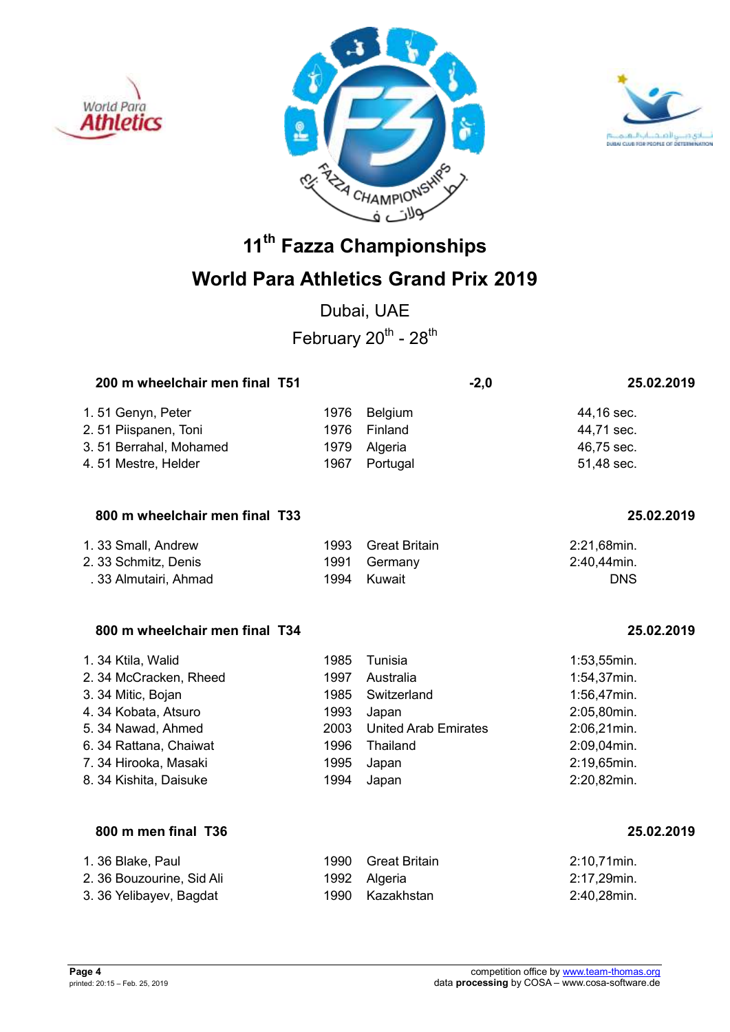





## **World Para Athletics Grand Prix 2019**

Dubai, UAE February  $20^{th}$  -  $28^{th}$ 

| 200 m wheelchair men final T51 |      |              | $-2,0$ | 25.02.2019 |
|--------------------------------|------|--------------|--------|------------|
| 1.51 Genyn, Peter              |      | 1976 Belgium |        | 44,16 sec. |
| 2.51 Piispanen, Toni           | 1976 | Finland      |        | 44,71 sec. |
| 3.51 Berrahal, Mohamed         | 1979 | Algeria      |        | 46,75 sec. |
| 4.51 Mestre, Helder            | 1967 | Portugal     |        | 51,48 sec. |
|                                |      |              |        |            |

### **800 m wheelchair men final T33 25.02.2019**

| 1. 33 Small, Andrew   | 1993 Great Britain | 2:21,68min. |
|-----------------------|--------------------|-------------|
| 2. 33 Schmitz, Denis  | 1991 Germany       | 2:40.44min. |
| . 33 Almutairi, Ahmad | 1994 Kuwait        | <b>DNS</b>  |

### **800 m wheelchair men final T34 25.02.2019**

| 1.34 Ktila, Walid      | 1985 | Tunisia                     | $1:53,55$ min. |
|------------------------|------|-----------------------------|----------------|
| 2.34 McCracken, Rheed  | 1997 | Australia                   | 1:54,37min.    |
| 3. 34 Mitic, Bojan     | 1985 | Switzerland                 | 1:56,47min.    |
| 4.34 Kobata, Atsuro    | 1993 | Japan                       | 2:05,80min.    |
| 5. 34 Nawad, Ahmed     | 2003 | <b>United Arab Emirates</b> | 2:06,21min.    |
| 6. 34 Rattana, Chaiwat | 1996 | Thailand                    | 2:09,04min.    |
| 7.34 Hirooka, Masaki   | 1995 | Japan                       | 2:19,65min.    |
| 8. 34 Kishita, Daisuke | 1994 | Japan                       | 2:20,82min.    |

### **800 m men final T36 25.02.2019**

| 1. 36 Blake, Paul         | 1990 Great Britain | 2:10.71 min. |
|---------------------------|--------------------|--------------|
| 2. 36 Bouzourine, Sid Ali | 1992 Algeria       | 2:17.29min.  |
| 3. 36 Yelibayev, Bagdat   | 1990 Kazakhstan    | 2:40,28min.  |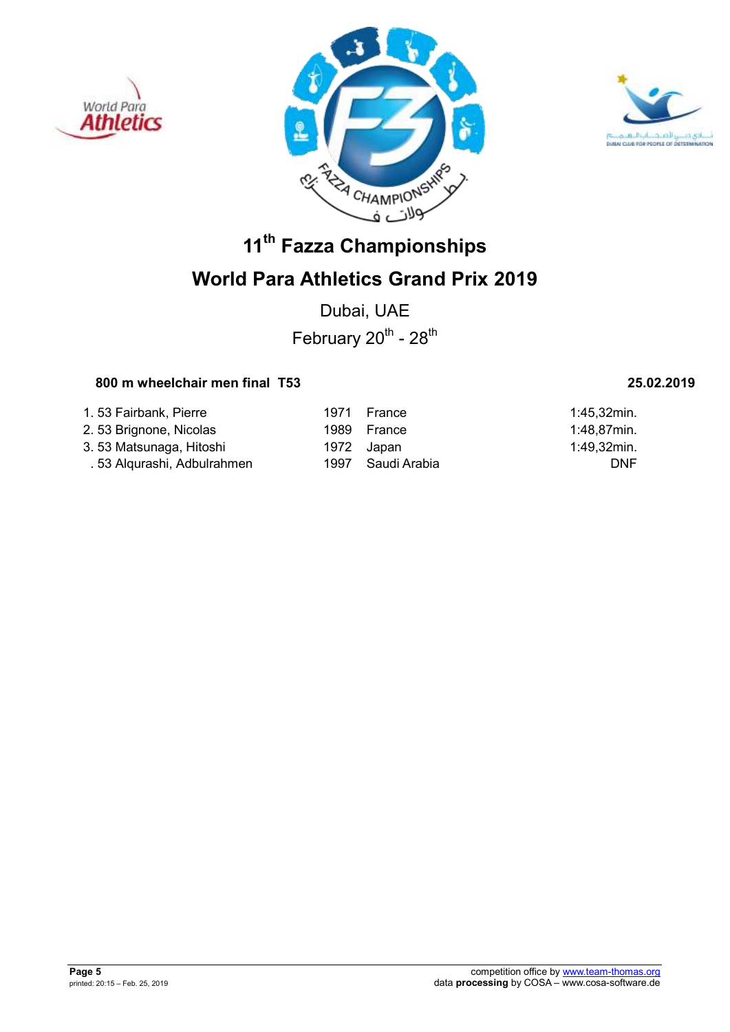





## **World Para Athletics Grand Prix 2019**

Dubai, UAE February  $20^{th}$  -  $28^{th}$ 

## **800 m wheelchair men final T53 25.02.2019**

| 1.53 Fairbank, Pierre       | 1971       | France            | $1:45,32$ min. |
|-----------------------------|------------|-------------------|----------------|
| 2. 53 Brignone, Nicolas     |            | 1989 France       | 1:48,87min.    |
| 3.53 Matsunaga, Hitoshi     | 1972 Japan |                   | 1:49,32min.    |
| . 53 Alqurashi, Adbulrahmen |            | 1997 Saudi Arabia | <b>DNF</b>     |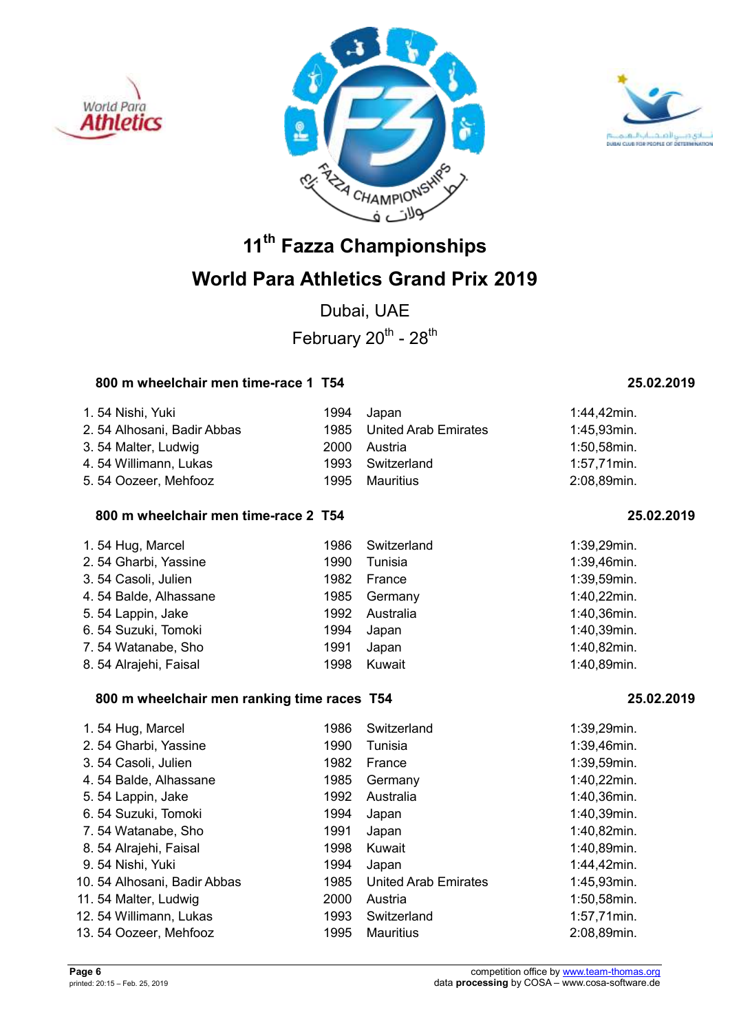





## **World Para Athletics Grand Prix 2019**

Dubai, UAE February  $20^{th}$  -  $28^{th}$ 

### **800 m wheelchair men time-race 1 T54 25.02.2019**

| 1.54 Nishi, Yuki           |      | 1994 Japan                | 1:44,42min.    |
|----------------------------|------|---------------------------|----------------|
| 2.54 Alhosani, Badir Abbas |      | 1985 United Arab Emirates | 1:45,93min.    |
| 3.54 Malter, Ludwig        | 2000 | Austria                   | 1:50,58min.    |
| 4.54 Willimann, Lukas      |      | 1993 Switzerland          | $1:57,71$ min. |
| 5.54 Oozeer, Mehfooz       | 1995 | Mauritius                 | 2:08,89min.    |

### **800 m wheelchair men time-race 2 T54 25.02.2019**

| 1.54 Hug, Marcel      | 1986 | Switzerland | 1:39,29min. |
|-----------------------|------|-------------|-------------|
| 2.54 Gharbi, Yassine  | 1990 | Tunisia     | 1:39,46min. |
| 3.54 Casoli, Julien   | 1982 | France      | 1:39,59min. |
| 4.54 Balde, Alhassane | 1985 | Germany     | 1:40,22min. |
| 5.54 Lappin, Jake     | 1992 | Australia   | 1:40,36min. |
| 6.54 Suzuki, Tomoki   | 1994 | Japan       | 1:40,39min. |
| 7.54 Watanabe, Sho    | 1991 | Japan       | 1:40,82min. |
| 8.54 Alrajehi, Faisal | 1998 | Kuwait      | 1:40,89min. |

### **800 m wheelchair men ranking time races T54 25.02.2019**

| 1.54 Hug, Marcel             | 1986 | Switzerland                 | 1:39,29min. |
|------------------------------|------|-----------------------------|-------------|
| 2.54 Gharbi, Yassine         | 1990 | Tunisia                     | 1:39,46min. |
| 3.54 Casoli, Julien          | 1982 | France                      | 1:39,59min. |
| 4.54 Balde, Alhassane        | 1985 | Germany                     | 1:40,22min. |
| 5.54 Lappin, Jake            | 1992 | Australia                   | 1:40,36min. |
| 6.54 Suzuki, Tomoki          | 1994 | Japan                       | 1:40,39min. |
| 7.54 Watanabe, Sho           | 1991 | Japan                       | 1:40,82min. |
| 8.54 Alrajehi, Faisal        | 1998 | Kuwait                      | 1:40,89min. |
| 9.54 Nishi, Yuki             | 1994 | Japan                       | 1:44,42min. |
| 10. 54 Alhosani, Badir Abbas | 1985 | <b>United Arab Emirates</b> | 1:45,93min. |
| 11.54 Malter, Ludwig         | 2000 | Austria                     | 1:50,58min. |
| 12.54 Willimann, Lukas       | 1993 | Switzerland                 | 1:57,71min. |
| 13.54 Oozeer, Mehfooz        | 1995 | Mauritius                   | 2:08,89min. |
|                              |      |                             |             |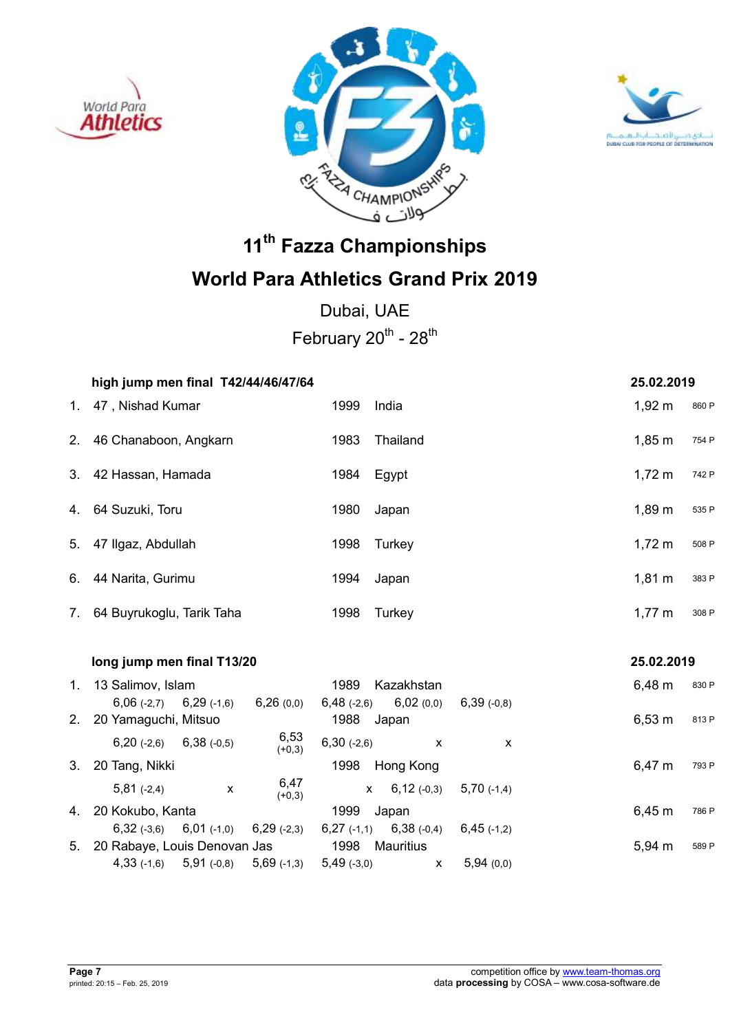





Dubai, UAE February  $20^{th}$  -  $28^{th}$ 

|             | high jump men final T42/44/46/47/64             |                                                | 25.02.2019           |
|-------------|-------------------------------------------------|------------------------------------------------|----------------------|
| $1_{\cdot}$ | 47, Nishad Kumar                                | 1999<br>India                                  | $1,92 \; m$<br>860 P |
| 2.          | 46 Chanaboon, Angkarn                           | 1983<br>Thailand                               | $1,85 \; m$<br>754 P |
| 3.          | 42 Hassan, Hamada                               | 1984<br>Egypt                                  | $1,72 \; m$<br>742 P |
|             | 4. 64 Suzuki, Toru                              | 1980<br>Japan                                  | 1,89 m<br>535 P      |
|             | 5. 47 Ilgaz, Abdullah                           | 1998<br>Turkey                                 | $1,72 \; m$<br>508 P |
| 6.          | 44 Narita, Gurimu                               | 1994<br>Japan                                  | $1,81 \; m$<br>383 P |
| 7.          | 64 Buyrukoglu, Tarik Taha                       | 1998<br>Turkey                                 | $1,77 \; m$<br>308 P |
|             |                                                 |                                                |                      |
|             | long jump men final T13/20                      |                                                | 25.02.2019           |
| 1.          | 13 Salimov, Islam                               | 1989<br>Kazakhstan                             | 6,48 m<br>830 P      |
|             | $6,06(-2,7)$ $6,29(-1,6)$<br>6,26(0,0)          | $6,48$ (-2,6)<br>6,02(0,0)<br>$6,39$ $(-0,8)$  |                      |
| 2.          | 20 Yamaguchi, Mitsuo                            | 1988 Japan                                     | $6,53 \; m$<br>813 P |
|             | 6,53<br>$6,20$ (-2,6) $6,38$ (-0,5)<br>$(+0,3)$ | $6,30(-2,6)$<br>$\boldsymbol{\mathsf{x}}$      | X                    |
|             | 3. 20 Tang, Nikki                               | 1998 Hong Kong                                 | 6,47 m<br>793 P      |
|             | 6,47<br>$5,81(-2,4)$<br>X<br>$(+0,3)$           | $6,12$ (-0,3)<br>$\mathsf{X}$<br>$5,70$ (-1,4) |                      |
|             | 4. 20 Kokubo, Kanta                             | 1999<br>Japan                                  | $6,45 \; m$<br>786 P |
|             | $6,32$ (-3,6) $6,01$ (-1,0)<br>$6,29$ (-2,3)    | $6,27$ (-1,1) $6,38$ (-0,4)<br>$6,45$ (-1,2)   |                      |
| 5.          | 20 Rabaye, Louis Denovan Jas                    | 1998<br><b>Mauritius</b>                       | 5,94 m<br>589 P      |
|             | $4,33$ (-1,6) $5,91$ (-0,8) $5,69$ (-1,3)       | $5,49$ $(-3,0)$<br>5,94(0,0)<br>X              |                      |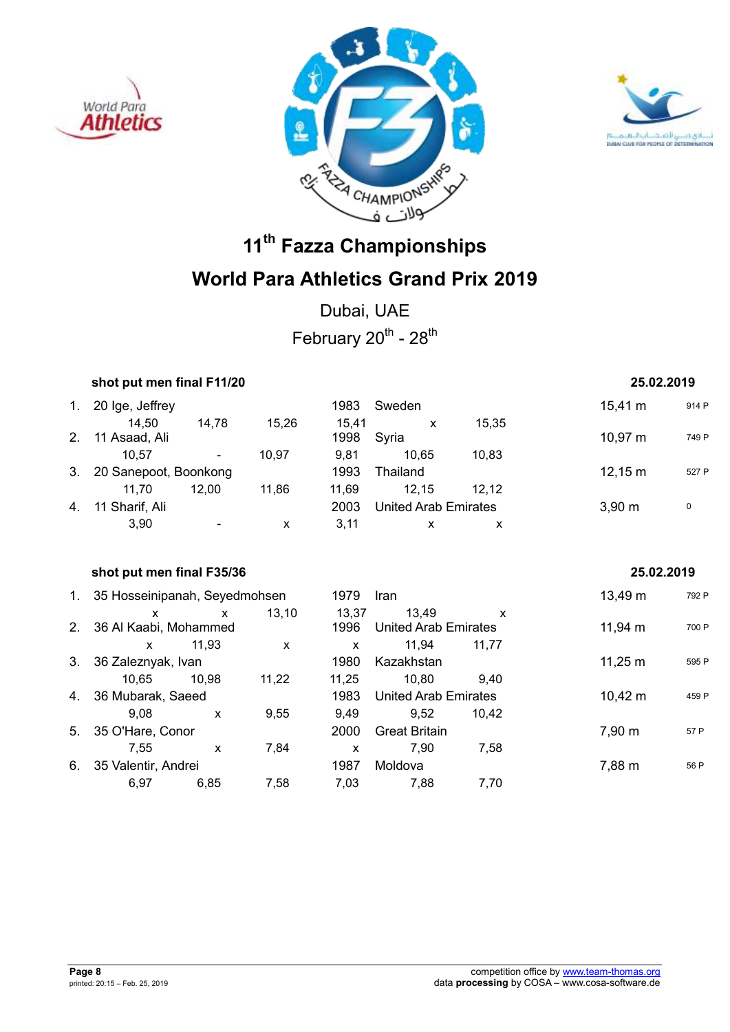





Dubai, UAE February  $20^{th}$  -  $28^{th}$ 

|         | shot put men final F11/20     |              |              | 25.02.2019   |                             |              |                   |       |
|---------|-------------------------------|--------------|--------------|--------------|-----------------------------|--------------|-------------------|-------|
|         | 1. 20 Ige, Jeffrey            |              |              | 1983         | Sweden                      |              | $15,41 \text{ m}$ | 914 P |
|         | 14,50                         | 14,78        | 15,26        | 15,41        | X                           | 15,35        |                   |       |
| $2_{-}$ | 11 Asaad, Ali                 |              |              | 1998         | Syria                       |              | $10,97 \; m$      | 749 P |
|         | 10,57                         |              | 10,97        | 9,81         | 10,65                       | 10,83        |                   |       |
| 3.      | 20 Sanepoot, Boonkong         |              |              | 1993         | Thailand                    |              | $12,15 \; m$      | 527 P |
|         | 11,70                         | 12,00        | 11,86        | 11,69        | 12,15                       | 12,12        |                   |       |
| 4.      | 11 Sharif, Ali                |              |              | 2003         | United Arab Emirates        |              | $3,90 \; m$       | 0     |
|         | 3,90                          |              | $\mathsf{x}$ | 3,11         | $\mathsf{x}$                | X            |                   |       |
|         |                               |              |              |              |                             |              |                   |       |
|         |                               |              |              |              |                             |              |                   |       |
|         | shot put men final F35/36     |              |              |              |                             |              | 25.02.2019        |       |
| 1.      | 35 Hosseinipanah, Seyedmohsen |              |              | 1979         | <b>Iran</b>                 |              | 13,49 m           | 792 P |
|         | X                             | $\mathsf{x}$ | 13,10        | 13,37        | 13,49                       | $\mathsf{x}$ |                   |       |
| 2.      | 36 Al Kaabi, Mohammed         |              |              | 1996         | <b>United Arab Emirates</b> |              | $11,94 \; m$      | 700 P |
|         | $\mathsf{x}$                  | 11,93        | $\mathsf{x}$ | $\mathsf{x}$ | 11,94                       | 11,77        |                   |       |
| 3.      | 36 Zaleznyak, Ivan            |              |              | 1980         | Kazakhstan                  |              | $11,25 \; m$      | 595 P |
|         | 10,65                         | 10,98        | 11,22        | 11,25        | 10,80                       | 9,40         |                   |       |
| 4.      | 36 Mubarak, Saeed             |              |              | 1983         | <b>United Arab Emirates</b> |              | $10,42 \; m$      | 459 P |

5. 35 O'Hare, Conor 2000 Great Britain 7,90 m <sup>57</sup> <sup>P</sup>

6. 35 Valentir, Andrei 1987 Moldova 1987 Moldova 7,88 m 56 P

7,55 x 7,84 x 7,90 7,58

6,97 6,85 7,58 7,03 7,88 7,70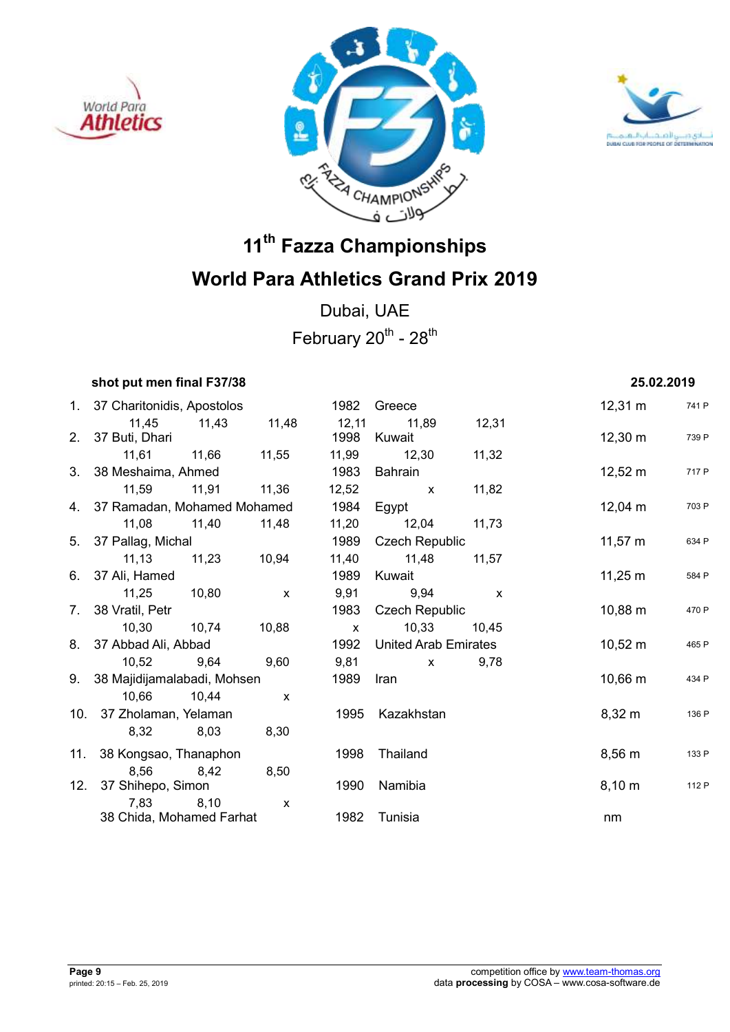





Dubai, UAE February  $20^{th}$  -  $28^{th}$ 

## *shot put men final F37/38* **25.02.2019**

|     | 1. 37 Charitonidis, Apostolos  |       |              | 1982         | Greece                      |              | $12,31 \; m$        | 741 P |
|-----|--------------------------------|-------|--------------|--------------|-----------------------------|--------------|---------------------|-------|
|     | 11,45                          | 11,43 | 11,48        | 12,11        | 11,89                       | 12,31        |                     |       |
|     | 2. 37 Buti, Dhari              |       |              | 1998         | Kuwait                      |              | $12,30 \; \text{m}$ | 739 P |
|     | 11,61 11,66                    |       | 11,55        | 11,99        | 12,30                       | 11,32        |                     |       |
|     | 3. 38 Meshaima, Ahmed          |       |              | 1983         | Bahrain                     |              | $12,52 \; m$        | 717 P |
|     | 11,59 11,91                    |       | 11,36        | 12,52        | $\mathsf{x}$                | 11,82        |                     |       |
|     | 4. 37 Ramadan, Mohamed Mohamed |       |              | 1984         | Egypt                       |              | $12,04 \; m$        | 703 P |
|     | 11,08                          | 11,40 | 11,48        | 11,20        | 12,04                       | 11,73        |                     |       |
|     | 5. 37 Pallag, Michal           |       |              | 1989         | <b>Czech Republic</b>       |              | $11,57 \; m$        | 634 P |
|     | 11, 13                         | 11,23 | 10,94        | 11,40        | 11,48                       | 11,57        |                     |       |
|     | 6. 37 Ali, Hamed               |       |              | 1989         | Kuwait                      |              | $11,25 \; m$        | 584 P |
|     | 11,25 10,80                    |       | $\mathsf{x}$ | 9,91         | 9,94                        | $\mathsf{x}$ |                     |       |
|     | 7. 38 Vratil, Petr             |       |              | 1983         | <b>Czech Republic</b>       |              | $10,88 \; m$        | 470 P |
|     | 10,30 10,74                    |       | 10,88        | $\mathsf{X}$ | 10,33                       | 10,45        |                     |       |
|     | 8. 37 Abbad Ali, Abbad         |       |              | 1992         | <b>United Arab Emirates</b> |              | $10,52 \; m$        | 465 P |
|     | 10,52                          | 9,64  | 9,60         | 9,81         | $\mathsf{X}$                | 9,78         |                     |       |
|     | 9. 38 Majidijamalabadi, Mohsen |       |              | 1989         | Iran                        |              | $10,66 \, m$        | 434 P |
|     | 10,66 10,44                    |       | $\mathsf{x}$ |              |                             |              |                     |       |
|     | 10. 37 Zholaman, Yelaman       |       |              | 1995         | Kazakhstan                  |              | $8,32 \; m$         | 136 P |
|     | 8,32                           | 8,03  | 8,30         |              |                             |              |                     |       |
|     | 11. 38 Kongsao, Thanaphon      |       |              | 1998         | Thailand                    |              | $8,56 \; m$         | 133 P |
|     | 8,56                           | 8,42  | 8,50         |              |                             |              |                     |       |
| 12. | 37 Shihepo, Simon              |       |              | 1990         | Namibia                     |              | $8,10 \; m$         | 112 P |
|     | 7,83                           | 8,10  | $\mathsf{x}$ |              |                             |              |                     |       |
|     | 38 Chida, Mohamed Farhat       |       |              | 1982         | Tunisia                     |              | nm                  |       |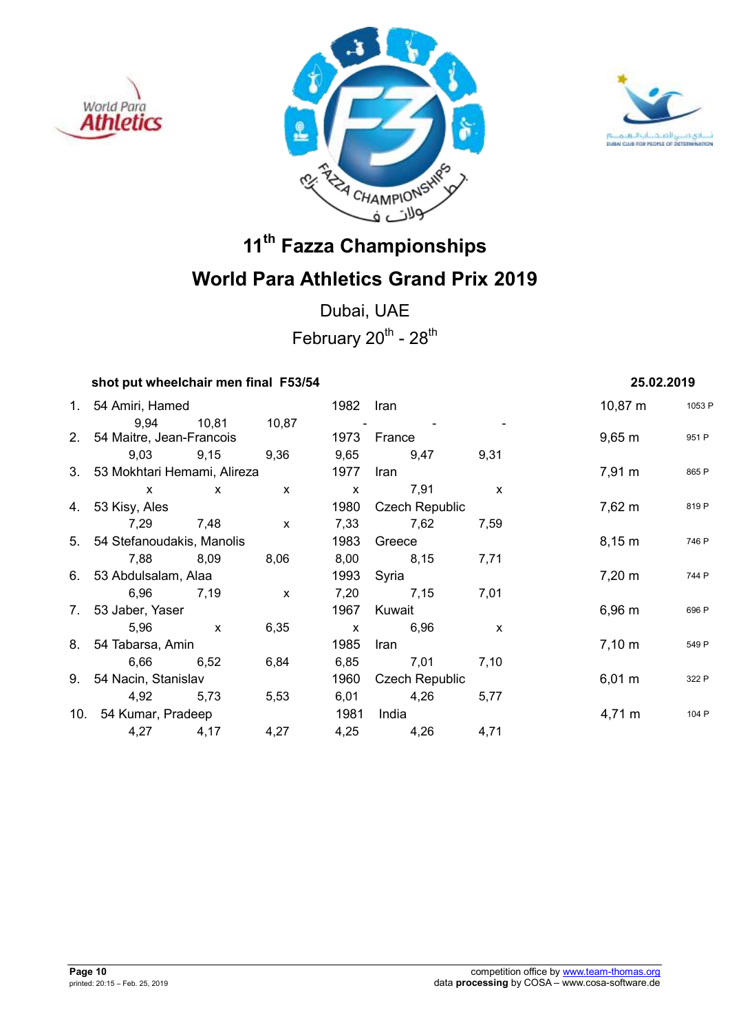





Dubai, UAE February  $20^{th}$  -  $28^{th}$ 

### **shot put wheelchair men final F53/54 25.02.2019**

| 1. 54 Amiri, Hamed             |              |              | 1982         | Iran                  |              | $10,87 \; m$       | 1053 F |
|--------------------------------|--------------|--------------|--------------|-----------------------|--------------|--------------------|--------|
| 9.94                           | 10,81        | 10,87        |              |                       |              |                    |        |
| 2. 54 Maitre, Jean-Francois    |              |              | 1973         | France                |              | $9,65 \, \text{m}$ | 951 P  |
| 9,03                           | 9,15         | 9,36         | 9,65         | 9,47                  | 9,31         |                    |        |
| 3. 53 Mokhtari Hemami, Alireza |              |              | 1977         | Iran                  |              | $7,91 \; m$        | 865 P  |
| $\mathsf{x}$                   | $\mathsf{x}$ | $\mathsf{x}$ | $\mathsf{x}$ | 7,91                  | $\mathsf{x}$ |                    |        |
| 4. 53 Kisy, Ales               |              |              | 1980         | <b>Czech Republic</b> |              | $7,62 \; m$        | 819 P  |
| 7,29                           | 7,48         | $\mathsf{x}$ | 7,33         | 7,62                  | 7,59         |                    |        |
| 5. 54 Stefanoudakis, Manolis   |              | 1983         | Greece       |                       | 8,15 m       | 746 P              |        |
| 7,88                           | 8,09         | 8,06         | 8,00         | 8,15                  | 7,71         |                    |        |
| 6. 53 Abdulsalam, Alaa         |              |              | 1993         | Syria                 |              | $7,20 \; \text{m}$ | 744 P  |
| 6,96                           | 7,19         | $\mathsf{x}$ | 7,20         | 7,15                  | 7,01         |                    |        |
| 7. 53 Jaber, Yaser             |              |              | 1967         | Kuwait                |              | 6,96 m             | 696 P  |
| 5,96                           | $\mathbf{x}$ | 6,35         | $\mathsf{x}$ | 6,96                  | X            |                    |        |
| 8. 54 Tabarsa, Amin            |              |              | 1985         | Iran                  |              | $7,10 \; m$        | 549 P  |
| 6,66                           | 6,52         | 6,84         | 6,85         | 7,01                  | 7,10         |                    |        |
| 9. 54 Nacin, Stanislav         |              |              | 1960         | <b>Czech Republic</b> |              | $6,01 \; m$        | 322 P  |
| 4,92                           | 5,73         | 5,53         | 6,01         | 4,26                  | 5,77         |                    |        |
| 10. 54 Kumar, Pradeep          |              |              | 1981         | India                 |              | $4,71 \; m$        | 104 P  |
| 4,27                           | 4,17         | 4,27         | 4,25         | 4,26                  | 4,71         |                    |        |
|                                |              |              |              |                       |              |                    |        |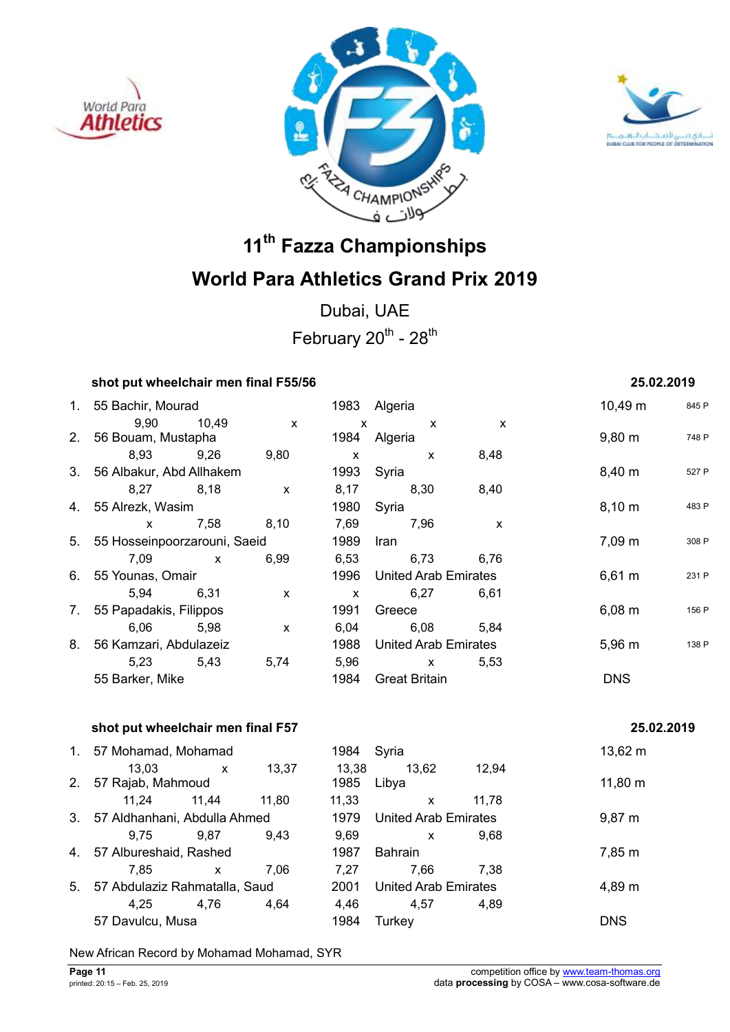





Dubai, UAE February  $20^{th}$  -  $28^{th}$ 

### **shot put wheelchair men final F55/56 25.02.2019**

### 1. 55 Bachir, Mourad 1983 Algeria 10,49 m <sup>845</sup> <sup>P</sup> 9,90 10,49 x x x x 2. 56 Bouam, Mustapha 1984 Algeria 1984 Algeria 1984 Bouane 1989 1989 1989 1988 P 8,93 9,26 9,80 x x 8,48 3. 56 Albakur, Abd Allhakem 1993 Syria 1993 Syria 8,40 m 527 P 8,27 8,18 x 8,17 8,30 8,40 4. 55 Alrezk, Wasim **1980** Syria **1980** Syria 8,10 m 483 P x 7,58 8,10 7,69 7,96 x 5. 55 Hosseinpoorzarouni, Saeid 1989 Iran 1989 1ran 1989 17,09 m 308 P 7,09 x 6,99 6,53 6,73 6,76 6. 55 Younas, Omair 1996 United Arab Emirates 6,61 m <sup>231</sup> <sup>P</sup> 5,94 6,31 x x 6,27 6,61 7. 55 Papadakis, Filippos 1991 Greece 6,08 m 156 P 6,06 5,98 x 6,04 6,08 5,84 8. 56 Kamzari, Abdulazeiz 1988 United Arab Emirates 5,96 m 138 P 5,23 5,43 5,74 5,96 x 5,53 55 Barker, Mike 1984 Great Britain DNS

### **shot put wheelchair men final F57** 25.02.2019

|    | 1. 57 Mohamad, Mohamad        |              |       | 1984  | Syria                       |       | $13,62 \; m$ |
|----|-------------------------------|--------------|-------|-------|-----------------------------|-------|--------------|
|    | 13,03                         | $\mathsf{x}$ | 13,37 | 13,38 | 13.62                       | 12,94 |              |
| 2. | 57 Rajab, Mahmoud             |              |       | 1985  | Libya                       |       | $11,80 \; m$ |
|    | 11.24                         | 11,44        | 11.80 | 11,33 | X                           | 11,78 |              |
| 3. | 57 Aldhanhani, Abdulla Ahmed  |              |       | 1979  | United Arab Emirates        |       | $9,87 \; m$  |
|    | 9.75                          | 9.87         | 9,43  | 9,69  | X                           | 9.68  |              |
| 4. | 57 Albureshaid, Rashed        |              |       | 1987  | <b>Bahrain</b>              |       | 7,85 m       |
|    | 7.85                          | $\mathsf{x}$ | 7.06  | 7.27  | 7,66                        | 7.38  |              |
| 5. | 57 Abdulaziz Rahmatalla, Saud |              |       | 2001  | <b>United Arab Emirates</b> |       | 4,89 m       |
|    | 4.25                          | 4.76         | 4,64  | 4,46  | 4,57                        | 4,89  |              |
|    | 57 Davulcu, Musa              |              |       | 1984  | Turkev                      |       | <b>DNS</b>   |

New African Record by Mohamad Mohamad, SYR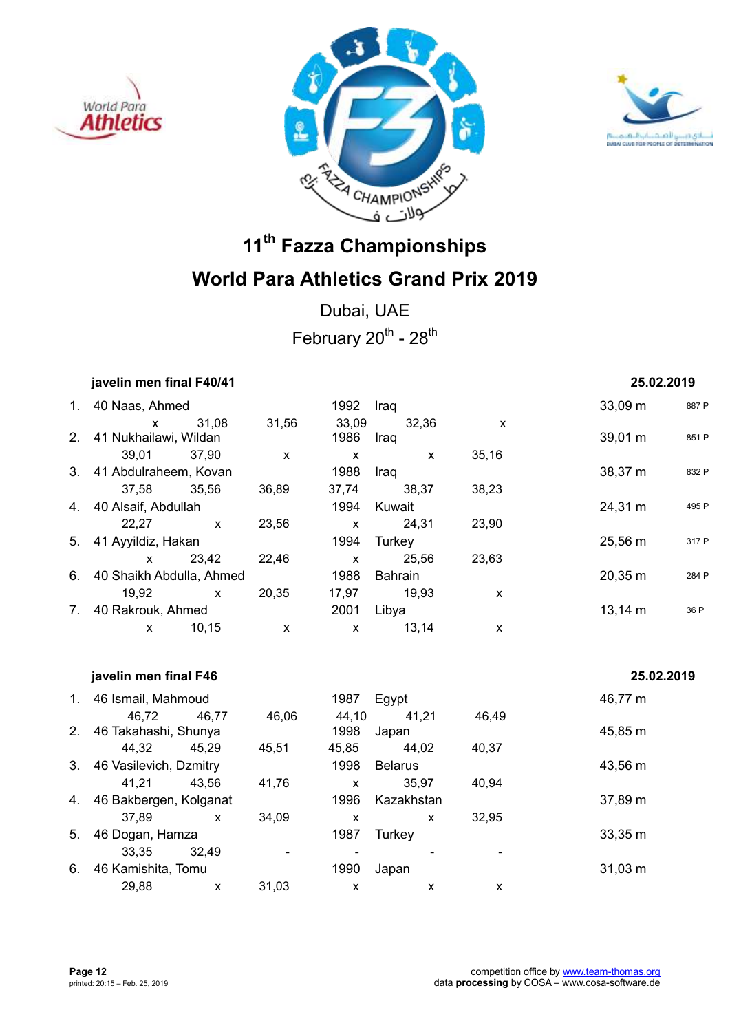





Dubai, UAE February  $20^{th}$  -  $28^{th}$ 

|    | javelin men final F40/41      |              |                           |               |               |       | 25.02.2019        |       |
|----|-------------------------------|--------------|---------------------------|---------------|---------------|-------|-------------------|-------|
| 1. | 40 Naas, Ahmed                |              |                           | 1992          | Iraq          |       | $33,09 \text{ m}$ | 887 P |
|    | X<br>2. 41 Nukhailawi, Wildan | 31,08        | 31,56                     | 33,09<br>1986 | 32,36<br>Iraq | X     | 39,01 m           | 851 P |
|    | 39,01                         | 37,90        | X                         | X             | X             | 35,16 |                   |       |
|    | 3. 41 Abdulraheem, Kovan      |              |                           | 1988          | Iraq          |       | 38,37 m           | 832 P |
|    | 37,58                         | 35,56        | 36,89                     | 37,74         | 38.37         | 38,23 |                   |       |
| 4. | 40 Alsaif, Abdullah           |              |                           | 1994          | Kuwait        |       | 24,31 m           | 495 P |
|    | 22,27                         | $\mathsf{x}$ | 23,56                     | X             | 24,31         | 23,90 |                   |       |
| 5. | 41 Ayyildiz, Hakan            |              |                           | 1994          | Turkey        |       | 25,56 m           | 317 P |
|    | $\mathsf{x}$                  | 23,42        | 22,46                     | X             | 25,56         | 23,63 |                   |       |
|    | 6. 40 Shaikh Abdulla, Ahmed   |              |                           | 1988          | Bahrain       |       | $20,35 \; m$      | 284 P |
|    | 19,92                         | $\mathsf{x}$ | 20,35                     | 17,97         | 19,93         | X     |                   |       |
| 7. | 40 Rakrouk, Ahmed             |              |                           | 2001          | Libya         |       | $13,14 \; m$      | 36 P  |
|    | X                             | 10,15        | $\boldsymbol{\mathsf{x}}$ | X             | 13,14         | X     |                   |       |

|          |                            |                                                                                                                                                                  |       |                |       | 25.02.2019   |
|----------|----------------------------|------------------------------------------------------------------------------------------------------------------------------------------------------------------|-------|----------------|-------|--------------|
|          |                            |                                                                                                                                                                  | 1987  | Egypt          |       | 46,77 m      |
| 46.72    | 46,77                      | 46,06                                                                                                                                                            | 44,10 | 41,21          | 46,49 |              |
|          |                            |                                                                                                                                                                  | 1998  | Japan          |       | 45,85 m      |
| 44,32    | 45,29                      | 45,51                                                                                                                                                            | 45,85 | 44,02          | 40,37 |              |
|          |                            |                                                                                                                                                                  | 1998  | <b>Belarus</b> |       | 43,56 m      |
| 41,21    | 43.56                      | 41,76                                                                                                                                                            | X     | 35.97          | 40,94 |              |
|          |                            |                                                                                                                                                                  | 1996  | Kazakhstan     |       | 37,89 m      |
| 37,89    | $\mathsf{x}$               | 34,09                                                                                                                                                            | X     | X              | 32,95 |              |
|          |                            |                                                                                                                                                                  | 1987  | Turkey         |       | 33,35 m      |
| 33.35    | 32,49                      |                                                                                                                                                                  |       |                |       |              |
|          |                            |                                                                                                                                                                  | 1990  | Japan          |       | $31,03 \; m$ |
| 29,88    | X                          | 31,03                                                                                                                                                            | X     | x              | X     |              |
| 1.<br>4. | 2 <sub>1</sub><br>3.<br>6. | javelin men final F46<br>46 Ismail, Mahmoud<br>46 Takahashi, Shunya<br>46 Vasilevich, Dzmitry<br>46 Bakbergen, Kolganat<br>46 Dogan, Hamza<br>46 Kamishita, Tomu |       |                |       |              |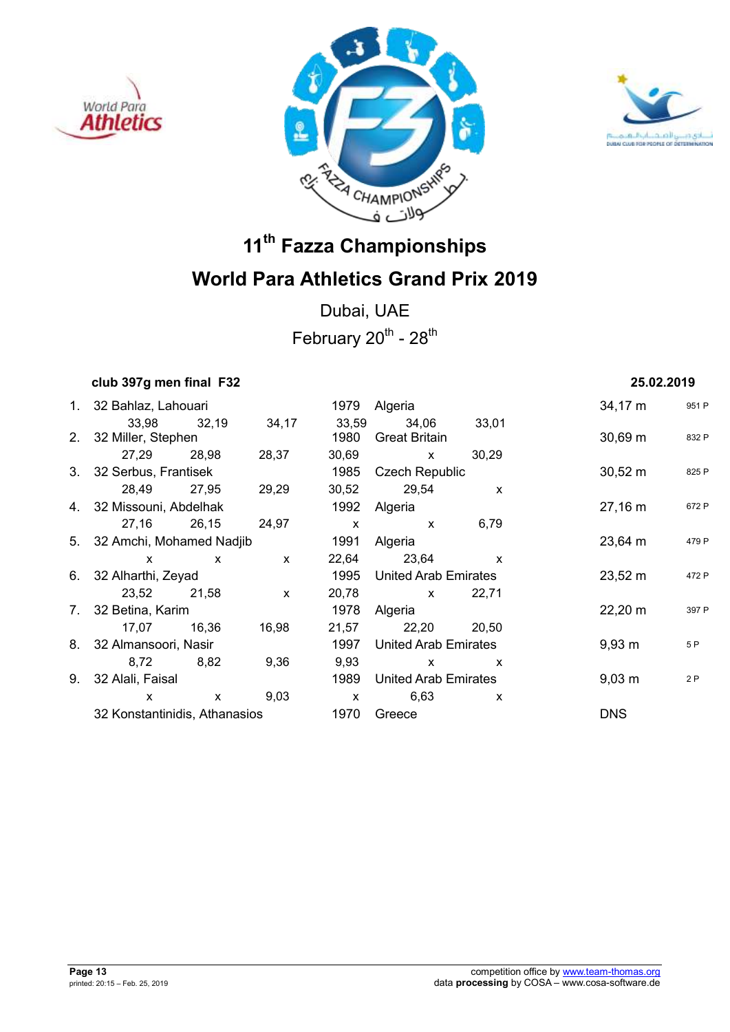





Dubai, UAE February  $20^{th}$  -  $28^{th}$ 

## **club 397g men final F32 25.02.2019**

| 1. 32 Bahlaz, Lahouari        |              |              |              | 1979 Algeria          |                           | $34,17 \; m$        | 951 F |
|-------------------------------|--------------|--------------|--------------|-----------------------|---------------------------|---------------------|-------|
|                               | 33,98 32,19  | 34,17        | 33,59        | 34,06                 | 33,01                     |                     |       |
| 2. 32 Miller, Stephen         |              |              | 1980         | <b>Great Britain</b>  |                           | $30,69 \; m$        | 832 F |
| 27,29                         | 28,98        | 28,37        | 30,69        | $\mathsf{x}$          | 30,29                     |                     |       |
| 3. 32 Serbus, Frantisek       |              |              | 1985         | <b>Czech Republic</b> |                           | $30,52 \; m$        | 825 F |
| 28,49                         | 27,95        | 29,29        |              | 30,52 29,54           | $\mathsf{x}$              |                     |       |
| 4. 32 Missouni, Abdelhak      |              |              |              | 1992 Algeria          |                           | $27,16 \; m$        | 672 F |
| 27,16 26,15                   |              | 24,97        | $\mathsf{X}$ | $\mathsf{X}$          | 6,79                      |                     |       |
| 5. 32 Amchi, Mohamed Nadjib   |              | 1991         | Algeria      |                       | $23,64 \, m$              | 479 F               |       |
| $\mathsf{x}$                  | $\mathsf{X}$ | $\mathsf{x}$ |              | 22,64 23,64           | $\mathsf{x}$              |                     |       |
| 6. 32 Alharthi, Zeyad         |              |              | 1995         | United Arab Emirates  |                           | $23,52 \text{ m}$   | 472 F |
| 23,52 21,58                   |              | $\mathsf{X}$ | 20,78        | $\mathsf{X}$          | 22,71                     |                     |       |
| 7. 32 Betina, Karim           |              |              | 1978         | Algeria               |                           | $22,20 \; \text{m}$ | 397 F |
| 17,07 16,36                   |              | 16,98        |              | 21,57 22,20           | 20,50                     |                     |       |
| 8. 32 Almansoori, Nasir       |              |              | 1997         | United Arab Emirates  |                           | $9,93 \; m$         | 5 P   |
| 8,72 8,82                     |              | 9,36         | 9,93         | $\mathsf{x}$          | $\boldsymbol{\mathsf{x}}$ |                     |       |
| 9. 32 Alali, Faisal           |              |              | 1989         | United Arab Emirates  |                           | $9,03 \; m$         | 2P    |
| $\mathsf{x}$                  | $\mathsf{X}$ | 9,03         | $\mathsf{X}$ | 6,63                  | $\mathsf{x}$              |                     |       |
| 32 Konstantinidis, Athanasios |              |              | 1970         | Greece                |                           | <b>DNS</b>          |       |
|                               |              |              |              |                       |                           |                     |       |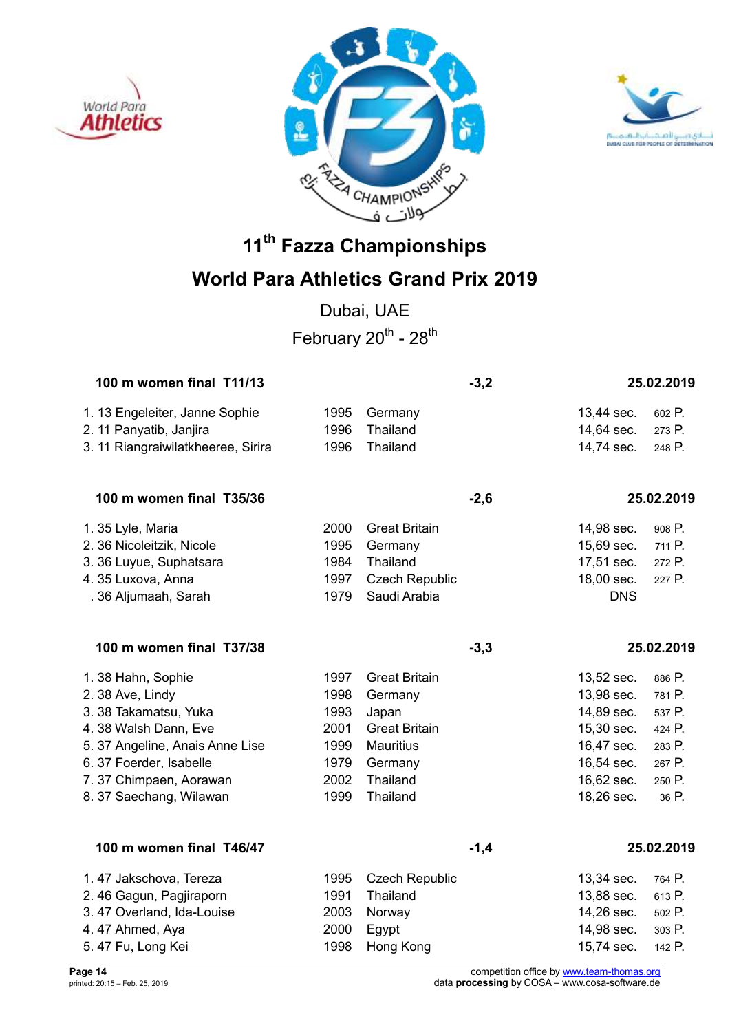





Dubai, UAE February  $20^{th}$  -  $28^{th}$ 

| 100 m women final T11/13           |      |                       | $-3,2$ |            | 25.02.2019 |
|------------------------------------|------|-----------------------|--------|------------|------------|
| 1. 13 Engeleiter, Janne Sophie     | 1995 | Germany               |        | 13,44 sec. | 602 P.     |
| 2. 11 Panyatib, Janjira            | 1996 | Thailand              |        | 14,64 sec. | 273 P.     |
| 3. 11 Riangraiwilatkheeree, Sirira | 1996 | Thailand              |        | 14,74 sec. | 248 P.     |
| 100 m women final T35/36           |      |                       | $-2,6$ |            | 25.02.2019 |
| 1. 35 Lyle, Maria                  | 2000 | <b>Great Britain</b>  |        | 14,98 sec. | 908 P.     |
| 2. 36 Nicoleitzik, Nicole          | 1995 | Germany               |        | 15,69 sec. | 711 P.     |
| 3. 36 Luyue, Suphatsara            | 1984 | Thailand              |        | 17,51 sec. | 272 P.     |
| 4.35 Luxova, Anna                  | 1997 | <b>Czech Republic</b> |        | 18,00 sec. | 227 P.     |
| . 36 Aljumaah, Sarah               | 1979 | Saudi Arabia          |        | <b>DNS</b> |            |
| 100 m women final T37/38           |      |                       | $-3,3$ |            | 25.02.2019 |
| 1. 38 Hahn, Sophie                 | 1997 | <b>Great Britain</b>  |        | 13,52 sec. | 886 P.     |
| 2.38 Ave, Lindy                    | 1998 | Germany               |        | 13,98 sec. | 781 P.     |
| 3. 38 Takamatsu, Yuka              | 1993 | Japan                 |        | 14,89 sec. | 537 P.     |
| 4.38 Walsh Dann, Eve               | 2001 | <b>Great Britain</b>  |        | 15,30 sec. | 424 P.     |
| 5. 37 Angeline, Anais Anne Lise    | 1999 | <b>Mauritius</b>      |        | 16,47 sec. | 283 P.     |
| 6. 37 Foerder, Isabelle            | 1979 | Germany               |        | 16,54 sec. | 267 P.     |
| 7.37 Chimpaen, Aorawan             | 2002 | Thailand              |        | 16,62 sec. | 250 P.     |
| 8. 37 Saechang, Wilawan            | 1999 | Thailand              |        | 18,26 sec. | 36 P.      |
| 100 m women final T46/47           |      |                       | $-1,4$ |            | 25.02.2019 |
| 1.47 Jakschova, Tereza             | 1995 | <b>Czech Republic</b> |        | 13,34 sec. | 764 P.     |
| 2.46 Gagun, Pagjiraporn            | 1991 | Thailand              |        | 13,88 sec. | 613 P.     |
| 3.47 Overland, Ida-Louise          | 2003 | Norway                |        | 14,26 sec. | 502 P.     |
| 4.47 Ahmed, Aya                    | 2000 | Egypt                 |        | 14,98 sec. | 303 P.     |
| 5.47 Fu, Long Kei                  | 1998 | Hong Kong             |        | 15,74 sec. | 142 P.     |

**Page 14** competition office by www.team-thomas.org printed: 20:15 – Feb. 25, 2019 data **processing** by COSA – www.cosa-software.de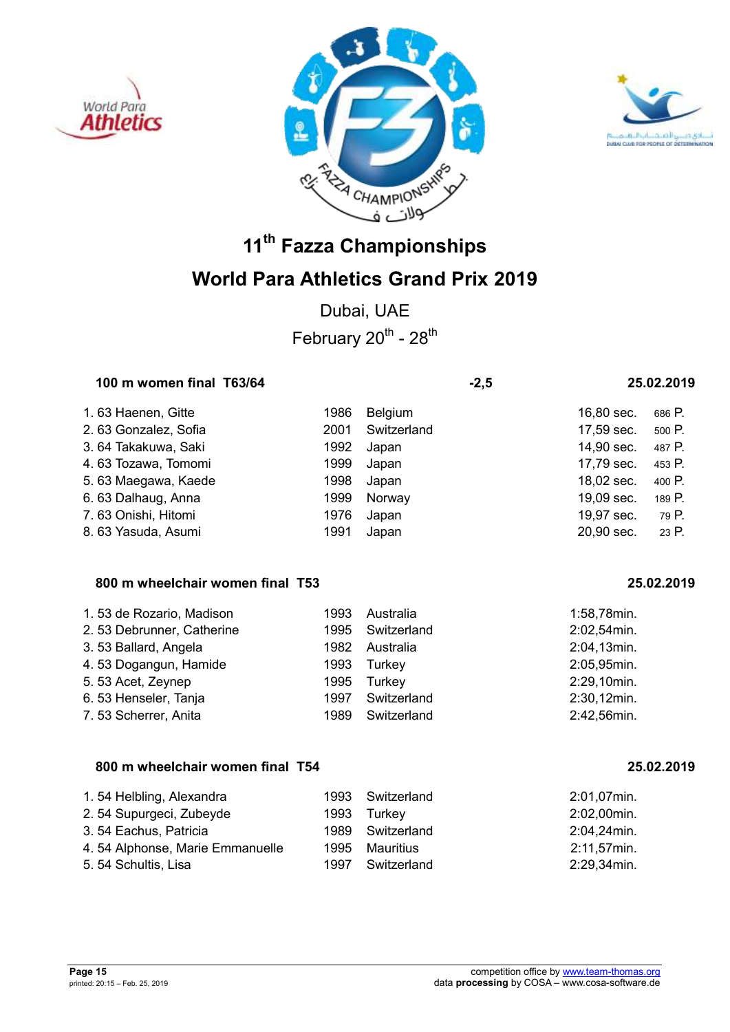





## **World Para Athletics Grand Prix 2019**

Dubai, UAE February  $20^{th}$  -  $28^{th}$ 

### 100 m women final T63/64  $-2.5$  25.02.2019

1. 63 Haenen, Gitte 1986 Belgium 16,80 sec. 686 P. 2. 63 Gonzalez, Sofia 2001 Switzerland 17,59 sec. 500 P. 3. 64 Takakuwa, Saki 1992 Japan 14,90 sec. 487 P. 4. 63 Tozawa, Tomomi 1999 Japan 17,79 sec. 453 P. 5. 63 Maegawa, Kaede 1998 Japan 18,02 sec. 400 P. 6. 63 Dalhaug, Anna 1999 Norway 19,09 sec. 189 P. 7. 63 Onishi, Hitomi 1976 Japan 19,97 sec. 79 P. 8. 63 Yasuda, Asumi 1991 Japan 20,90 sec. 23 P.

### **800 m wheelchair women final T53 25.02.2019**

| 1.53 de Rozario, Madison  | 1993 | Australia   | 1:58,78min. |
|---------------------------|------|-------------|-------------|
| 2.53 Debrunner, Catherine | 1995 | Switzerland | 2:02,54min. |
| 3.53 Ballard, Angela      | 1982 | Australia   | 2:04,13min. |
| 4.53 Dogangun, Hamide     | 1993 | Turkey      | 2:05,95min. |
| 5.53 Acet, Zeynep         | 1995 | Turkey      | 2:29,10min. |
| 6.53 Henseler, Tanja      | 1997 | Switzerland | 2:30,12min. |
| 7.53 Scherrer, Anita      | 1989 | Switzerland | 2:42,56min. |

### **800 m wheelchair women final T54 25.02.2019**

| 1.54 Helbling, Alexandra        |      | 1993 Switzerland | 2:01,07min. |
|---------------------------------|------|------------------|-------------|
| 2.54 Supurgeci, Zubeyde         |      | 1993 Turkey      | 2:02,00min. |
| 3.54 Eachus, Patricia           |      | 1989 Switzerland | 2:04,24min. |
| 4.54 Alphonse, Marie Emmanuelle | 1995 | Mauritius        | 2:11,57min. |
| 5.54 Schultis, Lisa             |      | 1997 Switzerland | 2:29,34min. |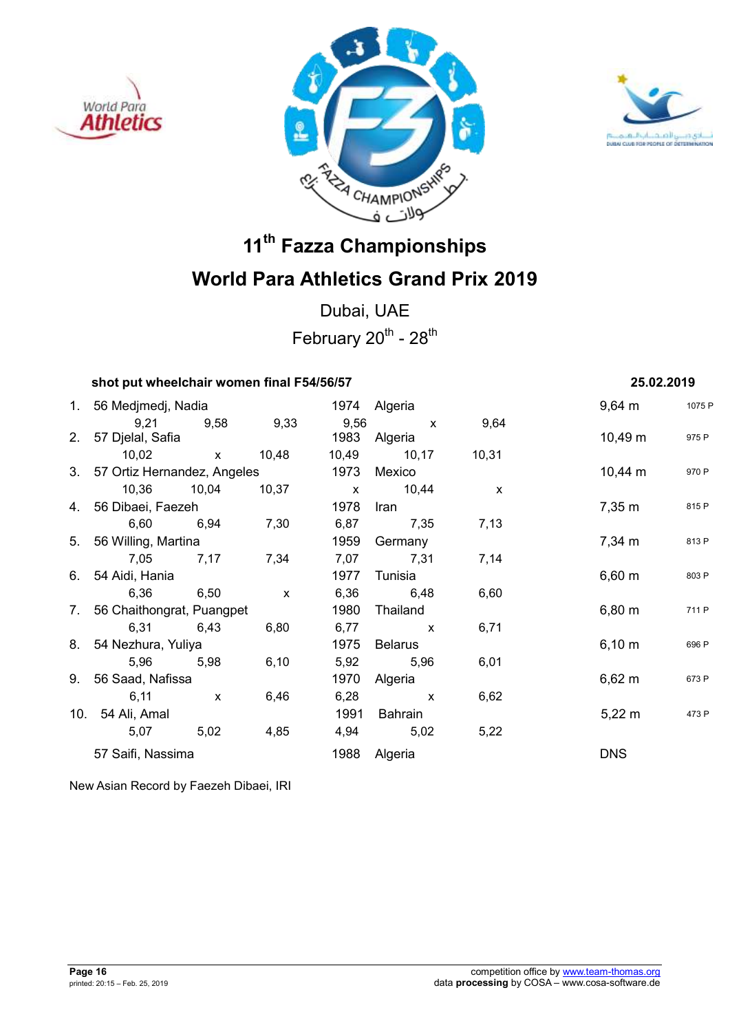





Dubai, UAE February  $20^{th}$  -  $28^{th}$ 

### **shot put wheelchair women final F54/56/57 25.02.2019**

| 1. 56 Medjmedj, Nadia          |                   |      | 1974 Algeria      |              | 9,64 m                | 1075 F |
|--------------------------------|-------------------|------|-------------------|--------------|-----------------------|--------|
|                                | 9,21 9,58 9,33    |      | 9,56 x            | 9,64         |                       |        |
| 2. 57 Djelal, Safia            |                   |      | 1983 Algeria      |              | 10,49 m               | 975 P  |
|                                | 10,02 x 10,48     |      | 10,49 10,17 10,31 |              |                       |        |
| 3. 57 Ortiz Hernandez, Angeles |                   |      | 1973 Mexico       |              | $10,44 \; \mathrm{m}$ | 970 P  |
|                                | 10,36 10,04 10,37 |      | x 10,44           | $\mathsf{X}$ |                       |        |
| 4. 56 Dibaei, Faezeh           |                   | 1978 | Iran              |              | 7,35 m                | 815 P  |
| 6,60 6,94 7,30                 |                   |      | 6,87 7,35         | 7,13         |                       |        |
| 5. 56 Willing, Martina         |                   | 1959 | Germany           |              | 7,34 m                | 813 P  |
|                                | 7,05 7,17 7,34    |      | 7,07 7,31         | 7,14         |                       |        |
| 6. 54 Aidi, Hania              |                   | 1977 | Tunisia           |              | 6,60 m                | 803 P  |
| 6,36 6,50                      | $\mathsf{X}$      |      | 6,36 6,48         | 6,60         |                       |        |
| 7. 56 Chaithongrat, Puangpet   |                   | 1980 | Thailand          |              | 6,80 m                | 711 P  |
| 6,31 6,43                      | 6,80              |      | 6,77 x            | 6,71         |                       |        |
| 8. 54 Nezhura, Yuliya          |                   | 1975 | Belarus           |              | 6,10 m                | 696 P  |
| 5,96 5,98                      | 6,10              |      | 5,92 5,96         | 6,01         |                       |        |
| 9. 56 Saad, Nafissa            |                   | 1970 | Algeria           |              | $6,62 \; m$           | 673 P  |
| $6,11 \quad x$                 | 6,46              |      | $6,28$ x          | 6,62         |                       |        |
| 10. 54 Ali, Amal               |                   | 1991 | Bahrain           |              | $5,22 \; \text{m}$    | 473 P  |
| 5,07 5,02                      | 4,85              |      | 4,94 5,02         | 5,22         |                       |        |
| 57 Saifi, Nassima              |                   |      | 1988 Algeria      |              | <b>DNS</b>            |        |

New Asian Record by Faezeh Dibaei, IRI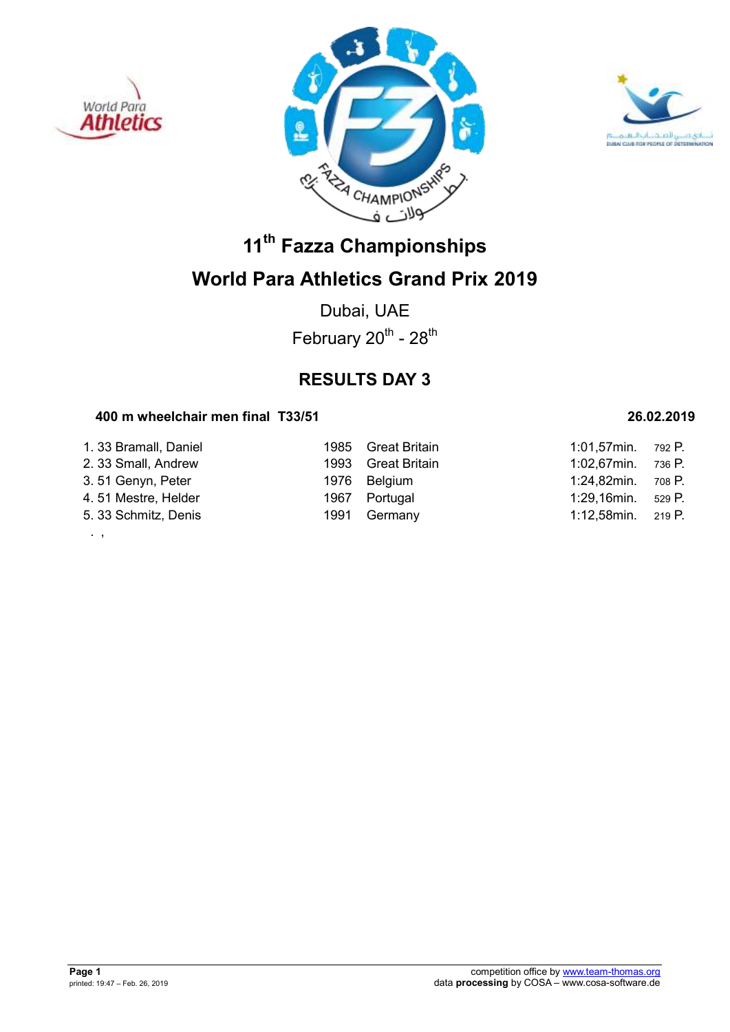

. ,





## **11th Fazza Championships World Para Athletics Grand Prix 2019**

Dubai, UAE February  $20^{th}$  -  $28^{th}$ 

## **RESULTS DAY 3**

### **400 m wheelchair men final T33/51 26.02.2019**

| 1. 33 Bramall, Daniel | 1985 Great Britain | 1:01,57 $min.$ 792 P. |        |
|-----------------------|--------------------|-----------------------|--------|
| 2. 33 Small, Andrew   | 1993 Great Britain | $1:02,67$ min.        | 736 P. |
| 3.51 Genyn, Peter     | 1976 Belgium       | 1:24,82min.           | 708 P. |
| 4.51 Mestre, Helder   | 1967 Portugal      | 1:29,16min.           | 529 P. |
| 5. 33 Schmitz, Denis  | 1991 Germany       | 1:12,58min. 219 P.    |        |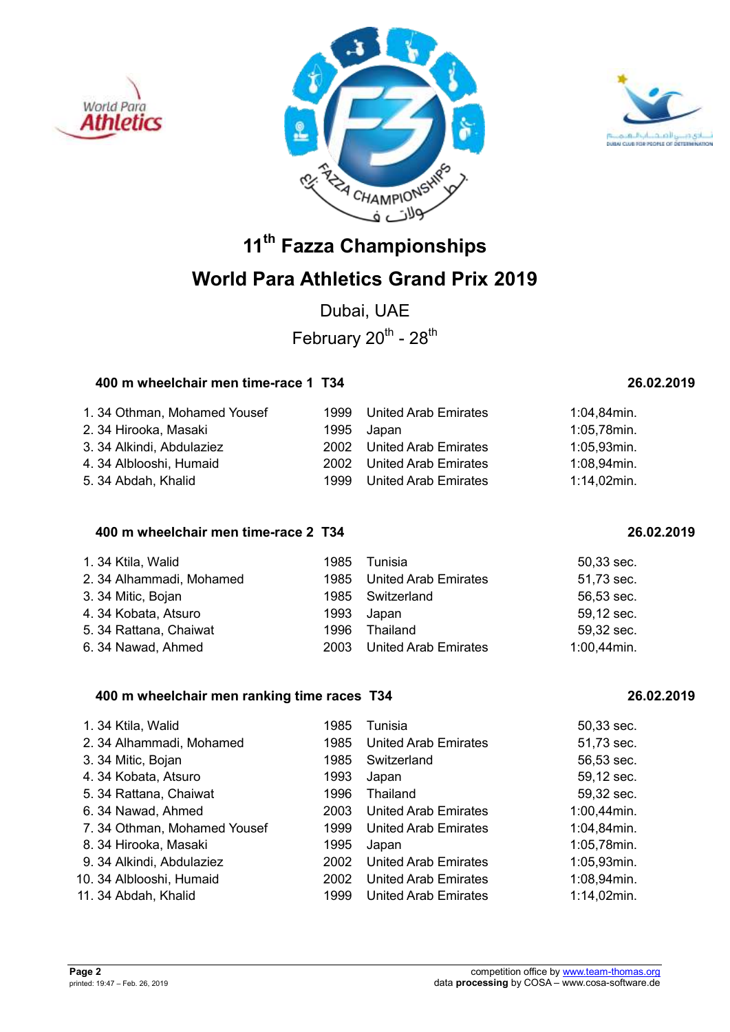





Dubai, UAE February  $20^{th}$  -  $28^{th}$ 

### **400 m wheelchair men time-race 1 T34 26.02.2019**

| 1.34 Othman, Mohamed Yousef | 1999 | <b>United Arab Emirates</b> | 1:04,84min.    |
|-----------------------------|------|-----------------------------|----------------|
| 2. 34 Hirooka, Masaki       |      | 1995 Japan                  | 1:05,78min.    |
| 3. 34 Alkindi, Abdulaziez   |      | 2002 United Arab Emirates   | 1:05,93min.    |
| 4. 34 Alblooshi, Humaid     | 2002 | <b>United Arab Emirates</b> | 1:08,94min.    |
| 5. 34 Abdah, Khalid         | 1999 | <b>United Arab Emirates</b> | $1:14,02$ min. |

### **400 m wheelchair men time-race 2 T34 26.02.2019**

| 1.34 Ktila, Walid       |      | 1985 Tunisia              | $50,33$ sec.   |
|-------------------------|------|---------------------------|----------------|
| 2.34 Alhammadi, Mohamed |      | 1985 United Arab Emirates | 51,73 sec.     |
| 3. 34 Mitic, Bojan      |      | 1985 Switzerland          | 56,53 sec.     |
| 4.34 Kobata, Atsuro     |      | 1993 Japan                | 59,12 sec.     |
| 5. 34 Rattana, Chaiwat  | 1996 | Thailand                  | 59,32 sec.     |
| 6.34 Nawad, Ahmed       |      | 2003 United Arab Emirates | $1:00,44$ min. |

### **400 m wheelchair men ranking time races T34 26.02.2019**

| 1.34 Ktila, Walid           | 1985 | Tunisia                     | 50,33 sec.     |
|-----------------------------|------|-----------------------------|----------------|
| 2. 34 Alhammadi, Mohamed    | 1985 | <b>United Arab Emirates</b> | 51,73 sec.     |
| 3. 34 Mitic, Bojan          | 1985 | Switzerland                 | 56,53 sec.     |
| 4.34 Kobata, Atsuro         | 1993 | Japan                       | 59,12 sec.     |
| 5. 34 Rattana, Chaiwat      | 1996 | Thailand                    | 59,32 sec.     |
| 6.34 Nawad, Ahmed           | 2003 | United Arab Emirates        | $1:00,44$ min. |
| 7.34 Othman, Mohamed Yousef | 1999 | <b>United Arab Emirates</b> | 1:04,84min.    |
| 8. 34 Hirooka, Masaki       | 1995 | Japan                       | 1:05,78min.    |
| 9. 34 Alkindi, Abdulaziez   | 2002 | <b>United Arab Emirates</b> | 1:05,93min.    |
| 10. 34 Alblooshi, Humaid    | 2002 | <b>United Arab Emirates</b> | 1:08,94min.    |
| 11. 34 Abdah, Khalid        | 1999 | United Arab Emirates        | 1:14,02min.    |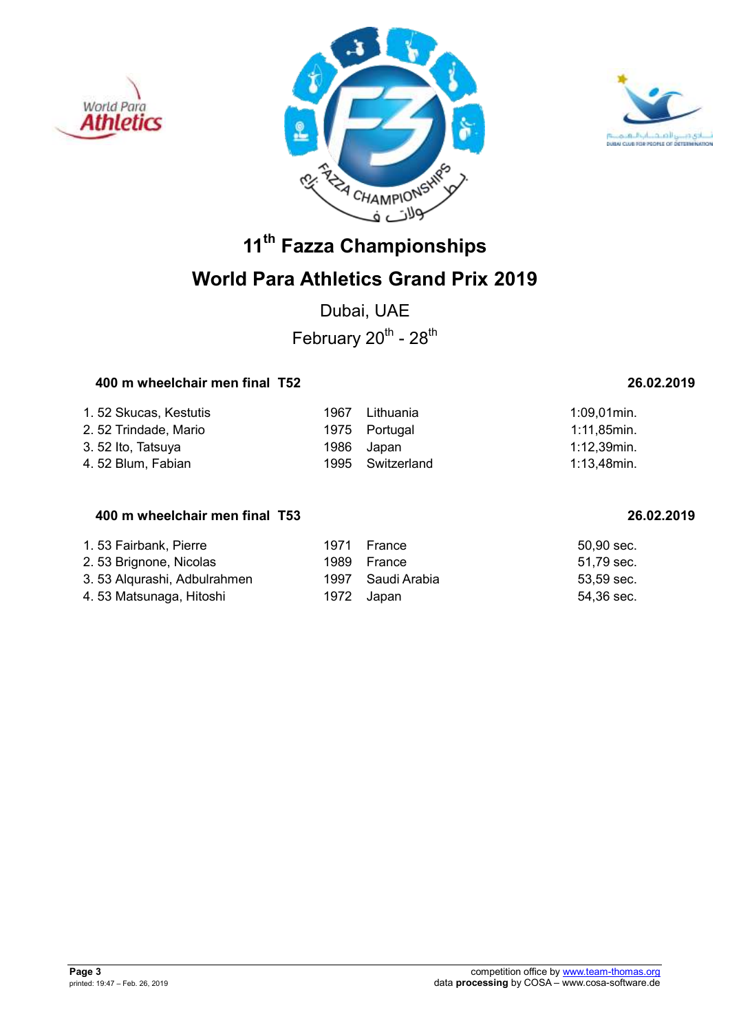





## **World Para Athletics Grand Prix 2019**

Dubai, UAE February  $20^{th}$  -  $28^{th}$ 

### **400 m wheelchair men final T52 26.02.2019**

| 1.52 Skucas, Kestutis | 1967 | Lithuania        | $1:09.01$ min. |
|-----------------------|------|------------------|----------------|
| 2.52 Trindade, Mario  |      | 1975 Portugal    | $1:11,85$ min. |
| 3.52 Ito, Tatsuya     |      | 1986 Japan       | 1:12,39min.    |
| 4.52 Blum, Fabian     |      | 1995 Switzerland | .1:13.48min    |

### **400 m wheelchair men final T53 26.02.2019**

| 1.53 Fairbank, Pierre        | 1971       | France            | 50.90 sec. |
|------------------------------|------------|-------------------|------------|
| 2. 53 Brignone, Nicolas      |            | 1989 France       | 51,79 sec. |
| 3. 53 Algurashi, Adbulrahmen |            | 1997 Saudi Arabia | 53,59 sec. |
| 4. 53 Matsunaga, Hitoshi     | 1972 Japan |                   | 54,36 sec. |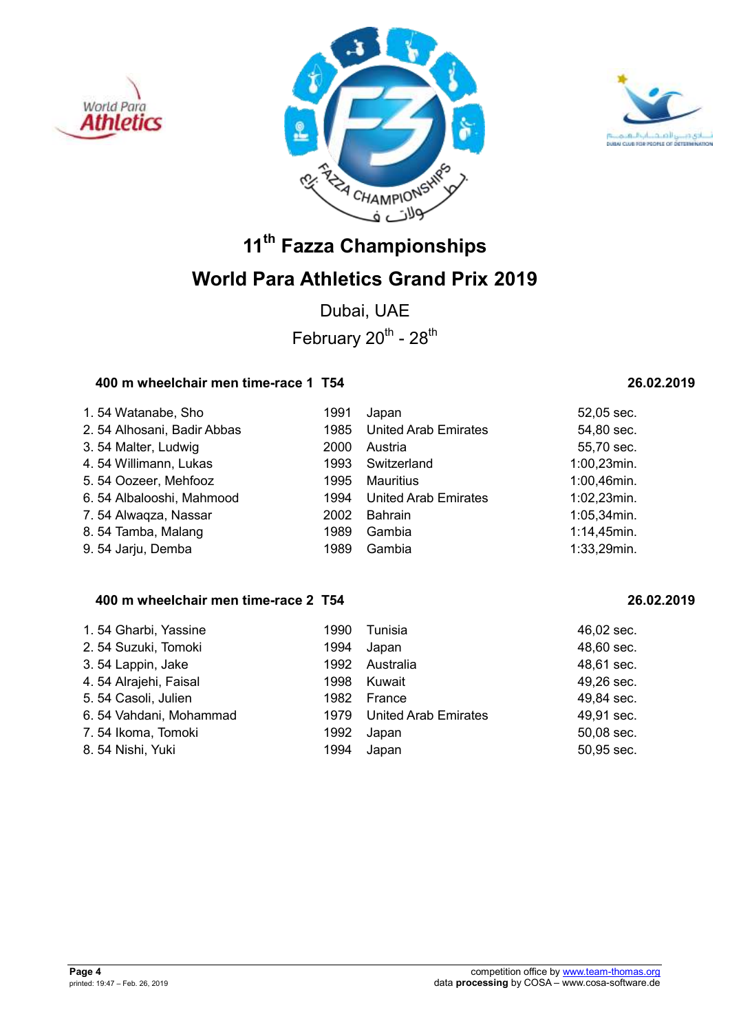





Dubai, UAE February  $20^{th}$  -  $28^{th}$ 

### **400 m wheelchair men time-race 1 T54 26.02.2019**

| 1.54 Watanabe, Sho         | 1991 | Japan                       | 52,05 sec.     |
|----------------------------|------|-----------------------------|----------------|
| 2.54 Alhosani, Badir Abbas | 1985 | <b>United Arab Emirates</b> | 54,80 sec.     |
| 3.54 Malter, Ludwig        | 2000 | Austria                     | 55,70 sec.     |
| 4.54 Willimann, Lukas      | 1993 | Switzerland                 | $1:00,23$ min. |
| 5.54 Oozeer, Mehfooz       | 1995 | Mauritius                   | 1:00,46min.    |
| 6.54 Albalooshi, Mahmood   | 1994 | <b>United Arab Emirates</b> | $1:02,23$ min. |
| 7.54 Alwaqza, Nassar       | 2002 | <b>Bahrain</b>              | $1:05,34$ min. |
| 8.54 Tamba, Malang         | 1989 | Gambia                      | 1:14,45min.    |
| 9.54 Jarju, Demba          | 1989 | Gambia                      | $1:33,29$ min. |

### **400 m wheelchair men time-race 2 T54 26.02.2019**

| 1.54 Gharbi, Yassine   | 1990 | Tunisia                   | 46,02 sec. |
|------------------------|------|---------------------------|------------|
| 2.54 Suzuki, Tomoki    | 1994 | Japan                     | 48,60 sec. |
| 3.54 Lappin, Jake      |      | 1992 Australia            | 48,61 sec. |
| 4.54 Alrajehi, Faisal  |      | 1998 Kuwait               | 49,26 sec. |
| 5.54 Casoli, Julien    |      | 1982 France               | 49,84 sec. |
| 6.54 Vahdani, Mohammad |      | 1979 United Arab Emirates | 49,91 sec. |
| 7.54 Ikoma, Tomoki     |      | 1992 Japan                | 50,08 sec. |
| 8.54 Nishi, Yuki       | 1994 | Japan                     | 50,95 sec. |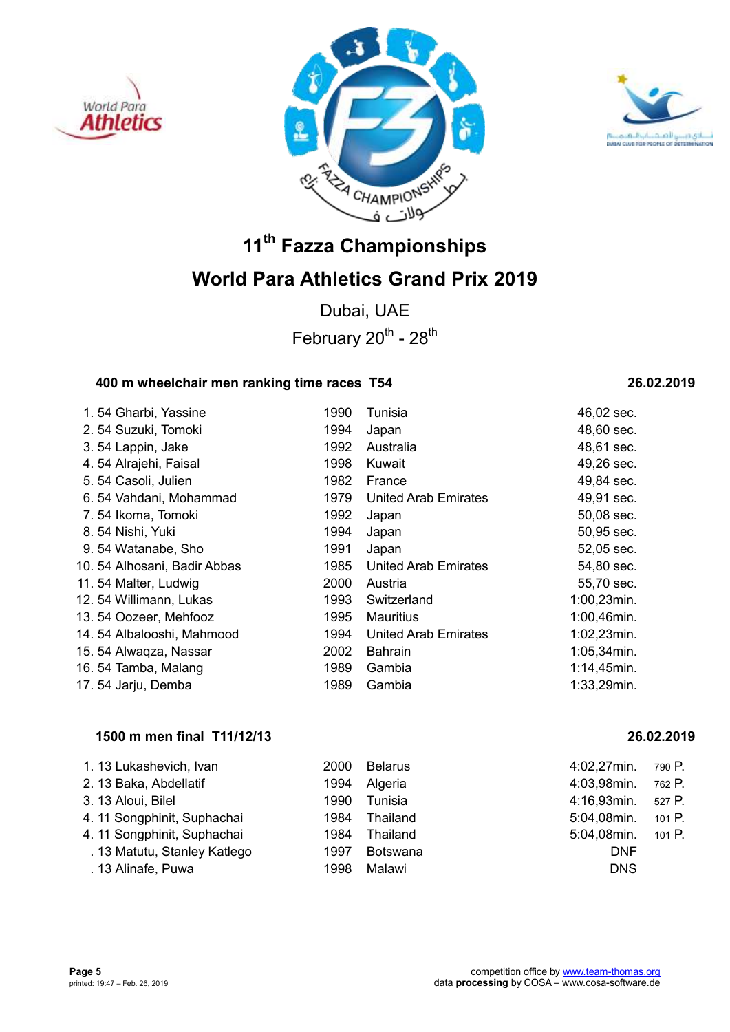





Dubai, UAE February  $20^{th}$  -  $28^{th}$ 

### **400 m wheelchair men ranking time races T54 26.02.2019**

| 1.54 Gharbi, Yassine        | 1990 | Tunisia                     | 46,02 sec.     |
|-----------------------------|------|-----------------------------|----------------|
| 2.54 Suzuki, Tomoki         | 1994 | Japan                       | 48,60 sec.     |
| 3.54 Lappin, Jake           | 1992 | Australia                   | 48,61 sec.     |
| 4.54 Alrajehi, Faisal       | 1998 | Kuwait                      | 49,26 sec.     |
| 5.54 Casoli, Julien         | 1982 | France                      | 49,84 sec.     |
| 6.54 Vahdani, Mohammad      | 1979 | <b>United Arab Emirates</b> | 49,91 sec.     |
| 7.54 Ikoma, Tomoki          | 1992 | Japan                       | 50,08 sec.     |
| 8.54 Nishi, Yuki            | 1994 | Japan                       | 50,95 sec.     |
| 9.54 Watanabe, Sho          | 1991 | Japan                       | 52,05 sec.     |
| 10.54 Alhosani, Badir Abbas | 1985 | United Arab Emirates        | 54,80 sec.     |
| 11.54 Malter, Ludwig        | 2000 | Austria                     | 55,70 sec.     |
| 12. 54 Willimann, Lukas     | 1993 | Switzerland                 | $1:00,23$ min. |
| 13. 54 Oozeer, Mehfooz      | 1995 | <b>Mauritius</b>            | 1:00,46min.    |
| 14.54 Albalooshi, Mahmood   | 1994 | <b>United Arab Emirates</b> | $1:02,23$ min. |
| 15. 54 Alwaqza, Nassar      | 2002 | <b>Bahrain</b>              | $1:05,34$ min. |
| 16.54 Tamba, Malang         | 1989 | Gambia                      | $1:14,45$ min. |
| 17.54 Jarju, Demba          | 1989 | Gambia                      | 1:33,29min.    |

### **1500 m men final T11/12/13 26.02.2019**

| 1.13 Lukashevich, Ivan       | 2000 | <b>Belarus</b> | 4:02,27min. | 790 P.   |
|------------------------------|------|----------------|-------------|----------|
| 2. 13 Baka, Abdellatif       | 1994 | Algeria        | 4:03,98min. | 762 P.   |
| 3. 13 Aloui, Bilel           | 1990 | Tunisia        | 4:16,93min. | 527 P.   |
| 4. 11 Songphinit, Suphachai  | 1984 | Thailand       | 5:04,08min. | 101 $P.$ |
| 4.11 Songphinit, Suphachai   | 1984 | Thailand       | 5:04,08min. | 101 $P.$ |
| . 13 Matutu, Stanley Katlego | 1997 | Botswana       | <b>DNF</b>  |          |
| . 13 Alinafe, Puwa           | 1998 | Malawi         | <b>DNS</b>  |          |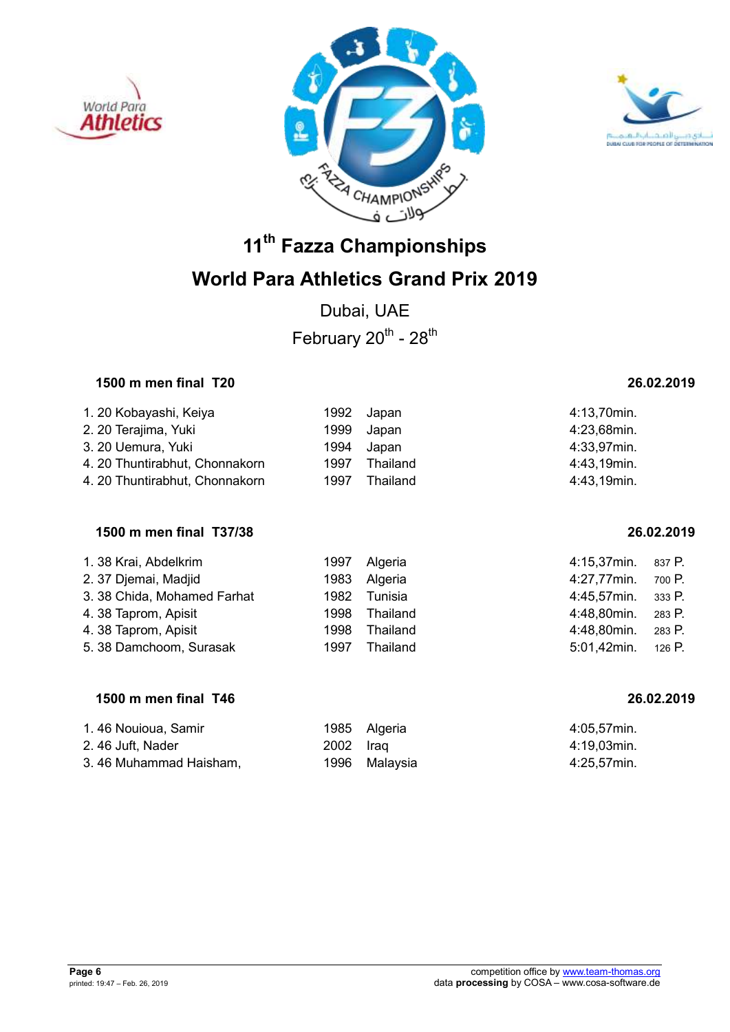





Dubai, UAE February  $20^{th}$  -  $28^{th}$ 

### **1500 m men final T20 26.02.2019**

| 1. 20 Kobayashi, Keiya         |      | 1992 Japan | 4:13,70min. |
|--------------------------------|------|------------|-------------|
| 2. 20 Terajima, Yuki           |      | 1999 Japan | 4:23,68min. |
| 3. 20 Uemura, Yuki             | 1994 | Japan      | 4:33,97min. |
| 4. 20 Thuntirabhut, Chonnakorn | 1997 | Thailand   | 4:43,19min. |
| 4. 20 Thuntirabhut, Chonnakorn | 1997 | Thailand   | 4:43,19min. |

### **1500 m men final T37/38 26.02.2019**

| 1. 38 Krai, Abdelkrim       |      | 1997 Algeria | 4:15,37min. | 837 P. |
|-----------------------------|------|--------------|-------------|--------|
| 2. 37 Djemai, Madjid        |      | 1983 Algeria | 4:27,77min. | 700 P. |
| 3. 38 Chida, Mohamed Farhat | 1982 | Tunisia      | 4:45,57min. | 333 P. |
| 4.38 Taprom, Apisit         | 1998 | Thailand     | 4:48,80min. | 283 P. |
| 4.38 Taprom, Apisit         | 1998 | Thailand     | 4:48,80min. | 283 P. |
| 5. 38 Damchoom, Surasak     | 1997 | Thailand     | 5:01,42min. | 126 P. |

### **1500 m men final T46 26.02.2019**

| 1.46 Nouioua, Samir    |           | 1985 Algeria  | 4:05.57min. |
|------------------------|-----------|---------------|-------------|
| 2.46 Juft, Nader       | 2002 Iraq |               | 4:19.03min. |
| 3.46 Muhammad Haisham, |           | 1996 Malaysia | 4:25,57min. |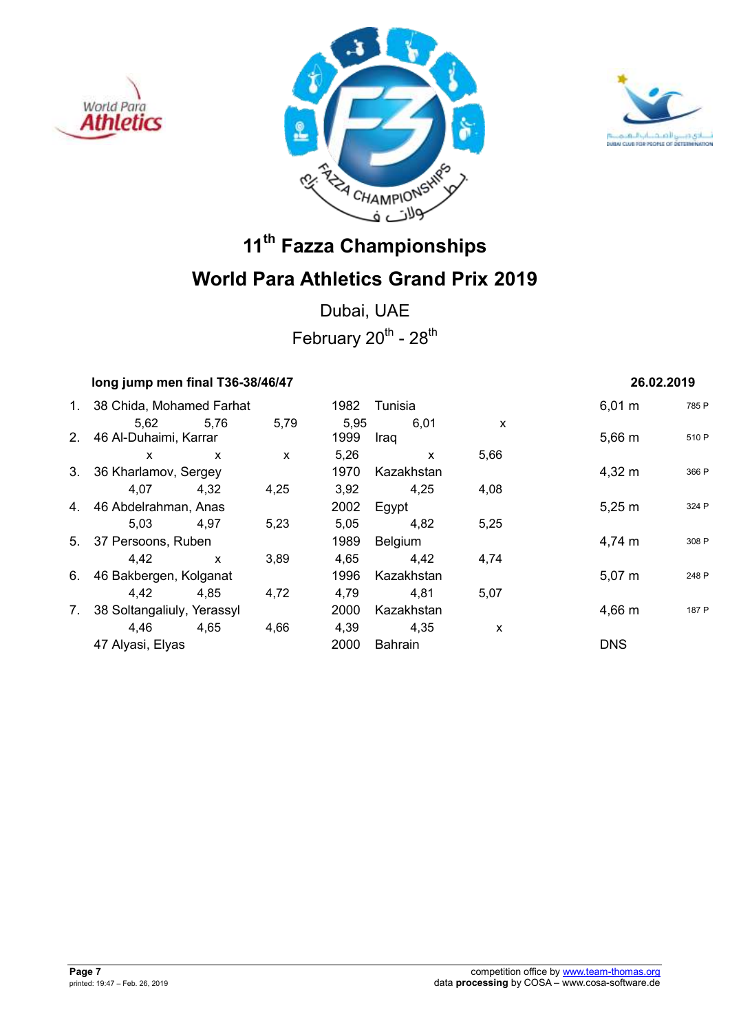





Dubai, UAE February  $20^{th}$  -  $28^{th}$ 

| long jump men final T36-38/46/47 |              |              |      |              |              | 26.02.2019  |       |
|----------------------------------|--------------|--------------|------|--------------|--------------|-------------|-------|
| 1. 38 Chida, Mohamed Farhat      |              |              | 1982 | Tunisia      |              | $6,01 \; m$ | 785 F |
| 5,62 5,76                        |              | 5,79         | 5,95 | 6,01         | $\mathsf{x}$ |             |       |
| 2. 46 Al-Duhaimi, Karrar         |              |              | 1999 | Iraq         |              | 5,66 m      | 510 F |
| X                                | $\mathsf{x}$ | $\mathsf{x}$ | 5,26 | $\mathsf{x}$ | 5,66         |             |       |
| 3. 36 Kharlamov, Sergey          |              |              | 1970 | Kazakhstan   |              | $4,32 \; m$ | 366 F |
| 4.07                             | 4.32         | 4,25         | 3,92 | 4,25         | 4,08         |             |       |
| 4. 46 Abdelrahman, Anas          |              |              |      | 2002 Egypt   |              | $5,25 \; m$ | 324 F |
| 5.03                             | 4.97         | 5,23         | 5,05 | 4,82         | 5,25         |             |       |
| 5. 37 Persoons, Ruben            |              |              | 1989 | Belgium      |              | 4,74 m      | 308 F |
| 4.42                             | $\mathsf{x}$ | 3,89         | 4,65 | 4,42         | 4,74         |             |       |
| 6. 46 Bakbergen, Kolganat        |              |              | 1996 | Kazakhstan   |              | $5,07 \; m$ | 248 F |
| 4.42                             | 4,85         | 4,72         | 4,79 | 4,81         | 5,07         |             |       |
| 7. 38 Soltangaliuly, Yerassyl    |              |              | 2000 | Kazakhstan   |              | 4,66 m      | 187 F |
| 4,46                             | 4,65         | 4,66         | 4,39 | 4,35         | X            |             |       |
| 47 Alyasi, Elyas                 |              |              | 2000 | Bahrain      |              | <b>DNS</b>  |       |
|                                  |              |              |      |              |              |             |       |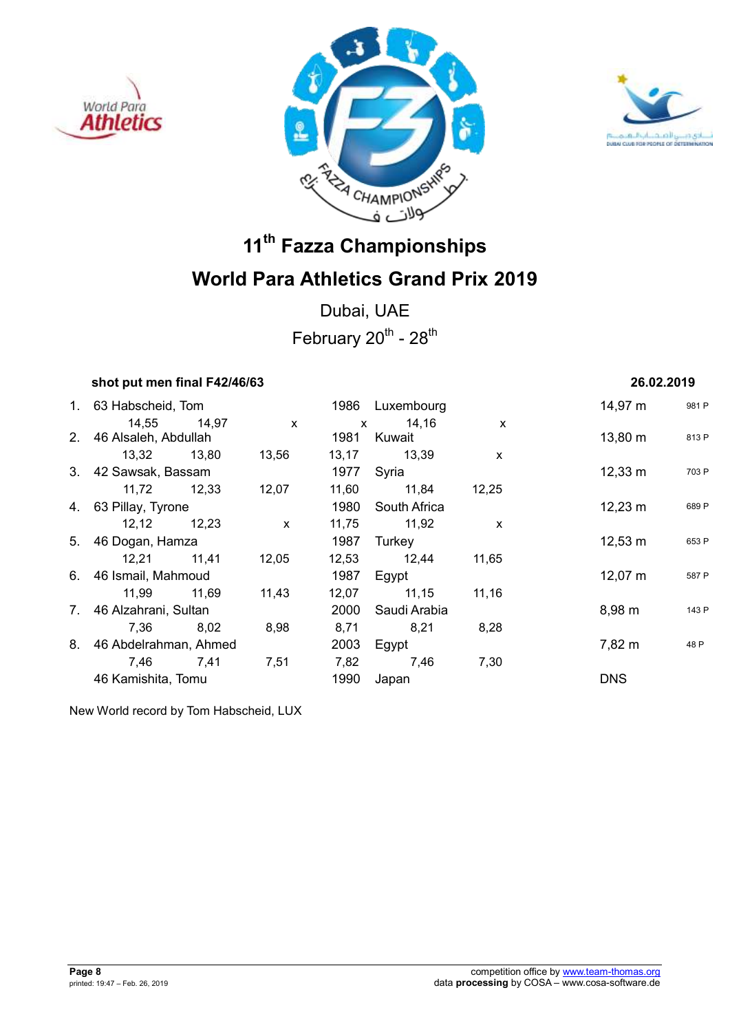





Dubai, UAE February  $20^{th}$  -  $28^{th}$ 

| shot put men final F42/46/63 |       |              |              |                   |              | 26.02.2019          |       |
|------------------------------|-------|--------------|--------------|-------------------|--------------|---------------------|-------|
| 1. 63 Habscheid, Tom         |       |              |              | 1986 Luxembourg   |              | 14,97 m             | 981 F |
| 14,55                        | 14,97 | $\mathsf{x}$ | $\mathsf{x}$ | 14,16             | $\mathsf{x}$ |                     |       |
| 2. 46 Alsaleh, Abdullah      |       |              | 1981         | Kuwait            |              | $13,80 \; \text{m}$ | 813 F |
| 13,32 13,80                  |       | 13,56        | 13,17        | 13,39             | $\mathsf{x}$ |                     |       |
| 3. 42 Sawsak, Bassam         |       |              | 1977 Syria   |                   |              | $12,33 \; \text{m}$ | 703 F |
| 11,72 12,33                  |       | 12,07        | 11,60        | 11,84             | 12,25        |                     |       |
| 4. 63 Pillay, Tyrone         |       |              | 1980         | South Africa      |              | $12,23 \; \text{m}$ | 689 F |
| 12,12 12,23                  |       | $\mathsf{x}$ | 11,75        | 11,92             | $\mathsf{x}$ |                     |       |
| 5. 46 Dogan, Hamza           |       |              | 1987         | Turkey            |              | $12,53 \; m$        | 653 F |
| 12,21 11,41                  |       | 12,05        | 12,53        | 12,44             | 11,65        |                     |       |
| 6. 46 Ismail, Mahmoud        |       |              | 1987         | Egypt             |              | $12,07 \; \text{m}$ | 587 F |
| 11,99                        | 11,69 | 11,43        | 12,07        | 11,15             | 11,16        |                     |       |
| 7. 46 Alzahrani, Sultan      |       |              |              | 2000 Saudi Arabia |              | $8,98 \; m$         | 143 F |
| 7,36                         | 8,02  | 8,98         | 8,71         | 8,21              | 8,28         |                     |       |
| 8. 46 Abdelrahman, Ahmed     |       |              | 2003         | Egypt             |              | 7,82 m              | 48 P  |
| 7,46                         | 7,41  | 7,51         | 7,82         | 7,46              | 7,30         |                     |       |
| 46 Kamishita, Tomu           |       |              | 1990         | Japan             |              | <b>DNS</b>          |       |
|                              |       |              |              |                   |              |                     |       |

New World record by Tom Habscheid, LUX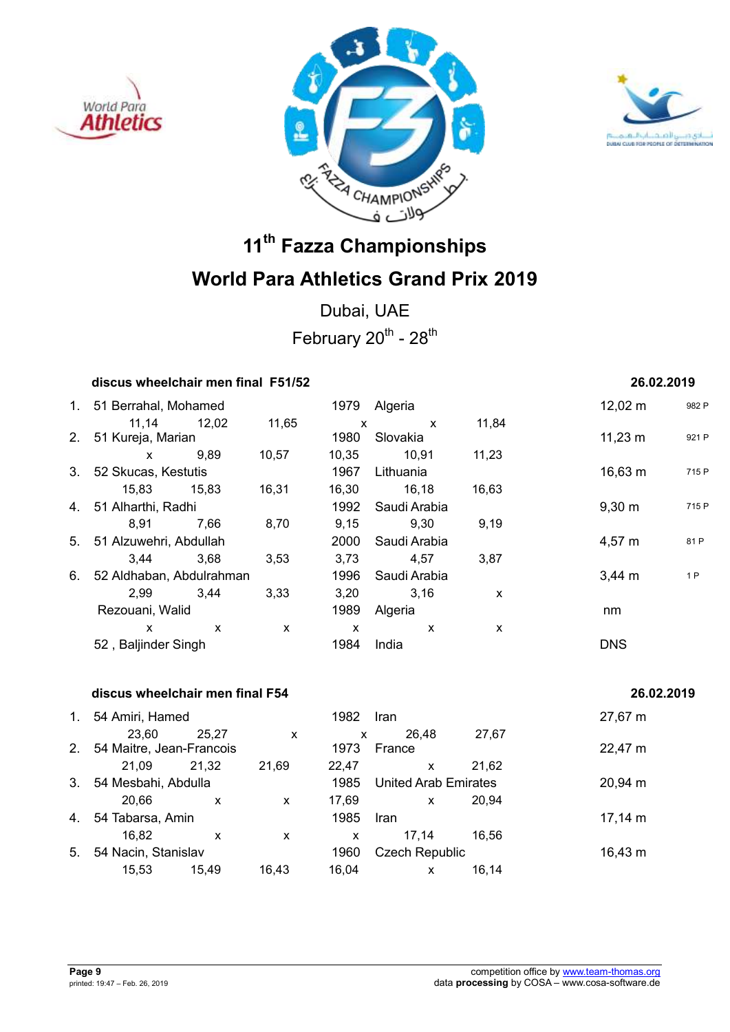





Dubai, UAE February  $20^{th}$  -  $28^{th}$ 

### **discus wheelchair men final F51/52 26.02.2019**

## 1. 51 Berrahal, Mohamed 1979 Algeria 1979 Algeria 12,02 m 982 P 11,14 12,02 11,65 x x 11,84 2. 51 Kureja, Marian 1980 Slovakia 1980 Slovakia 11,23 m x 9,89 10,57 10,35 10,91 11,23 3. 52 Skucas, Kestutis 1967 Lithuania 16,63 m <sup>715 P</sup> 15,83 15,83 16,31 16,30 16,18 16,63 4. 51 Alharthi, Radhi 1992 Saudi Arabia 9,30 m <sup>715</sup> <sup>P</sup> 8,91 7,66 8,70 9,15 9,30 9,19 5. 51 Alzuwehri, Abdullah 2000 Saudi Arabia 4,57 m <sup>81</sup> <sup>P</sup> 3,44 3,68 3,53 3,73 4,57 3,87 6. 52 Aldhaban, Abdulrahman 1996 Saudi Arabia 1996 Saudi Arabia 19 2,99 3,44 3,33 3,20 3,16 x Rezouani, Walid **1989** Algeria nm  $x$  x  $x$  x  $x$  x 52 , Baljinder Singh 1984 India DNS

### **discus wheelchair men final F54 26.02.2019**

| $1_{\cdot}$    | 54 Amiri, Hamed          |       |       | 1982  | Iran                        |       | 27,67 m             |
|----------------|--------------------------|-------|-------|-------|-----------------------------|-------|---------------------|
|                | 23.60                    | 25.27 | X     | X     | 26.48                       | 27,67 |                     |
| 2 <sub>1</sub> | 54 Maitre, Jean-Francois |       |       | 1973  | France                      |       | 22,47 m             |
|                | 21.09                    | 21.32 | 21,69 | 22.47 | X                           | 21,62 |                     |
| 3.             | 54 Mesbahi, Abdulla      |       |       | 1985  | <b>United Arab Emirates</b> |       | $20,94 \, \text{m}$ |
|                | 20,66                    | x     | X     | 17,69 | X                           | 20.94 |                     |
| 4.             | 54 Tabarsa, Amin         |       |       | 1985  | <b>Iran</b>                 |       | $17,14 \; m$        |
|                | 16.82                    | x     | X     | X     | 17.14                       | 16.56 |                     |
| 5.             | 54 Nacin, Stanislav      |       |       | 1960  | <b>Czech Republic</b>       |       | $16,43 \; m$        |
|                | 15,53                    | 15.49 | 16.43 | 16.04 | x                           | 16.14 |                     |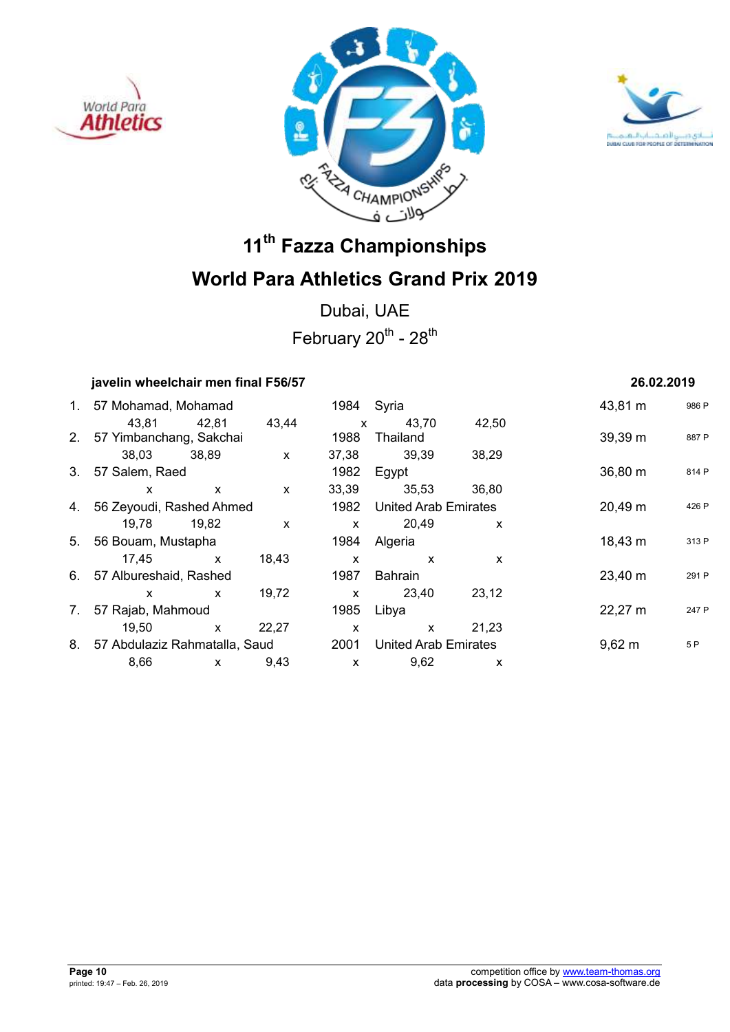





Dubai, UAE February  $20^{th}$  -  $28^{th}$ 

### **javelin wheelchair men final F56/57 26.02.2019**

|    | 1. 57 Mohamad, Mohamad           |              |              | 1984 Syria   |                             |       | 43,81 m            | 986 F |
|----|----------------------------------|--------------|--------------|--------------|-----------------------------|-------|--------------------|-------|
|    | 43,81 42,81                      |              | 43,44        | $\mathsf{x}$ | 43.70                       | 42,50 |                    |       |
|    | 2. 57 Yimbanchang, Sakchai       |              |              | 1988         | Thailand                    |       | 39,39 m            | 887 F |
|    | 38,03 38,89                      |              | $\mathsf{x}$ | 37,38        | 39,39                       | 38,29 |                    |       |
|    | 3. 57 Salem, Raed                |              |              | 1982         | Egypt                       |       | 36,80 m            | 814 F |
|    | X                                | $\mathsf{X}$ | $\mathsf{x}$ | 33,39        | 35,53                       | 36,80 |                    |       |
|    | 4. 56 Zeyoudi, Rashed Ahmed      |              |              | 1982         | <b>United Arab Emirates</b> |       | 20,49 m            | 426 F |
|    | 19,78 19,82                      |              | $\mathsf{x}$ | $\mathsf{x}$ | 20,49                       | X     |                    |       |
|    | 5. 56 Bouam, Mustapha            |              |              | 1984         | Algeria                     |       | $18,43 \; m$       | 313 F |
|    | 17.45 x                          |              | 18,43        | X            | $\mathsf{x}$                | X     |                    |       |
|    | 6. 57 Albureshaid, Rashed        |              |              | 1987         | Bahrain                     |       | 23,40 m            | 291 F |
|    | X                                | $\mathsf{x}$ | 19,72        | $\mathsf{x}$ | 23,40                       | 23,12 |                    |       |
| 7. | 57 Rajab, Mahmoud                |              |              | 1985         | Libya                       |       | 22,27 m            | 247 F |
|    | 19,50                            | $\mathsf{x}$ | 22,27        | X            | $\mathsf{x}$                | 21,23 |                    |       |
|    | 8. 57 Abdulaziz Rahmatalla, Saud |              |              | 2001         | <b>United Arab Emirates</b> |       | $9,62 \, \text{m}$ | 5 P   |
|    | 8,66                             | $\mathsf{x}$ | 9,43         | $\mathsf{x}$ | 9,62                        | X     |                    |       |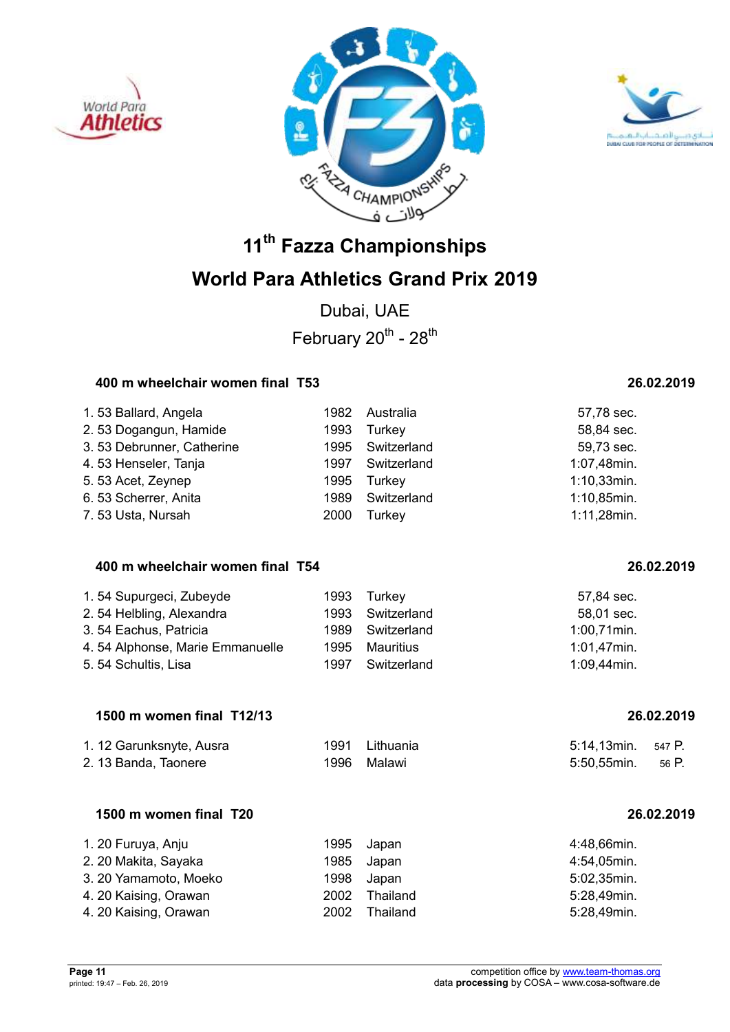





Dubai, UAE February  $20^{th}$  -  $28^{th}$ 

### **400 m wheelchair women final T53 26.02.2019**

| 1.53 Ballard, Angela      | 1982 | Australia        | 57,78 sec.     |
|---------------------------|------|------------------|----------------|
| 2.53 Dogangun, Hamide     | 1993 | Turkey           | 58,84 sec.     |
| 3.53 Debrunner, Catherine |      | 1995 Switzerland | 59,73 sec.     |
| 4.53 Henseler, Tanja      | 1997 | Switzerland      | 1:07,48min.    |
| 5.53 Acet, Zeynep         | 1995 | Turkey           | $1:10,33$ min. |
| 6.53 Scherrer, Anita      | 1989 | Switzerland      | 1:10,85min.    |
| 7.53 Usta, Nursah         | 2000 | Turkey           | 1:11,28min.    |

### **400 m wheelchair women final T54 26.02.2019**

| 1.54 Supurgeci, Zubeyde         | 1993 | Turkev      | 57,84 sec.     |
|---------------------------------|------|-------------|----------------|
| 2.54 Helbling, Alexandra        | 1993 | Switzerland | 58,01 sec.     |
| 3.54 Eachus, Patricia           | 1989 | Switzerland | $1:00,71$ min. |
| 4.54 Alphonse, Marie Emmanuelle | 1995 | Mauritius   | 1:01,47min.    |
| 5.54 Schultis, Lisa             | 1997 | Switzerland | 1:09,44min.    |

### **1500 m women final T12/13 26.02.2019**

| 1. 12 Garunksnyte, Ausra | 1991 Lithuania | 5:14,13min. 547 P. |  |
|--------------------------|----------------|--------------------|--|
| 2. 13 Banda, Taonere     | 1996 Malawi    | 5:50.55min. 56 P.  |  |

## **1500 m women final T20 26.02.2019**

| 1. 20 Furuya, Anju    |      | 1995 Japan | 4:48,66min. |
|-----------------------|------|------------|-------------|
| 2. 20 Makita, Sayaka  |      | 1985 Japan | 4:54,05min. |
| 3. 20 Yamamoto, Moeko | 1998 | Japan      | 5:02,35min. |
| 4. 20 Kaising, Orawan | 2002 | Thailand   | 5:28,49min. |
| 4. 20 Kaising, Orawan | 2002 | Thailand   | 5:28,49min. |

| ,55min. | 56 P. |
|---------|-------|
|         |       |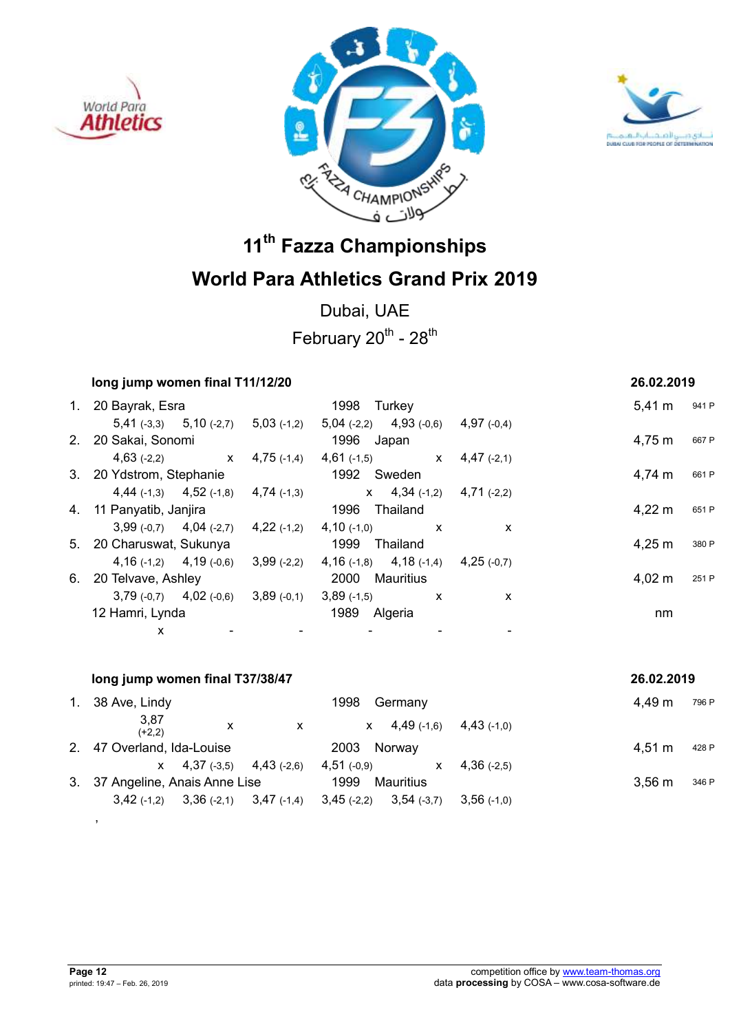





Dubai, UAE February  $20^{th}$  -  $28^{th}$ 

| long jump women final T11/12/20                         |                                                                                     |               | 26.02.2019                |
|---------------------------------------------------------|-------------------------------------------------------------------------------------|---------------|---------------------------|
| 1. 20 Bayrak, Esra                                      | 1998 Turkey                                                                         |               | $5,41 \text{ m}$<br>941 P |
|                                                         | $5,41$ (-3,3) $5,10$ (-2,7) $5,03$ (-1,2) $5,04$ (-2,2) $4,93$ (-0,6) $4,97$ (-0,4) |               |                           |
| 2. 20 Sakai, Sonomi                                     | 1996 Japan                                                                          |               | 4,75 m<br>667 P           |
|                                                         | $4,63$ (-2,2) $x$ $4,75$ (-1,4) $4,61$ (-1,5) $x$                                   | $4,47$ (-2,1) |                           |
| 3. 20 Ydstrom, Stephanie                                | 1992 Sweden                                                                         |               | 4,74 m<br>661 P           |
|                                                         | 4,44 $(-1,3)$ 4,52 $(-1,8)$ 4,74 $(-1,3)$ x 4,34 $(-1,2)$ 4,71 $(-2,2)$             |               |                           |
| 4. 11 Panyatib, Janjira                                 | 1996<br>Thailand                                                                    |               | 4,22 m<br>651 P           |
|                                                         | $3,99(-0,7)$ $4,04(-2,7)$ $4,22(-1,2)$ $4,10(-1,0)$ x                               | X             |                           |
| 5. 20 Charuswat, Sukunya                                | 1999<br>Thailand                                                                    |               | 4,25 m<br>380 P           |
|                                                         | 4, 16 (-1,2) 4, 19 (-0,6) 3, 99 (-2,2) 4, 16 (-1,8) 4, 18 (-1,4) 4, 25 (-0,7)       |               |                           |
| 6. 20 Telvave, Ashley                                   | 2000 Mauritius                                                                      |               | 4,02 m<br>251 P           |
| $3,79$ (-0,7) $4,02$ (-0,6) $3,89$ (-0,1) $3,89$ (-1,5) | $\mathbf{x}$                                                                        | $\mathsf{x}$  |                           |
| 12 Hamri, Lynda                                         | 1989<br>Algeria                                                                     |               | nm                        |
| x                                                       |                                                                                     |               |                           |

|    | long jump women final T37/38/47<br>26.02.2019           |   |                               |               |                           |  |  |
|----|---------------------------------------------------------|---|-------------------------------|---------------|---------------------------|--|--|
| 1. | 38 Ave, Lindy                                           |   | 1998<br>Germany               |               | 4.49 m<br>796 P           |  |  |
|    | 3,87<br>x<br>$(+2,2)$                                   | X | $4,49$ (-1,6)<br>X.           | $4.43( -1.0)$ |                           |  |  |
|    | 2. 47 Overland, Ida-Louise                              |   | 2003<br>Norway                |               | $4.51 \text{ m}$<br>428 P |  |  |
|    | $x = 4,37(-3,5) = 4,43(-2,6)$                           |   | $4,51$ (-0,9)<br>$\mathsf{x}$ | $4,36$ (-2,5) |                           |  |  |
|    | 3. 37 Angeline, Anais Anne Lise                         |   | 1999<br>Mauritius             |               | $3.56 \text{ m}$<br>346 P |  |  |
|    | $3,36(-2,1)$ $3,47(-1,4)$ $3,45(-2,2)$<br>$3,42$ (-1,2) |   | $3,54$ (-3,7)                 | $3,56$ (-1,0) |                           |  |  |

,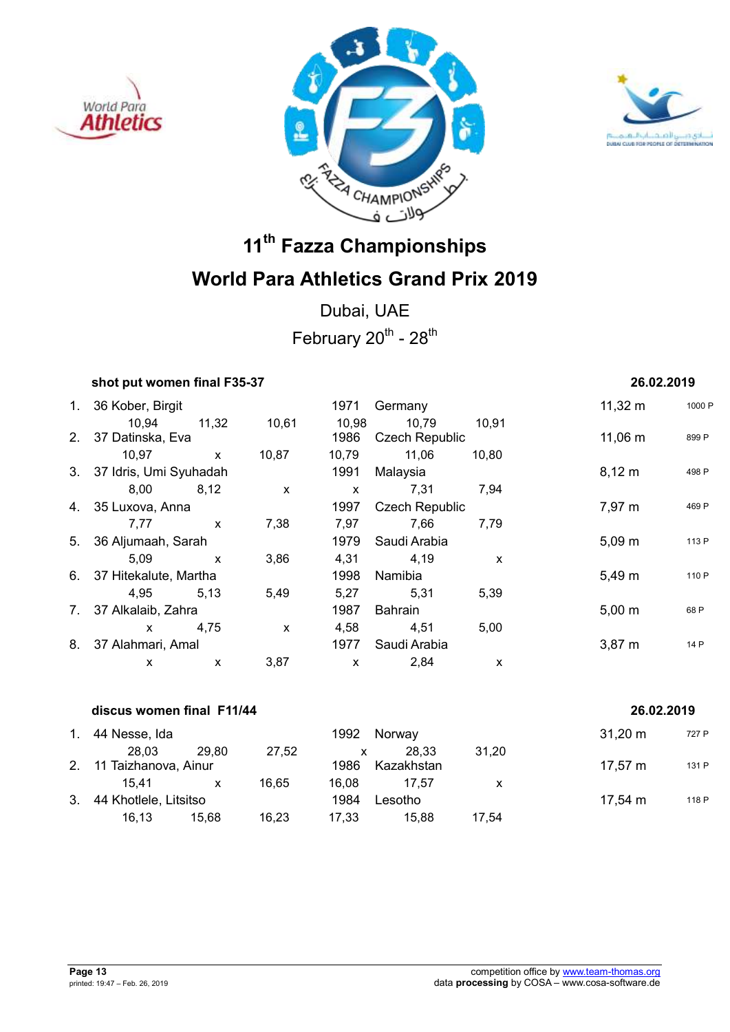





Dubai, UAE February  $20^{th}$  -  $28^{th}$ 

|    | shot put women final F35-37 |              |              |              |                       |       | 26.02.2019   |        |
|----|-----------------------------|--------------|--------------|--------------|-----------------------|-------|--------------|--------|
| 1. | 36 Kober, Birgit            |              |              | 1971         | Germany               |       | $11,32 \; m$ | 1000 F |
|    | 10,94                       | 11,32        | 10,61        | 10,98        | 10,79                 | 10,91 |              |        |
|    | 2. 37 Datinska, Eva         |              |              | 1986         | <b>Czech Republic</b> |       | $11,06 \; m$ | 899 P  |
|    | 10,97                       | $\mathsf{x}$ | 10,87        | 10,79        | 11,06                 | 10,80 |              |        |
|    | 3. 37 Idris, Umi Syuhadah   |              |              | 1991         | Malaysia              |       | $8,12 \, m$  | 498 P  |
|    | 8,00                        | 8,12         | $\mathsf{x}$ | $\mathsf{x}$ | 7,31                  | 7,94  |              |        |
|    | 4. 35 Luxova, Anna          |              |              | 1997         | <b>Czech Republic</b> |       | 7,97 m       | 469 P  |
|    | 7,77                        | $\mathbf{x}$ | 7,38         | 7,97         | 7,66                  | 7,79  |              |        |
|    | 5. 36 Aljumaah, Sarah       |              |              | 1979         | Saudi Arabia          |       | $5,09 \; m$  | 113 P  |
|    | 5,09                        | $\mathsf{X}$ | 3,86         | 4,31         | 4,19                  | X     |              |        |
|    | 6. 37 Hitekalute, Martha    |              |              | 1998         | Namibia               |       | $5,49 \; m$  | 110 P  |
|    | 4,95                        | 5,13         | 5,49         | 5,27         | 5,31                  | 5,39  |              |        |
| 7. | 37 Alkalaib, Zahra          |              |              | 1987         | Bahrain               |       | $5,00 \; m$  | 68 P   |
|    | $\mathsf{x}$                | 4,75         | $\mathsf{x}$ | 4,58         | 4,51                  | 5,00  |              |        |
|    | 8. 37 Alahmari, Amal        |              |              | 1977         | Saudi Arabia          |       | $3,87 \; m$  | 14 P   |
|    | X                           | X            | 3,87         | X            | 2,84                  | X     |              |        |
|    |                             |              |              |              |                       |       |              |        |

|         | discus women final F11/44 |       |       |       |            |       | 26.02.2019          |       |
|---------|---------------------------|-------|-------|-------|------------|-------|---------------------|-------|
| $1_{-}$ | 44 Nesse, Ida             |       |       | 1992  | Norway     |       | $31,20 \; \text{m}$ | 727 P |
|         | 28.03                     | 29.80 | 27,52 | x     | 28.33      | 31.20 |                     |       |
| 2.      | 11 Taizhanova, Ainur      |       |       | 1986  | Kazakhstan |       | $17,57 \; m$        | 131 P |
|         | 15.41                     | x     | 16.65 | 16.08 | 17.57      | х     |                     |       |
| 3.      | 44 Khotlele, Litsitso     |       |       | 1984  | Lesotho    |       | $17,54 \; m$        | 118 P |
|         | 16.13                     | 15.68 | 16.23 | 17.33 | 15.88      | 17.54 |                     |       |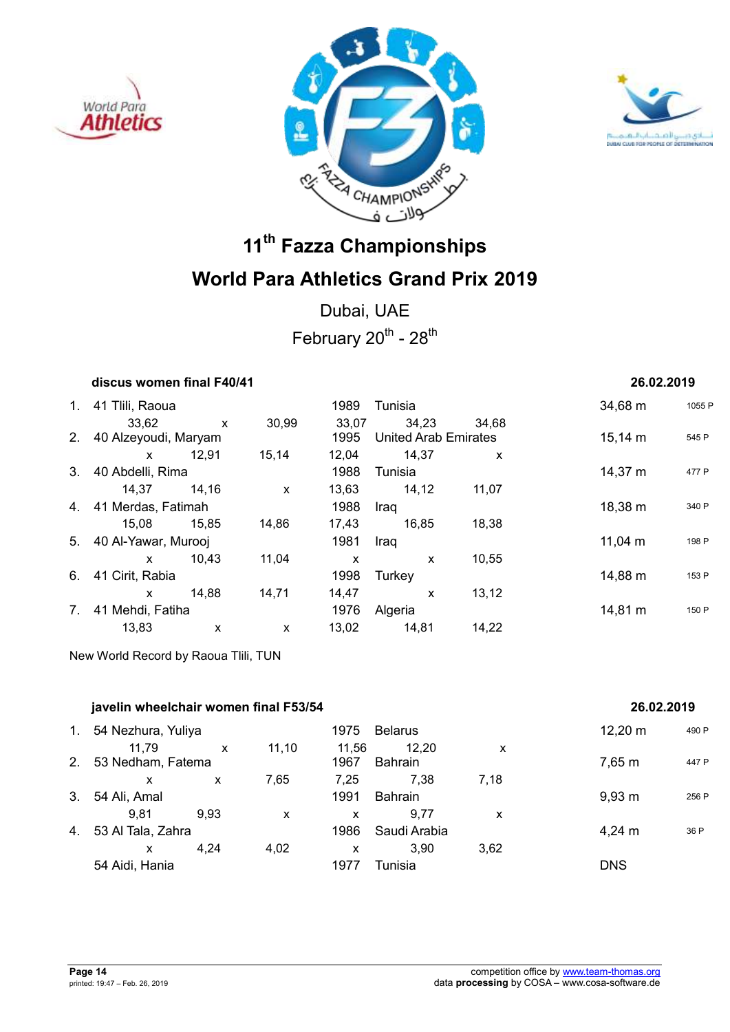





Dubai, UAE February  $20^{th}$  -  $28^{th}$ 

| discus women final F40/41 | 26.02.2019 |
|---------------------------|------------|
|---------------------------|------------|

| 1. | 41 Tlili, Raoua         |       |       | 1989  | Tunisia                     |       | 34,68 m      | 1055 F |
|----|-------------------------|-------|-------|-------|-----------------------------|-------|--------------|--------|
|    | 33,62                   | X     | 30,99 | 33,07 | 34,23                       | 34,68 |              |        |
|    | 2. 40 Alzeyoudi, Maryam |       |       | 1995  | <b>United Arab Emirates</b> |       | $15,14 \; m$ | 545 P  |
|    | X                       | 12,91 | 15,14 | 12,04 | 14,37                       | X     |              |        |
| 3. | 40 Abdelli, Rima        |       |       | 1988  | Tunisia                     |       | 14,37 m      | 477 P  |
|    | 14,37                   | 14.16 | X     | 13,63 | 14,12                       | 11,07 |              |        |
|    | 4. 41 Merdas, Fatimah   |       |       | 1988  | Iraq                        |       | 18,38 m      | 340 P  |
|    | 15,08                   | 15,85 | 14,86 | 17,43 | 16,85                       | 18,38 |              |        |
|    | 5. 40 Al-Yawar, Murooj  |       |       | 1981  | Iraq                        |       | 11,04 m      | 198 P  |
|    | X                       | 10,43 | 11,04 | X     | X                           | 10,55 |              |        |
| 6. | 41 Cirit, Rabia         |       |       | 1998  | Turkey                      |       | 14,88 m      | 153 P  |
|    | X                       | 14.88 | 14,71 | 14,47 | X                           | 13,12 |              |        |
| 7. | 41 Mehdi, Fatiha        |       |       | 1976  | Algeria                     |       | 14,81 m      | 150 P  |
|    | 13,83                   | X     | X     | 13,02 | 14,81                       | 14,22 |              |        |

New World Record by Raoua Tlili, TUN

|                | javelin wheelchair women final F53/54 | 26.02.2019 |       |               |                  |      |                    |       |
|----------------|---------------------------------------|------------|-------|---------------|------------------|------|--------------------|-------|
| $\mathbf{1}$ . | 54 Nezhura, Yuliya                    |            |       | 1975          | <b>Belarus</b>   |      | 12,20 m            | 490 P |
| 2 <sub>1</sub> | 11.79<br>53 Nedham, Fatema            | X          | 11,10 | 11.56<br>1967 | 12,20<br>Bahrain | X    | 7,65 m             | 447 P |
|                | x                                     | X          | 7,65  | 7.25          | 7,38             | 7,18 |                    |       |
| 3.             | 54 Ali, Amal                          |            |       | 1991          | <b>Bahrain</b>   |      | $9,93 \; m$        | 256 P |
|                | 9,81                                  | 9.93       | X     | X             | 9.77             | x    |                    |       |
| 4.             | 53 Al Tala, Zahra                     |            |       | 1986          | Saudi Arabia     |      | $4,24 \, \text{m}$ | 36 P  |
|                | x                                     | 4,24       | 4,02  | X             | 3.90             | 3,62 |                    |       |
|                | 54 Aidi, Hania                        |            |       | 1977          | Tunisia          |      | <b>DNS</b>         |       |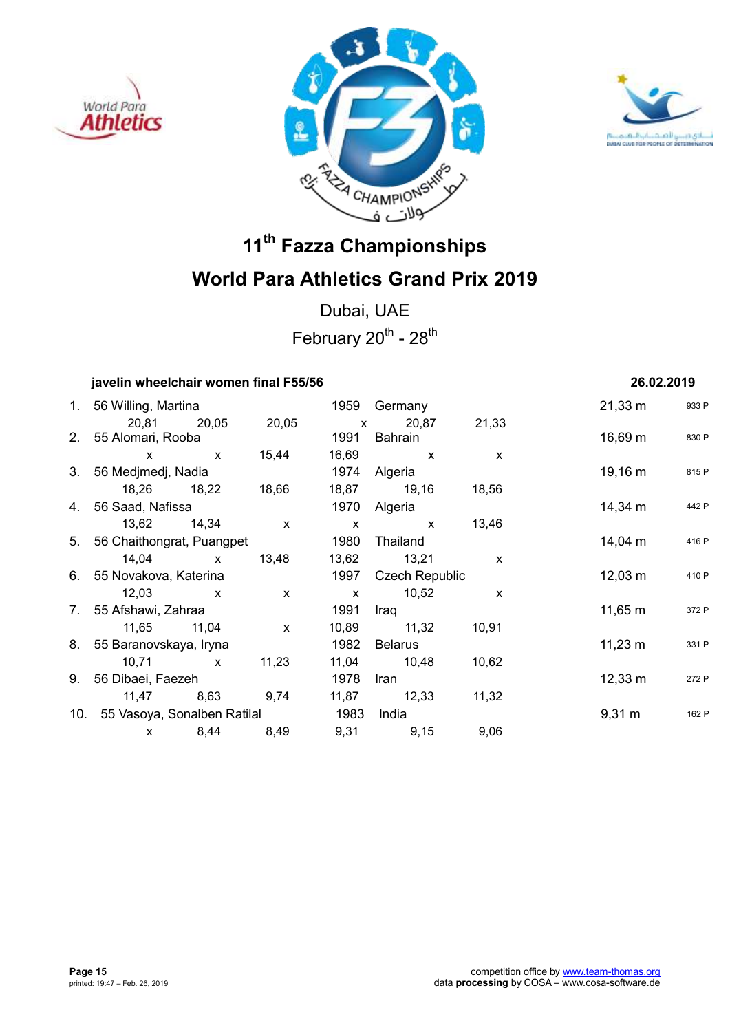





Dubai, UAE February  $20^{th}$  -  $28^{th}$ 

## **javelin wheelchair women final F55/56 26.02.2019**

| 1. 56 Willing, Martina               |                   |              |      | 1959 Germany        |              | $21,33 \; \text{m}$ | 933 P |
|--------------------------------------|-------------------|--------------|------|---------------------|--------------|---------------------|-------|
|                                      | 20,81 20,05 20,05 |              |      | x 20,87 21,33       |              |                     |       |
| 2. 55 Alomari, Rooba                 |                   |              | 1991 | Bahrain             |              | 16,69 m             | 830 P |
| $\mathsf{x}$                         | $\mathbf{x}$      | 15,44        |      | 16,69 x             | $\mathsf{x}$ |                     |       |
| 3. 56 Medjmedj, Nadia                |                   |              |      | 1974 Algeria        |              | 19,16 m             | 815 P |
|                                      | 18,26 18,22       | 18,66        |      | 18,87 19,16 18,56   |              |                     |       |
| 4. 56 Saad, Nafissa                  |                   |              |      | 1970 Algeria        |              | 14,34 m             | 442 P |
| 13,62 14,34                          |                   | $\mathsf{X}$ |      | $\mathsf{X}$ x      | 13,46        |                     |       |
| 5. 56 Chaithongrat, Puangpet         |                   |              | 1980 | Thailand            |              | 14,04 m             | 416 P |
| $14,04 \times$                       |                   | 13,48        |      | 13,62 13,21         | $\mathsf{x}$ |                     |       |
| 6. 55 Novakova, Katerina             |                   |              |      | 1997 Czech Republic |              | $12,03 \; \text{m}$ | 410 P |
| 12,03                                | $\mathsf{X}$      | $\mathsf{X}$ |      | x 10,52             | $\mathsf{x}$ |                     |       |
| 7. 55 Afshawi, Zahraa                |                   |              | 1991 | Iraq                |              | $11,65 \; m$        | 372 P |
| 11,65 11,04                          |                   | $\mathsf{x}$ |      | 10,89 11,32         | 10,91        |                     |       |
| 8. 55 Baranovskaya, Iryna            |                   |              | 1982 | Belarus             |              | $11,23 \; m$        | 331 P |
| $10,71 \quad x$                      |                   | 11,23        |      | 11,04 10,48         | 10,62        |                     |       |
| 9. 56 Dibaei, Faezeh                 |                   |              | 1978 | Iran                |              | $12,33 \; \text{m}$ | 272 P |
|                                      | 11,47 8,63 9,74   |              |      | 11,87 12,33         | 11,32        |                     |       |
| 10. 55 Vasoya, Sonalben Ratilal 1983 |                   |              |      | India               |              | $9,31 \text{ m}$    | 162 F |
| $\mathsf{x}$                         | 8,44              | 8,49         |      | 9,31<br>9,15        | 9,06         |                     |       |
|                                      |                   |              |      |                     |              |                     |       |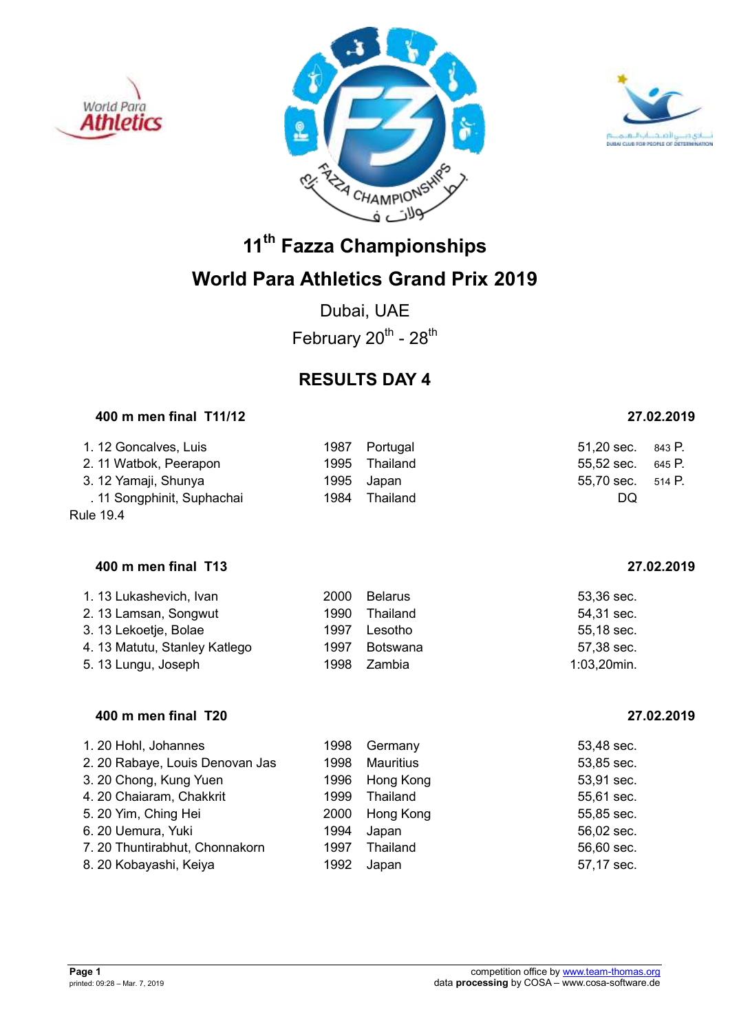





Dubai, UAE February  $20^{th}$  -  $28^{th}$ 

## **RESULTS DAY 4**

### **400 m men final T11/12 27.02.2019**

| 1. 12 Goncalves, Luis      | 1987 Portugal | 51,20 sec. 843 P. |  |
|----------------------------|---------------|-------------------|--|
| 2. 11 Watbok, Peerapon     | 1995 Thailand | 55,52 sec. 645 P. |  |
| 3. 12 Yamaji, Shunya       | 1995 Japan    | 55,70 sec. 514 P. |  |
| . 11 Songphinit, Suphachai | 1984 Thailand | DQ                |  |

Rule 19.4

### **400 m men final T13 27.02.2019**

| 1. 13 Lukashevich, Ivan       | 2000 | <b>Belarus</b> | 53,36 sec.     |
|-------------------------------|------|----------------|----------------|
| 2. 13 Lamsan, Songwut         | 1990 | Thailand       | 54,31 sec.     |
| 3. 13 Lekoetje, Bolae         | 1997 | Lesotho        | 55,18 sec.     |
| 4. 13 Matutu, Stanley Katlego | 1997 | Botswana       | 57,38 sec.     |
| 5. 13 Lungu, Joseph           | 1998 | Zambia         | $1:03,20$ min. |

### **400 m men final T20 27.02.2019**

| 1. 20 Hohl, Johannes            | 1998 | Germany          | 53,48 sec. |
|---------------------------------|------|------------------|------------|
| 2. 20 Rabaye, Louis Denovan Jas | 1998 | <b>Mauritius</b> | 53,85 sec. |
| 3. 20 Chong, Kung Yuen          | 1996 | Hong Kong        | 53,91 sec. |
| 4. 20 Chaiaram, Chakkrit        | 1999 | Thailand         | 55,61 sec. |
| 5. 20 Yim, Ching Hei            | 2000 | Hong Kong        | 55,85 sec. |
| 6. 20 Uemura, Yuki              | 1994 | Japan            | 56,02 sec. |
| 7. 20 Thuntirabhut, Chonnakorn  | 1997 | Thailand         | 56,60 sec. |
| 8. 20 Kobayashi, Keiya          | 1992 | Japan            | 57,17 sec. |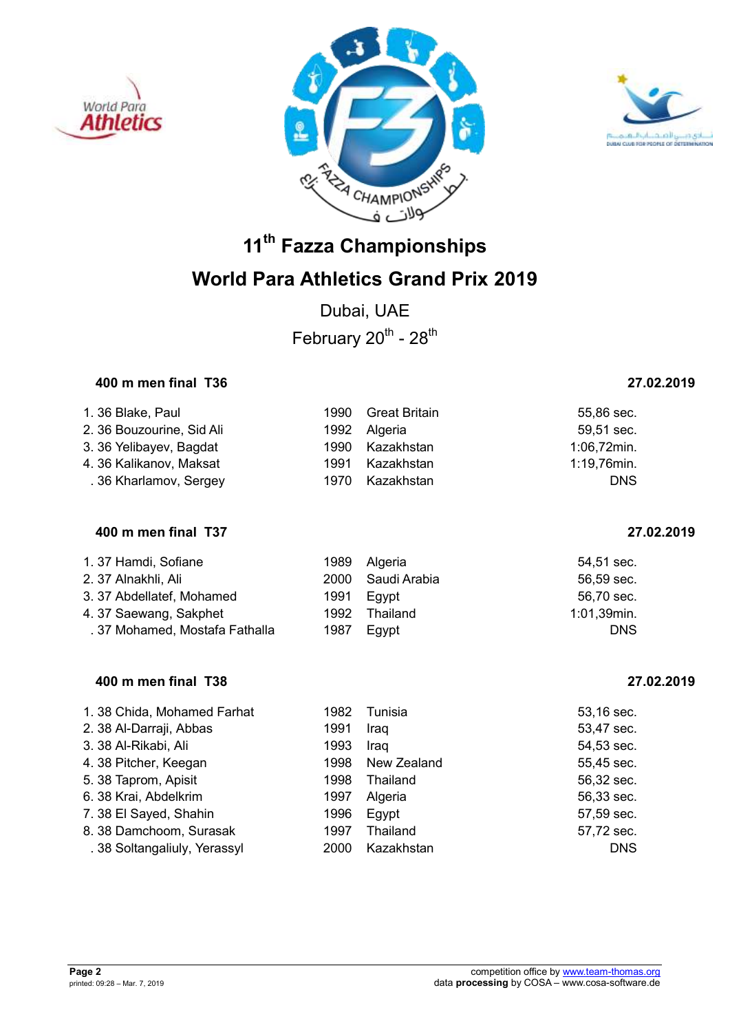





Dubai, UAE February  $20^{th}$  -  $28^{th}$ 

### **400 m men final T36 27.02.2019**

| 1. 36 Blake, Paul         |      | 1990 Great Britain | 55,86 sec.  |
|---------------------------|------|--------------------|-------------|
| 2. 36 Bouzourine, Sid Ali |      | 1992 Algeria       | 59,51 sec.  |
| 3. 36 Yelibayev, Bagdat   |      | 1990 Kazakhstan    | 1:06,72min. |
| 4. 36 Kalikanov, Maksat   | 1991 | Kazakhstan         | 1:19,76min. |
| .36 Kharlamov, Sergey     |      | 1970 Kazakhstan    | <b>DNS</b>  |

### **400 m men final T37 27.02.2019**

| 1.37 Hamdi, Sofiane            |      | 1989 Algeria      | 54,51 sec.  |
|--------------------------------|------|-------------------|-------------|
| 2. 37 Alnakhli, Ali            |      | 2000 Saudi Arabia | 56,59 sec.  |
| 3.37 Abdellatef, Mohamed       | 1991 | Egypt             | 56,70 sec.  |
| 4.37 Saewang, Sakphet          | 1992 | Thailand          | 1:01,39min. |
| . 37 Mohamed, Mostafa Fathalla | 1987 | Egypt             | <b>DNS</b>  |

### **400 m men final T38 27.02.2019**

| 1. 38 Chida, Mohamed Farhat | 1982 | Tunisia     | 53,16 sec. |
|-----------------------------|------|-------------|------------|
| 2. 38 Al-Darraji, Abbas     | 1991 | Iraq        | 53,47 sec. |
| 3. 38 Al-Rikabi, Ali        | 1993 | Iraq        | 54,53 sec. |
| 4. 38 Pitcher, Keegan       | 1998 | New Zealand | 55,45 sec. |
| 5. 38 Taprom, Apisit        | 1998 | Thailand    | 56,32 sec. |
| 6. 38 Krai, Abdelkrim       | 1997 | Algeria     | 56,33 sec. |
| 7. 38 El Sayed, Shahin      | 1996 | Egypt       | 57,59 sec. |
| 8. 38 Damchoom, Surasak     | 1997 | Thailand    | 57,72 sec. |
| .38 Soltangaliuly, Yerassyl | 2000 | Kazakhstan  | <b>DNS</b> |
|                             |      |             |            |

| .70 sec.  |  |
|-----------|--|
| l ,39min. |  |
| DNS       |  |
|           |  |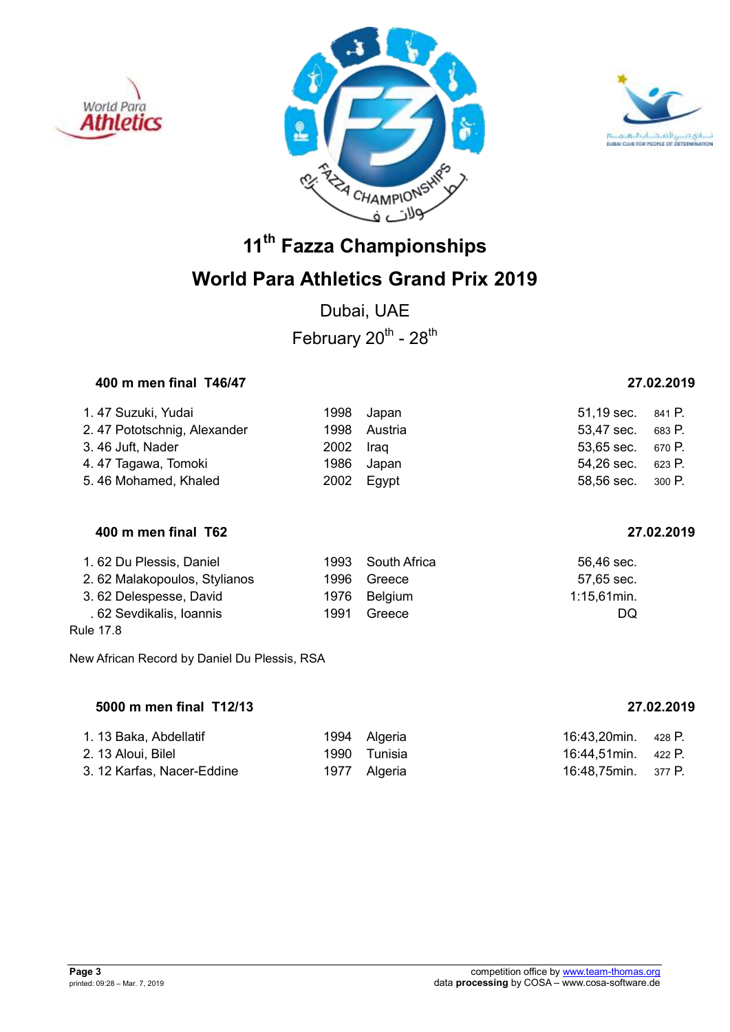





## **World Para Athletics Grand Prix 2019**

Dubai, UAE February  $20^{th}$  -  $28^{th}$ 

## **400 m men final T46/47 27.02.2019**

| 1. 47 Suzuki, Yudai         |           | 1998 Japan   | 51,19 sec. 841 P. |  |
|-----------------------------|-----------|--------------|-------------------|--|
| 2.47 Pototschnig, Alexander |           | 1998 Austria | 53,47 sec. 683 P. |  |
| 3.46 Juft, Nader            | 2002 Iraq |              | 53,65 sec. 670 P. |  |
| 4.47 Tagawa, Tomoki         |           | 1986 Japan   | 54,26 sec. 623 P. |  |
| 5.46 Mohamed, Khaled        |           | 2002 Egypt   | 58,56 sec. 300 P. |  |

### **400 m men final T62 27.02.2019**

| 1.62 Du Plessis, Daniel      |      | 1993 South Africa | 56,46 sec.     |
|------------------------------|------|-------------------|----------------|
| 2.62 Malakopoulos, Stylianos | 1996 | Greece            | 57,65 sec.     |
| 3.62 Delespesse, David       |      | 1976 Belgium      | $1:15,61$ min. |
| . 62 Sevdikalis, Ioannis     | 1991 | Greece            | DQ             |
| Rule 17.8                    |      |                   |                |

New African Record by Daniel Du Plessis, RSA

### **5000 m men final T12/13 27.02.2019**

| 1. 13 Baka, Abdellatif     | 1994 Algeria | 16:43,20min. 428 P. |  |
|----------------------------|--------------|---------------------|--|
| 2. 13 Aloui, Bilel         | 1990 Tunisia | 16:44,51min. 422 P. |  |
| 3. 12 Karfas, Nacer-Eddine | 1977 Algeria | 16:48,75min. 377 P. |  |

|  | 27.02.2019 |  |
|--|------------|--|
|  |            |  |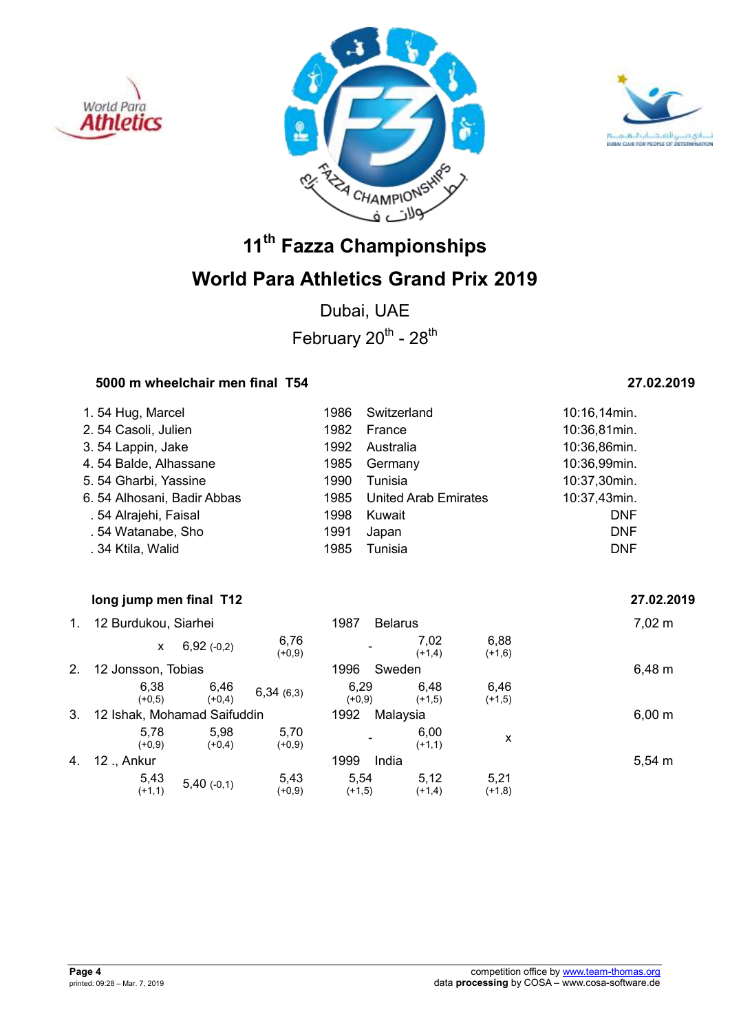





Dubai, UAE February  $20^{th}$  -  $28^{th}$ 

### **5000 m wheelchair men final T54 27.02.2019**

| 1.54 Hug, Marcel           | 1986 | Switzerland                 | 10:16,14min. |
|----------------------------|------|-----------------------------|--------------|
| 2.54 Casoli, Julien        | 1982 | France                      | 10:36,81min. |
| 3.54 Lappin, Jake          | 1992 | Australia                   | 10:36,86min. |
| 4.54 Balde, Alhassane      | 1985 | Germany                     | 10:36,99min. |
| 5.54 Gharbi, Yassine       | 1990 | Tunisia                     | 10:37,30min. |
| 6.54 Alhosani, Badir Abbas | 1985 | <b>United Arab Emirates</b> | 10:37,43min. |
| . 54 Alrajehi, Faisal      | 1998 | Kuwait                      | <b>DNF</b>   |
| .54 Watanabe, Sho          | 1991 | Japan                       | <b>DNF</b>   |
| . 34 Ktila, Walid          | 1985 | Tunisia                     | <b>DNF</b>   |

### **19.19 Iong jump men final T12** 27.02.2019

|    | 12 Burdukou, Siarhei        |                  |                  | 1987             | <b>Belarus</b>   |                  | $7,02 \; m$ |
|----|-----------------------------|------------------|------------------|------------------|------------------|------------------|-------------|
|    | X                           | 6,92(.0,2)       | 6,76<br>$(+0,9)$ |                  | 7,02<br>$(+1,4)$ | 6,88<br>$(+1,6)$ |             |
| 2. | 12 Jonsson, Tobias          |                  |                  | 1996             | Sweden           |                  | 6,48 m      |
|    | 6,38<br>$(+0.5)$            | 6,46<br>$(+0,4)$ | 6,34(6,3)        | 6,29<br>$(+0,9)$ | 6.48<br>$(+1,5)$ | 6,46<br>$(+1,5)$ |             |
| 3. | 12 Ishak, Mohamad Saifuddin |                  |                  | 1992<br>Malaysia |                  | $6,00 \; m$      |             |
|    | 5.78<br>$(+0,9)$            | 5,98<br>$(+0,4)$ | 5,70<br>$(+0,9)$ |                  | 6,00<br>$(+1,1)$ | X                |             |
| 4. | 12 ., Ankur                 |                  |                  | 1999             | India            |                  | $5,54 \; m$ |
|    | 5,43<br>$(+1,1)$            | $5,40$ (-0,1)    | 5,43<br>$(+0,9)$ | 5.54<br>$(+1,5)$ | 5.12<br>$(+1,4)$ | 5,21<br>$(+1,8)$ |             |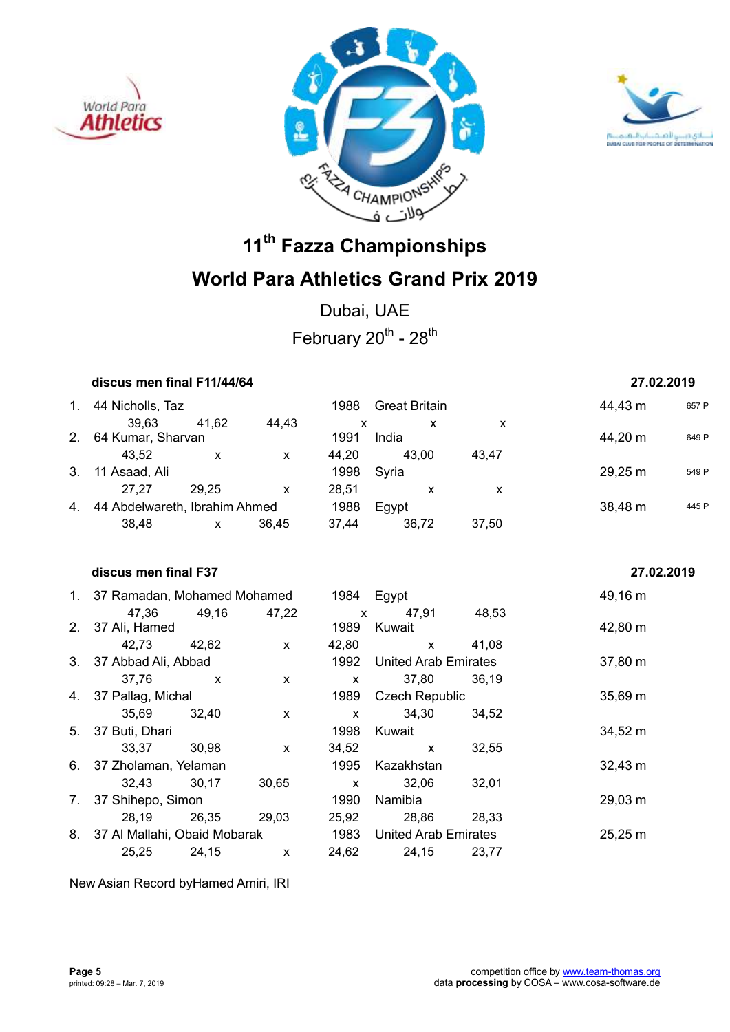





Dubai, UAE February  $20^{th}$  -  $28^{th}$ 

| discus men final F11/44/64       |              |              |              |                             |                           | 27.02.2019        |       |
|----------------------------------|--------------|--------------|--------------|-----------------------------|---------------------------|-------------------|-------|
| 1. 44 Nicholls, Taz              |              |              |              | 1988 Great Britain          |                           | 44,43 m           | 657 P |
| 39,63                            | 41,62        | 44,43        | $\mathsf{x}$ | $\mathsf{x}$                | $\boldsymbol{\mathsf{x}}$ |                   |       |
| 2. 64 Kumar, Sharvan             |              |              | 1991         | India                       |                           | 44,20 m           | 649 P |
| 43,52                            | $\mathsf{X}$ | $\mathsf{x}$ |              | 44,20 43,00                 | 43,47                     |                   |       |
| 3. 11 Asaad, Ali                 |              |              | 1998         | Syria                       |                           | 29,25 m           | 549 P |
| 27,27 29,25                      |              | $\mathsf{x}$ | 28,51        | $\mathsf{x}$                | $\boldsymbol{\mathsf{x}}$ |                   |       |
| 4. 44 Abdelwareth, Ibrahim Ahmed |              |              | 1988         | Egypt                       |                           | 38,48 m           | 445 P |
| 38,48                            | $\mathsf{x}$ | 36,45        | 37,44        | 36,72                       | 37,50                     |                   |       |
| discus men final F37             |              |              |              |                             |                           | 27.02.2019        |       |
| 1. 37 Ramadan, Mohamed Mohamed   |              |              | 1984 Egypt   |                             |                           | 49,16 m           |       |
| 47,36                            | 49,16        | 47,22        | $\mathsf{x}$ | 47,91                       | 48,53                     |                   |       |
| 2. 37 Ali, Hamed                 |              |              | 1989         | Kuwait                      |                           | 42,80 m           |       |
| 42,73                            | 42,62        | $\mathsf{x}$ | 42,80        | $\mathsf{x}$                | 41,08                     |                   |       |
| 3. 37 Abbad Ali, Abbad           |              |              | 1992         | <b>United Arab Emirates</b> |                           | 37,80 m           |       |
| 37,76                            | $\mathsf{x}$ | $\mathsf{x}$ | $\mathsf{x}$ | 37,80                       | 36,19                     |                   |       |
| 4. 37 Pallag, Michal             |              |              | 1989         | <b>Czech Republic</b>       |                           | $35,69 \text{ m}$ |       |
| 35,69                            | 32,40        | $\mathsf{x}$ | $\mathsf{x}$ | 34,30                       | 34,52                     |                   |       |
| 5. 37 Buti, Dhari                |              |              | 1998         | Kuwait                      |                           | 34,52 m           |       |
| 33,37                            | 30,98        | $\mathsf{x}$ | 34,52        | $\mathsf{x}$                | 32,55                     |                   |       |
| 6. 37 Zholaman, Yelaman          |              |              | 1995         | Kazakhstan                  |                           | $32,43 \; m$      |       |
| 32,43                            | 30,17        | 30,65        | $\mathbf{x}$ | 32,06                       | 32,01                     |                   |       |
| 7. 37 Shihepo, Simon             |              |              | 1990         | Namibia                     |                           | 29,03 m           |       |
| 28,19                            | 26,35        | 29,03        | 25,92        | 28,86                       | 28,33                     |                   |       |
| 8. 37 Al Mallahi, Obaid Mobarak  |              |              | 1983         | <b>United Arab Emirates</b> |                           | 25,25 m           |       |
| 25,25                            | 24,15        | $\mathsf{x}$ | 24,62        | 24,15                       | 23,77                     |                   |       |
|                                  |              |              |              |                             |                           |                   |       |

New Asian Record byHamed Amiri, IRI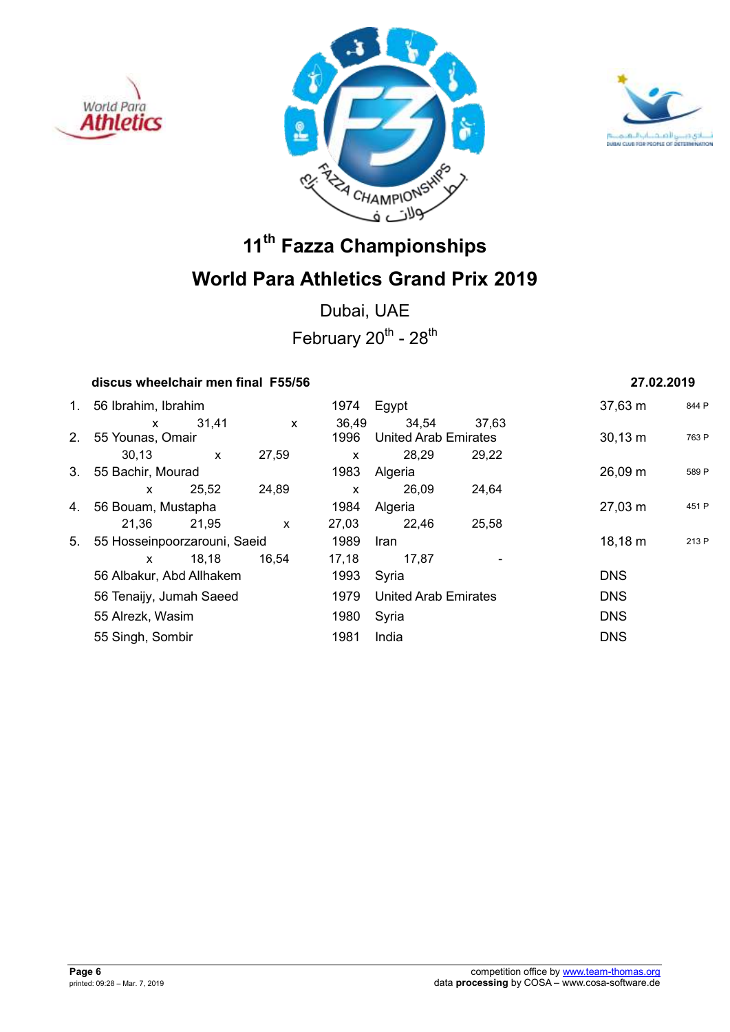





Dubai, UAE February  $20^{th}$  -  $28^{th}$ 

### **discus wheelchair men final F55/56 27.02.2019**

|    | 1. 56 Ibrahim, Ibrahim                              |              |              |              | 1974 Egypt                  |       | $37,63 \; m$ | 844 F |
|----|-----------------------------------------------------|--------------|--------------|--------------|-----------------------------|-------|--------------|-------|
|    | $\mathsf{x}$                                        | 31.41        | $\mathsf{x}$ | 36,49        | 34,54                       | 37,63 |              |       |
|    | 2. 55 Younas, Omair                                 |              |              | 1996         | <b>United Arab Emirates</b> |       | $30,13 \; m$ | 763 F |
|    | 30,13                                               | $\mathsf{x}$ | 27,59        | $\mathsf{x}$ | 28,29                       | 29,22 |              |       |
|    | 3. 55 Bachir, Mourad                                |              |              | 1983         | Algeria                     |       | 26,09 m      | 589 F |
|    | <b>X</b>                                            | 25,52        | 24,89        | $\mathsf{x}$ | 26,09                       | 24,64 |              |       |
|    | 4. 56 Bouam, Mustapha                               |              |              | 1984         | Algeria                     |       | $27,03 \; m$ | 451 F |
|    | 21,36                                               | 21,95        | $\mathsf{x}$ | 27,03        | 22,46                       | 25,58 |              |       |
| 5. | 55 Hosseinpoorzarouni, Saeid                        |              |              | 1989         | Iran                        |       | $18,18 \; m$ | 213 F |
|    | <b>X</b>                                            | 18,18        | 16,54        | 17,18        | 17,87                       |       |              |       |
|    | 56 Albakur, Abd Allhakem<br>56 Tenaijy, Jumah Saeed |              |              | 1993         | Syria                       |       | <b>DNS</b>   |       |
|    |                                                     |              |              | 1979         | <b>United Arab Emirates</b> |       | <b>DNS</b>   |       |
|    | 55 Alrezk, Wasim                                    |              |              | 1980         | Syria                       |       | <b>DNS</b>   |       |
|    | 55 Singh, Sombir                                    |              |              | 1981         | India                       |       | <b>DNS</b>   |       |
|    |                                                     |              |              |              |                             |       |              |       |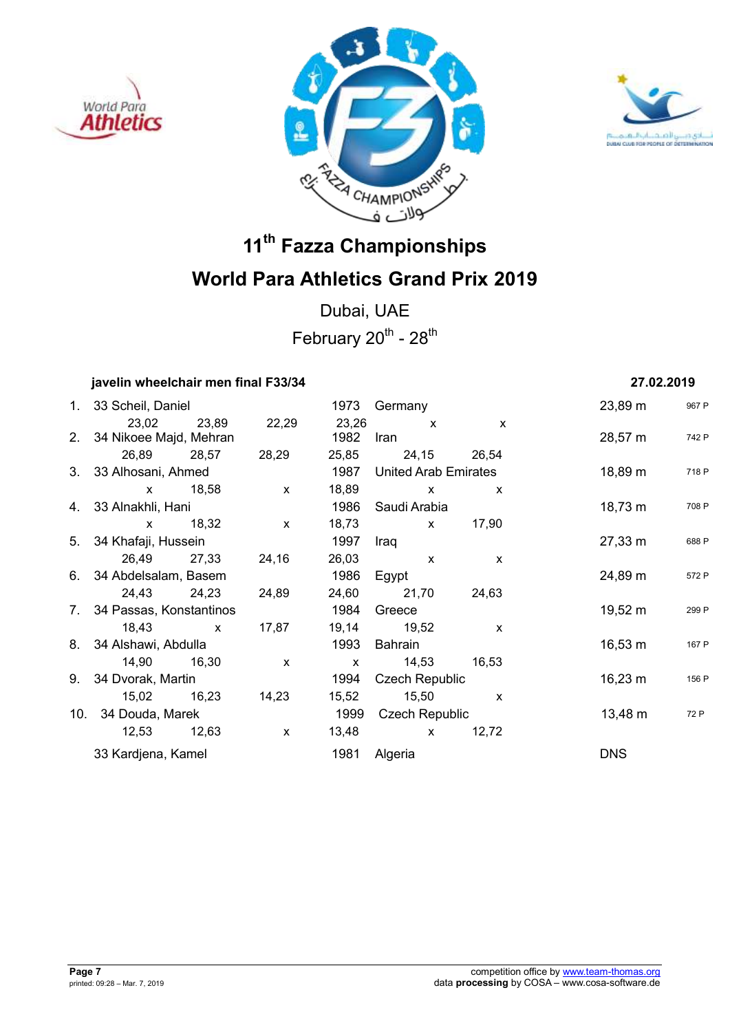





Dubai, UAE February  $20^{th}$  -  $28^{th}$ 

## **javelin wheelchair men final F33/34 27.02.2019**

| 1. 33 Scheil, Daniel       |                   |                   |       | 1973 Germany                |              | 23,89 m      | 967 F |
|----------------------------|-------------------|-------------------|-------|-----------------------------|--------------|--------------|-------|
|                            | 23,02 23,89 22,29 |                   |       | 23,26 x                     | $\mathsf{x}$ |              |       |
| 2. 34 Nikoee Majd, Mehran  |                   |                   |       | 1982 Iran                   |              | 28,57 m      | 742 F |
|                            | 26,89 28,57       | 28,29             |       | 25,85 24,15 26,54           |              |              |       |
| 3. 33 Alhosani, Ahmed      |                   |                   | 1987  | <b>United Arab Emirates</b> |              | 18,89 m      | 718 F |
| x 18,58                    |                   | $\mathsf{x}$      | 18,89 | $\mathsf{x}$                | $\mathsf{x}$ |              |       |
| 4. 33 Alnakhli, Hani       |                   |                   | 1986  | Saudi Arabia                |              | 18,73 m      | 708 F |
| x 18,32                    |                   | $\mathsf{X}$      | 18,73 | x 17,90                     |              |              |       |
| 5. 34 Khafaji, Hussein     |                   |                   | 1997  | Iraq                        |              | 27,33 m      | 688 F |
|                            | 26,49 27,33       | 24,16             |       | 26,03 x                     | $\mathsf{x}$ |              |       |
| 6. 34 Abdelsalam, Basem    |                   |                   | 1986  | Egypt                       |              | 24,89 m      | 572 F |
|                            |                   | 24,43 24,23 24,89 |       | 24,60 21,70 24,63           |              |              |       |
| 7. 34 Passas, Konstantinos |                   |                   | 1984  | Greece                      |              | 19,52 m      | 299 F |
| $18,43 \times x$           |                   | 17,87             |       | 19,14 19,52                 | $\mathsf{x}$ |              |       |
| 8. 34 Alshawi, Abdulla     |                   |                   | 1993  | Bahrain                     |              | 16,53 m      | 167 F |
| 14,90 16,30                |                   | $\mathsf{x}$      |       |                             |              |              |       |
| 9. 34 Dvorak, Martin       |                   |                   | 1994  | Czech Republic              |              | $16,23 \; m$ | 156 F |
| 15,02 16,23                |                   | 14,23             | 15,52 | $15,50 \quad x$             |              |              |       |
| 10. 34 Douda, Marek        |                   |                   |       | 1999 Czech Republic         |              | 13,48 m      | 72 P  |
|                            |                   | $\mathsf{X}$      |       | $13,48$ x                   | 12,72        |              |       |
| 33 Kardjena, Kamel         |                   |                   | 1981  | Algeria                     |              | <b>DNS</b>   |       |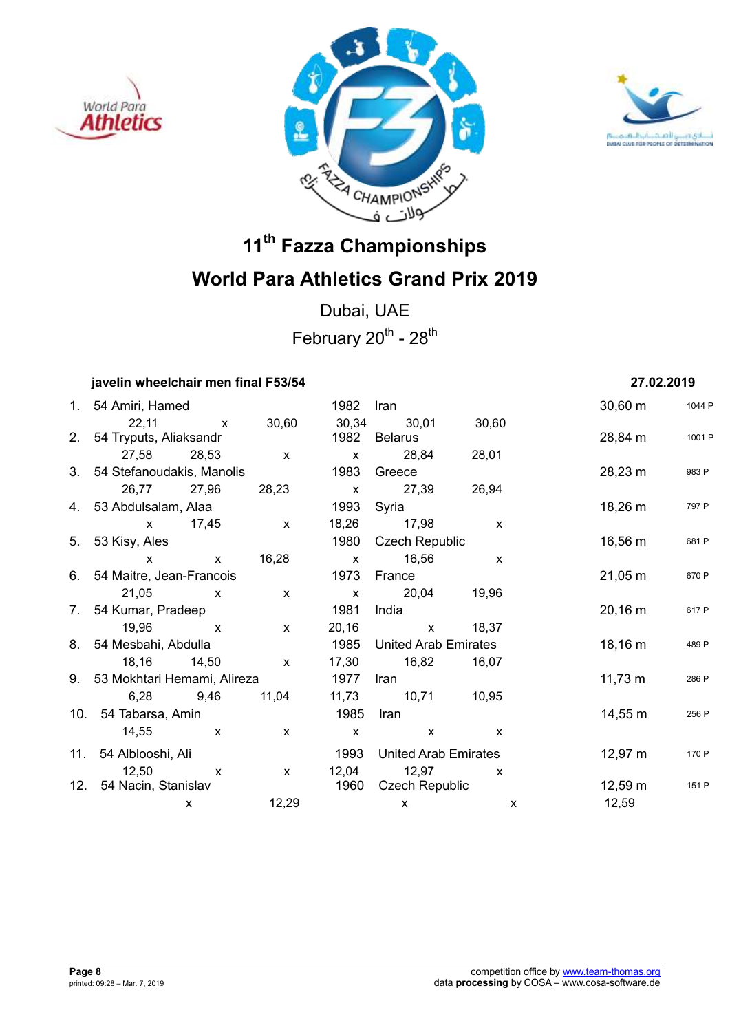





Dubai, UAE February  $20^{th}$  -  $28^{th}$ 

### **javelin wheelchair men final F53/54 27.02.2019**

| 1. 54 Amiri, Hamed             |              |              | 1982         | Iran                        |                             | $30,60 \; m$        | 1044 P                |
|--------------------------------|--------------|--------------|--------------|-----------------------------|-----------------------------|---------------------|-----------------------|
| 22,11                          | $\mathsf{X}$ | 30,60        | 30,34        | 30,01                       | 30,60                       |                     |                       |
| 2. 54 Tryputs, Aliaksandr      |              |              | 1982         | Belarus                     |                             | 28,84 m             | 1001 P                |
| 27,58 28,53                    |              | $\mathsf{X}$ | $\mathsf{x}$ | 28,84 28,01                 |                             |                     |                       |
| 3. 54 Stefanoudakis, Manolis   |              |              | 1983         | Greece                      |                             | 28,23 m             | 983 P                 |
| 26,77 27,96                    |              | 28,23        | $\mathsf{x}$ | 27,39 26,94                 |                             |                     |                       |
| 4. 53 Abdulsalam, Alaa         |              |              | 1993         | Syria                       |                             | 18,26 m             | 797 P                 |
| x 17,45                        |              | $\mathsf{x}$ | 18,26        | 17,98                       | $\mathsf{x}$                |                     |                       |
| 5. 53 Kisy, Ales               |              |              | 1980         | <b>Czech Republic</b>       |                             | 16,56 m             | 681 P                 |
| $\mathsf{x}$                   | $\mathsf{x}$ | 16,28        | $\mathsf{x}$ | 16,56                       | X                           |                     |                       |
| 6. 54 Maitre, Jean-Francois    |              |              | 1973         | France                      |                             | $21,05 \, \text{m}$ | 670 P                 |
| 21,05 x                        |              | $\mathsf{x}$ | $\mathsf{x}$ | 20,04 19,96                 |                             |                     |                       |
| 7. 54 Kumar, Pradeep           |              |              | 1981         | India                       |                             | $20,16 \; m$        | 617 P                 |
| 19,96 x                        |              | $\mathsf{x}$ | 20,16        | $\mathsf{X}$                | 18,37                       |                     |                       |
| 8. 54 Mesbahi, Abdulla         |              |              | 1985         |                             | <b>United Arab Emirates</b> |                     | $18,16 \; m$<br>489 P |
| 18,16 14,50                    |              | $\mathsf{x}$ | 17,30        | 16,82                       | 16,07                       |                     |                       |
| 9. 53 Mokhtari Hemami, Alireza |              |              | 1977         | Iran                        |                             | $11,73 \; m$        | 286 P                 |
| 6,28 9,46                      |              | 11,04        | 11,73        | 10,71 10,95                 |                             |                     |                       |
| 10. 54 Tabarsa, Amin           |              |              | 1985         | Iran                        |                             | 14,55 m             | 256 P                 |
| 14,55                          | $\mathsf{X}$ | $\mathsf{x}$ | $\mathsf{x}$ | $\mathsf{x}$                | $\mathsf{x}$                |                     |                       |
| 11. 54 Alblooshi, Ali          |              |              | 1993         | <b>United Arab Emirates</b> |                             | $12,97 \; m$        | 170 P                 |
| $12,50 \times$                 |              | $\mathsf{x}$ | 12,04        | 12,97                       | $\boldsymbol{\mathsf{x}}$   |                     |                       |
| 12. 54 Nacin, Stanislav        |              |              | 1960         | Czech Republic              |                             | 12,59 m             | 151 P                 |
|                                | X            | 12,29        |              | X                           |                             | 12,59<br>X          |                       |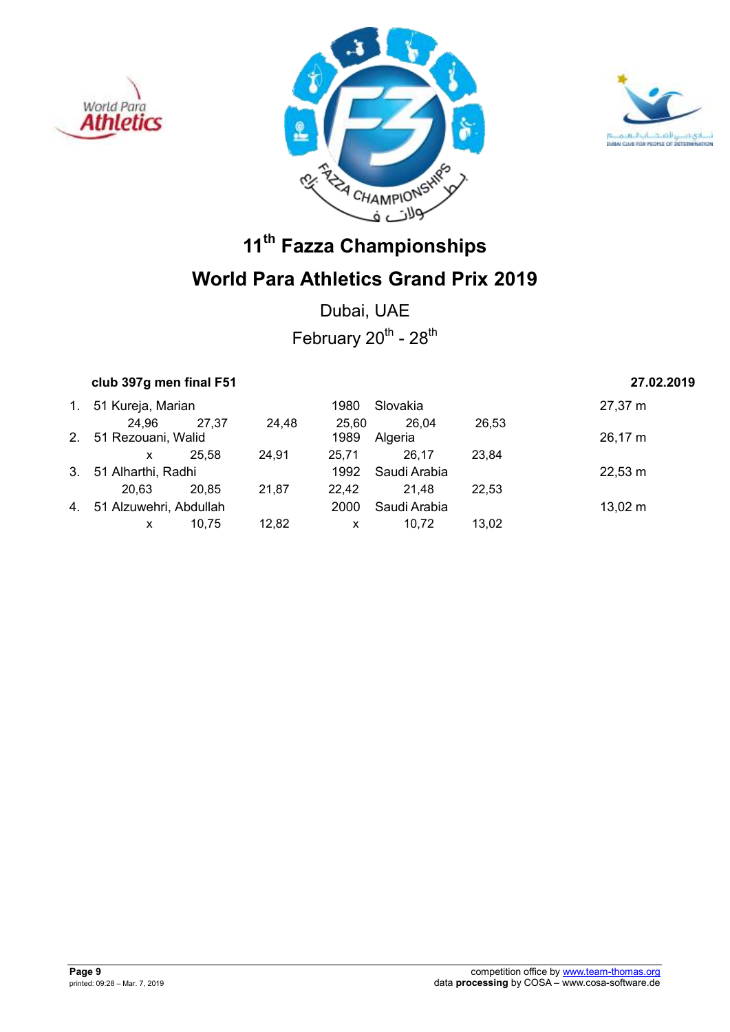





Dubai, UAE February  $20^{th}$  -  $28^{th}$ 

## **club 397g men final F51 27.02.2019**

|    | 1. 51 Kureja, Marian      |       |       | 1980  | Slovakia     |       | 27,37 m           |
|----|---------------------------|-------|-------|-------|--------------|-------|-------------------|
|    | 24,96                     | 27.37 | 24.48 | 25.60 | 26,04        | 26,53 |                   |
|    | 2. 51 Rezouani, Walid     |       |       | 1989  | Algeria      |       | 26,17 m           |
|    | x                         | 25.58 | 24,91 | 25.71 | 26.17        | 23.84 |                   |
| 3. | 51 Alharthi, Radhi        |       |       | 1992  | Saudi Arabia |       | $22,53 \text{ m}$ |
|    | 20.63                     | 20.85 | 21,87 | 22.42 | 21.48        | 22.53 |                   |
|    | 4. 51 Alzuwehri, Abdullah |       |       | 2000  | Saudi Arabia |       | $13,02 \; m$      |
|    | x                         | 10.75 | 12,82 | X     | 10.72        | 13.02 |                   |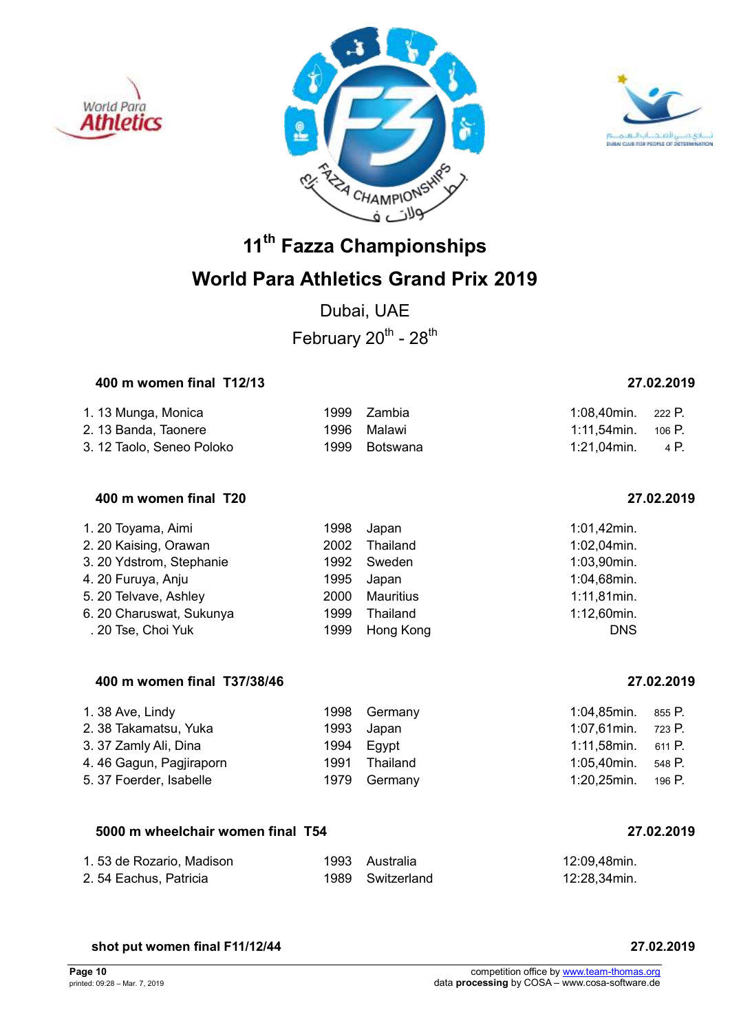





## **World Para Athletics Grand Prix 2019**

Dubai, UAE February  $20^{th}$  -  $28^{th}$ 

### **400 m women final T12/13 27.02.2019**

## 1. 13 Munga, Monica 1999 Zambia 1:08,40min. 222 P. 2. 13 Banda, Taonere 1996 Malawi 1:11,54min. 106 P. 3. 12 Taolo, Seneo Poloko 1999 Botswana 1:21,04min. 4 P.

### **400 m women final T20 27.02.2019**

| 1. 20 Toyama, Aimi       | 1998 | Japan     | 1:01,42min.    |
|--------------------------|------|-----------|----------------|
| 2. 20 Kaising, Orawan    | 2002 | Thailand  | $1:02,04$ min. |
| 3. 20 Ydstrom, Stephanie | 1992 | Sweden    | 1:03,90min.    |
| 4. 20 Furuya, Anju       | 1995 | Japan     | 1:04,68min.    |
| 5. 20 Telvave, Ashley    | 2000 | Mauritius | $1:11,81$ min. |
| 6. 20 Charuswat, Sukunya | 1999 | Thailand  | $1:12,60$ min. |
| . 20 Tse, Choi Yuk       | 1999 | Hong Kong | <b>DNS</b>     |

### **400 m women final T37/38/46 27.02.2019**

| 1.38 Ave, Lindy         | 1998 Germany  | 1:04,85min.             | 855 P. |
|-------------------------|---------------|-------------------------|--------|
| 2. 38 Takamatsu, Yuka   | 1993 Japan    | 1:07,61min. 723 P.      |        |
| 3. 37 Zamly Ali, Dina   | 1994 Egypt    | $1:11,58$ min. 611 P.   |        |
| 4.46 Gagun, Pagjiraporn | 1991 Thailand | 1:05.40min.             | 548 P. |
| 5. 37 Foerder, Isabelle | 1979 Germany  | $1:20,25$ min. $196$ P. |        |

### **5000 m wheelchair women final T54 27.02.2019**

| 1.53 de Rozario, Madison | 1993 Australia   | 12:09,48min. |
|--------------------------|------------------|--------------|
| 2.54 Eachus, Patricia    | 1989 Switzerland | 12:28,34min. |

### **shot put women final F11/12/44 27.02.2019**

### **Page 10** competition office by www.team-thomas.org<br>
printed: 09:28 – Mar. 7, 2019<br>
data **processing** by COSA – www.cosa-software.de data **processing** by COSA – www.cosa-software.de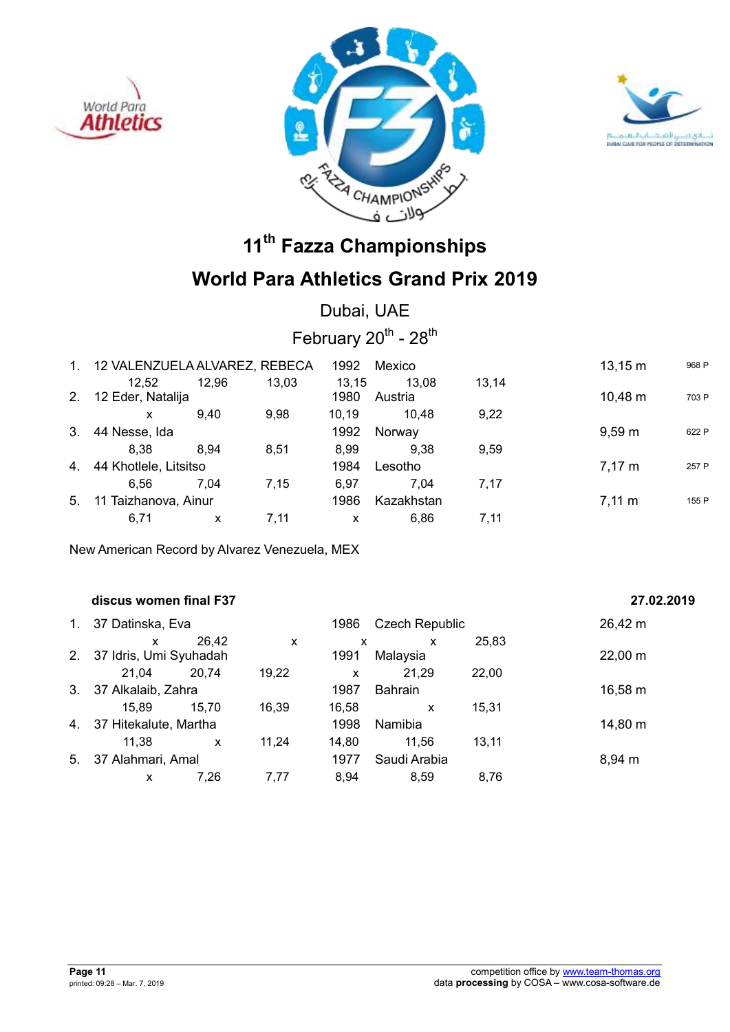





## **World Para Athletics Grand Prix 2019**

Dubai, UAE

February  $20^{th}$  -  $28^{th}$ 

| 1. | 12 VALENZUELA ALVAREZ, REBECA |       |       | 1992          | Mexico           |       | $13,15 \; m$     | 968 P |
|----|-------------------------------|-------|-------|---------------|------------------|-------|------------------|-------|
| 2. | 12.52<br>12 Eder, Natalija    | 12,96 | 13,03 | 13.15<br>1980 | 13.08<br>Austria | 13.14 | 10,48 m          | 703 P |
|    | x                             | 9.40  | 9.98  | 10.19         | 10.48            | 9.22  |                  |       |
| 3. | 44 Nesse, Ida                 |       |       | 1992          | Norway           |       | $9,59 \; m$      | 622 P |
|    | 8.38                          | 8.94  | 8.51  | 8.99          | 9,38             | 9.59  |                  |       |
| 4. | 44 Khotlele, Litsitso         |       |       | 1984          | Lesotho          |       | $7,17 \; m$      | 257 P |
|    | 6.56                          | 7.04  | 7.15  | 6.97          | 7.04             | 7.17  |                  |       |
| 5. | 11 Taizhanova, Ainur          |       |       | 1986          | Kazakhstan       |       | $7.11 \text{ m}$ | 155 P |
|    | 6,71                          | X     | 7,11  | x             | 6.86             | 7.11  |                  |       |

New American Record by Alvarez Venezuela, MEX

|             | discus women final F37 |              |       |       |                       |       | 27.02.2019 |
|-------------|------------------------|--------------|-------|-------|-----------------------|-------|------------|
| $1_{\cdot}$ | 37 Datinska, Eva       |              |       | 1986  | <b>Czech Republic</b> |       | 26,42 m    |
|             | x                      | 26,42        | X     | X     | X                     | 25,83 |            |
| 2.          | 37 Idris, Umi Syuhadah |              |       | 1991  | Malaysia              |       | 22,00 m    |
|             | 21.04                  | 20,74        | 19,22 | X     | 21,29                 | 22,00 |            |
| $3_{-}$     | 37 Alkalaib, Zahra     |              |       | 1987  | <b>Bahrain</b>        |       | 16,58 m    |
|             | 15.89                  | 15.70        | 16.39 | 16,58 | x                     | 15,31 |            |
| 4.          | 37 Hitekalute, Martha  |              |       | 1998  | Namibia               |       | 14,80 m    |
|             | 11,38                  | $\mathsf{x}$ | 11,24 | 14,80 | 11.56                 | 13,11 |            |
| 5.          | 37 Alahmari, Amal      |              |       | 1977  | Saudi Arabia          |       | 8,94 m     |
|             | x                      | 7,26         | 7,77  | 8,94  | 8,59                  | 8.76  |            |